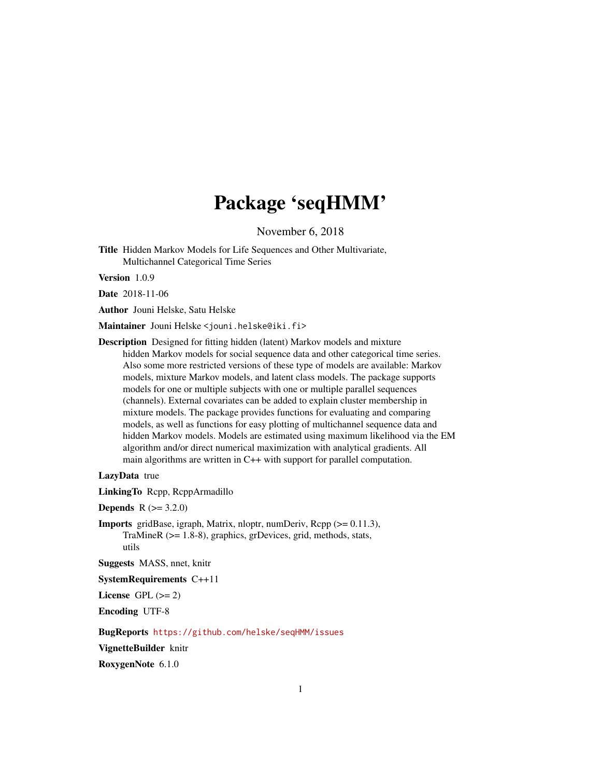# Package 'seqHMM'

November 6, 2018

<span id="page-0-0"></span>Title Hidden Markov Models for Life Sequences and Other Multivariate, Multichannel Categorical Time Series

Version 1.0.9

Date 2018-11-06

Author Jouni Helske, Satu Helske

Maintainer Jouni Helske <jouni.helske@iki.fi>

Description Designed for fitting hidden (latent) Markov models and mixture hidden Markov models for social sequence data and other categorical time series. Also some more restricted versions of these type of models are available: Markov models, mixture Markov models, and latent class models. The package supports models for one or multiple subjects with one or multiple parallel sequences (channels). External covariates can be added to explain cluster membership in mixture models. The package provides functions for evaluating and comparing models, as well as functions for easy plotting of multichannel sequence data and hidden Markov models. Models are estimated using maximum likelihood via the EM algorithm and/or direct numerical maximization with analytical gradients. All main algorithms are written in C++ with support for parallel computation.

LazyData true

LinkingTo Rcpp, RcppArmadillo

**Depends**  $R (= 3.2.0)$ 

Imports gridBase, igraph, Matrix, nloptr, numDeriv, Rcpp (>= 0.11.3), TraMineR (>= 1.8-8), graphics, grDevices, grid, methods, stats, utils

Suggests MASS, nnet, knitr

SystemRequirements C++11

License GPL  $(>= 2)$ 

Encoding UTF-8

BugReports <https://github.com/helske/seqHMM/issues>

VignetteBuilder knitr

RoxygenNote 6.1.0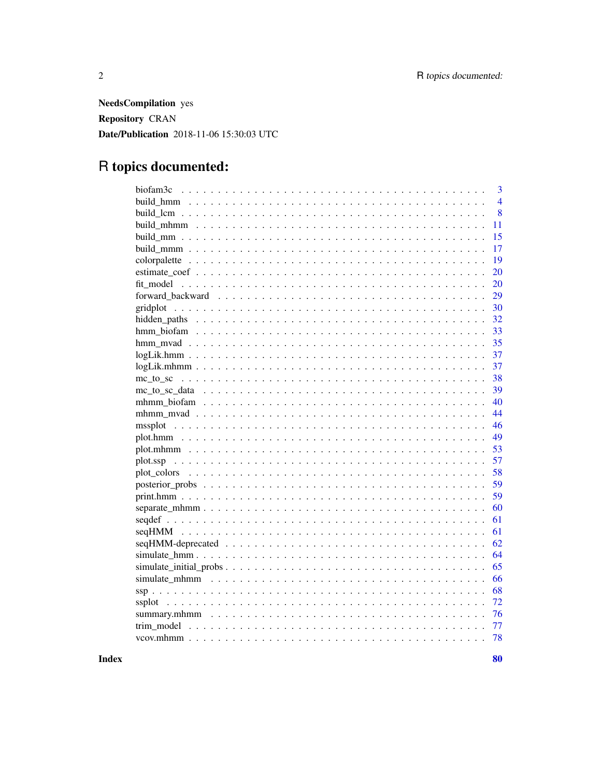NeedsCompilation yes Repository CRAN Date/Publication 2018-11-06 15:30:03 UTC

# R topics documented:

|                                                                                                           | $\overline{3}$ |
|-----------------------------------------------------------------------------------------------------------|----------------|
|                                                                                                           | $\overline{4}$ |
|                                                                                                           | 8              |
|                                                                                                           | 11             |
|                                                                                                           | 15             |
|                                                                                                           | 17             |
|                                                                                                           | 19             |
|                                                                                                           | 20             |
|                                                                                                           | 20             |
|                                                                                                           | 29             |
|                                                                                                           | 30             |
|                                                                                                           | 32             |
|                                                                                                           | 33             |
|                                                                                                           | 35             |
|                                                                                                           | 37             |
| $logLik.mhmm$                                                                                             | 37             |
|                                                                                                           | 38             |
|                                                                                                           | 39             |
|                                                                                                           | 40             |
|                                                                                                           | 44             |
|                                                                                                           | 46             |
|                                                                                                           | 49             |
|                                                                                                           | 53             |
|                                                                                                           | 57             |
|                                                                                                           | 58             |
|                                                                                                           | 59             |
|                                                                                                           | 59             |
|                                                                                                           | 60             |
|                                                                                                           | 61             |
|                                                                                                           | 61             |
| $seqHMM-dependereded \dots \dots \dots \dots \dots \dots \dots \dots \dots \dots \dots \dots \dots \dots$ | 62             |
|                                                                                                           | 64             |
|                                                                                                           | 65             |
|                                                                                                           | 66             |
|                                                                                                           | 68             |
|                                                                                                           | 72             |
|                                                                                                           | 76             |
|                                                                                                           | 77             |
|                                                                                                           | 78             |
|                                                                                                           |                |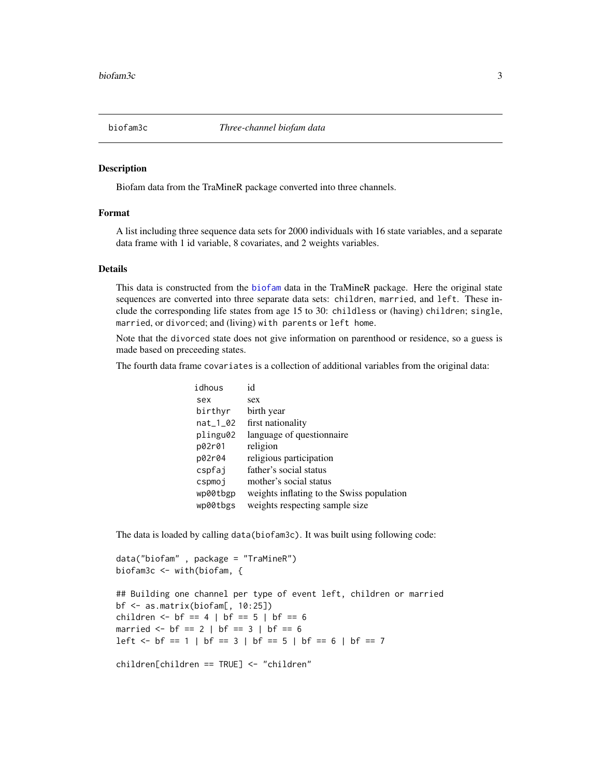<span id="page-2-1"></span><span id="page-2-0"></span>

## Description

Biofam data from the TraMineR package converted into three channels.

# Format

A list including three sequence data sets for 2000 individuals with 16 state variables, and a separate data frame with 1 id variable, 8 covariates, and 2 weights variables.

#### Details

This data is constructed from the [biofam](#page-0-0) data in the TraMineR package. Here the original state sequences are converted into three separate data sets: children, married, and left. These include the corresponding life states from age 15 to 30: childless or (having) children; single, married, or divorced; and (living) with parents or left home.

Note that the divorced state does not give information on parenthood or residence, so a guess is made based on preceeding states.

The fourth data frame covariates is a collection of additional variables from the original data:

| idhous     | id                                        |
|------------|-------------------------------------------|
| sex        | sex                                       |
| birthyr    | birth year                                |
| $nat_1_02$ | first nationality                         |
| plingu02   | language of questionnaire                 |
| p02r01     | religion                                  |
| p02r04     | religious participation                   |
| cspfai     | father's social status                    |
| cspmoj     | mother's social status                    |
| wp00tbgp   | weights inflating to the Swiss population |
| wp00tbgs   | weights respecting sample size            |
|            |                                           |

The data is loaded by calling data(biofam3c). It was built using following code:

```
data("biofam" , package = "TraMineR")
biofam3c <- with(biofam, {
```
## Building one channel per type of event left, children or married bf <- as.matrix(biofam[, 10:25]) children <-  $bf = 4$  |  $bf = 5$  |  $bf = 6$ married  $<-$  bf == 2 | bf == 3 | bf == 6 left  $\le$  bf == 1 | bf == 3 | bf == 5 | bf == 6 | bf == 7

children[children == TRUE] <- "children"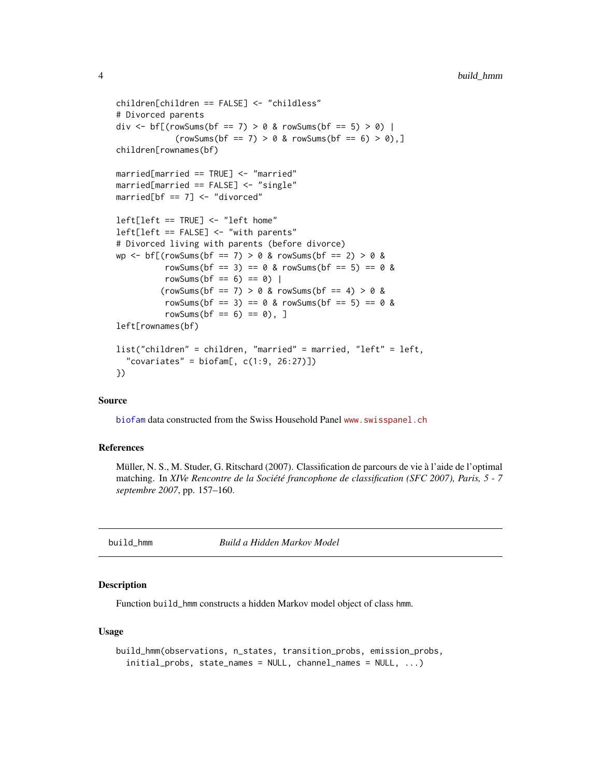```
children[children == FALSE] <- "childless"
# Divorced parents
div <- bf[(rowSums(bf == 7) > 0 & rowSums(bf == 5) > 0) |
            (rowSums(bf == 7) > 0 & rowSums(bf == 6) > 0),children[rownames(bf)
married[married == TRUE] <- "married"
married[married == FALSE] <- "single"
married[bf == 7] < - "divorced"
left[left == TRUE] <- "left home"
left[left == FALSE] <- "with parents"
# Divorced living with parents (before divorce)
wp <- bf[(rowSums(bf == 7) > 0 & rowSums(bf == 2) > 0 &
          rowSums(bf == 3) == 0 & rowSums(bf == 5) == 0 &
          rowSums(bf = 6) == 0) |
         (rowSums(bf == 7) > 0 & rowSums(bf == 4) > 0 &rowSums(bf = 3) == 0 & rowSums(bf = 5) == 0 &
          rowSums(bf = 6) == 0), ]
left[rownames(bf)
list("children" = children, "married" = married, "left" = left,
  "covariates" = biofam[, c(1:9, 26:27)]})
```
#### Source

[biofam](#page-0-0) data constructed from the Swiss Household Panel <www.swisspanel.ch>

## References

Müller, N. S., M. Studer, G. Ritschard (2007). Classification de parcours de vie à l'aide de l'optimal matching. In *XIVe Rencontre de la Société francophone de classification (SFC 2007), Paris, 5 - 7 septembre 2007*, pp. 157–160.

<span id="page-3-1"></span>

build\_hmm *Build a Hidden Markov Model*

#### **Description**

Function build\_hmm constructs a hidden Markov model object of class hmm.

## Usage

```
build_hmm(observations, n_states, transition_probs, emission_probs,
  initial_probs, state_names = NULL, channel_names = NULL, ...)
```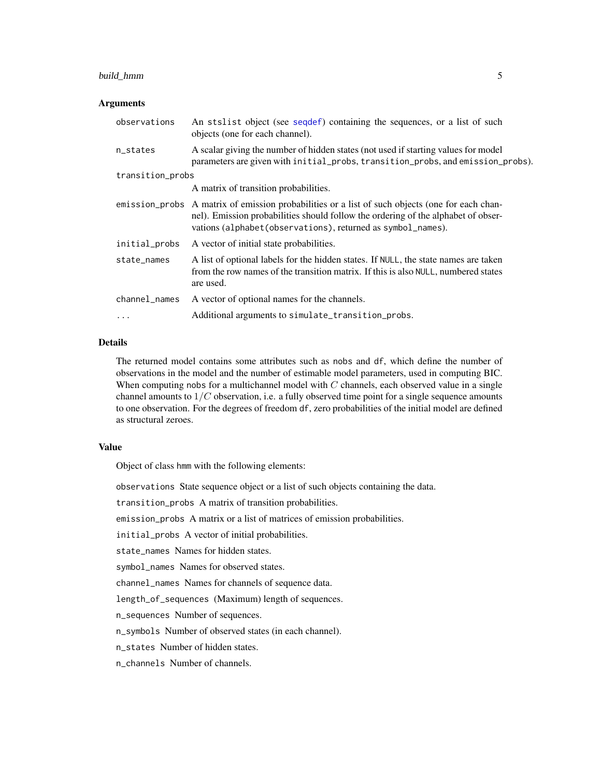# build\_hmm 5

## **Arguments**

| observations     | An stslist object (see sequently containing the sequences, or a list of such<br>objects (one for each channel).                                                                                                                                      |
|------------------|------------------------------------------------------------------------------------------------------------------------------------------------------------------------------------------------------------------------------------------------------|
| n_states         | A scalar giving the number of hidden states (not used if starting values for model<br>parameters are given with initial_probs, transition_probs, and emission_probs).                                                                                |
| transition_probs |                                                                                                                                                                                                                                                      |
|                  | A matrix of transition probabilities.                                                                                                                                                                                                                |
|                  | emission_probs A matrix of emission probabilities or a list of such objects (one for each chan-<br>nel). Emission probabilities should follow the ordering of the alphabet of obser-<br>vations (alphabet (observations), returned as symbol_names). |
| initial_probs    | A vector of initial state probabilities.                                                                                                                                                                                                             |
| state_names      | A list of optional labels for the hidden states. If NULL, the state names are taken<br>from the row names of the transition matrix. If this is also NULL, numbered states<br>are used.                                                               |
| channel_names    | A vector of optional names for the channels.                                                                                                                                                                                                         |
| .                | Additional arguments to simulate_transition_probs.                                                                                                                                                                                                   |

# Details

The returned model contains some attributes such as nobs and df, which define the number of observations in the model and the number of estimable model parameters, used in computing BIC. When computing nobs for a multichannel model with  $C$  channels, each observed value in a single channel amounts to  $1/C$  observation, i.e. a fully observed time point for a single sequence amounts to one observation. For the degrees of freedom df, zero probabilities of the initial model are defined as structural zeroes.

# Value

Object of class hmm with the following elements:

observations State sequence object or a list of such objects containing the data.

transition\_probs A matrix of transition probabilities.

emission\_probs A matrix or a list of matrices of emission probabilities.

initial\_probs A vector of initial probabilities.

state\_names Names for hidden states.

symbol\_names Names for observed states.

channel\_names Names for channels of sequence data.

length\_of\_sequences (Maximum) length of sequences.

n\_sequences Number of sequences.

n\_symbols Number of observed states (in each channel).

n\_states Number of hidden states.

n\_channels Number of channels.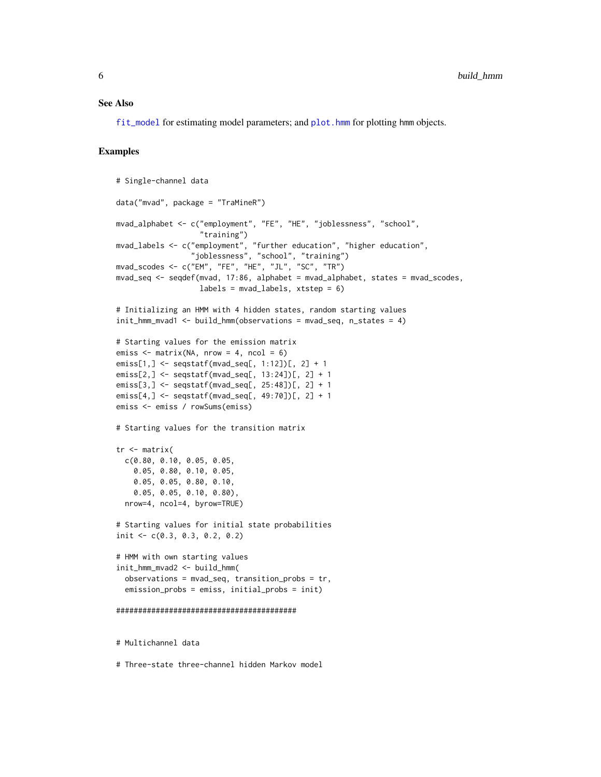#### See Also

[fit\\_model](#page-19-1) for estimating model parameters; and [plot.hmm](#page-48-1) for plotting hmm objects.

## Examples

```
# Single-channel data
data("mvad", package = "TraMineR")
mvad_alphabet <- c("employment", "FE", "HE", "joblessness", "school",
                   "training")
mvad_labels <- c("employment", "further education", "higher education",
                 "joblessness", "school", "training")
mvad_scodes <- c("EM", "FE", "HE", "JL", "SC", "TR")
mvad_seq <- seqdef(mvad, 17:86, alphabet = mvad_alphabet, states = mvad_scodes,
                   labels = mvad_labels, xtstep = 6)
# Initializing an HMM with 4 hidden states, random starting values
init_hmm_mvad1 <- build_hmm(observations = mvad_seq, n_states = 4)
# Starting values for the emission matrix
emiss \leq matrix(NA, nrow = 4, ncol = 6)
emiss[1,] <- seqstatf(mvad_seq[, 1:12])[, 2] + 1
emiss[2,] <- seqstatf(mvad_seq[, 13:24])[, 2] + 1
emiss[3,] <- seqstatf(mvad_seq[, 25:48])[, 2] + 1
emiss[4,] <- seqstatf(mvad_seq[, 49:70])[, 2] + 1
emiss <- emiss / rowSums(emiss)
# Starting values for the transition matrix
tr <- matrix(
 c(0.80, 0.10, 0.05, 0.05,
   0.05, 0.80, 0.10, 0.05,
   0.05, 0.05, 0.80, 0.10,
   0.05, 0.05, 0.10, 0.80),
 nrow=4, ncol=4, byrow=TRUE)
# Starting values for initial state probabilities
init <- c(0.3, 0.3, 0.2, 0.2)
# HMM with own starting values
init_hmm_mvad2 <- build_hmm(
 observations = mvad_seq, transition_probs = tr,
 emission_probs = emiss, initial_probs = init)
#########################################
# Multichannel data
```
# Three-state three-channel hidden Markov model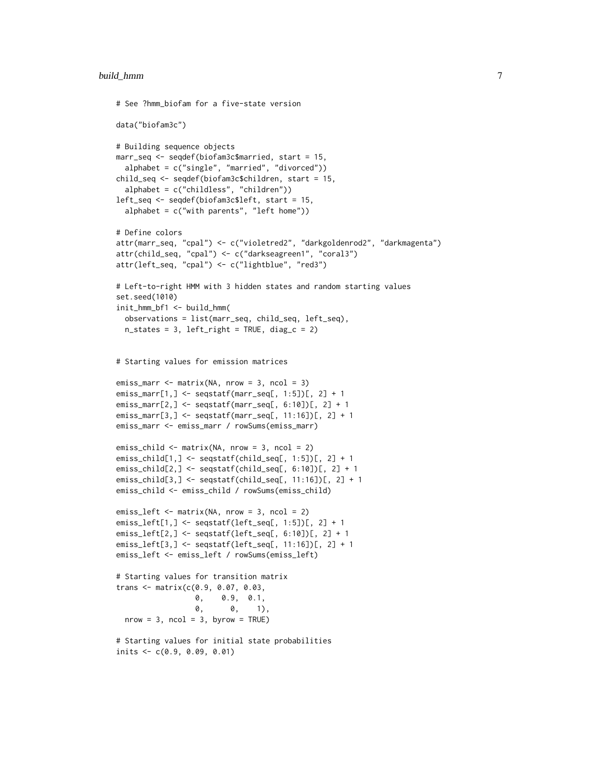```
# See ?hmm_biofam for a five-state version
data("biofam3c")
# Building sequence objects
marr_seq <- seqdef(biofam3c$married, start = 15,
  alphabet = c("single", "married", "divorced"))
child_seq <- seqdef(biofam3c$children, start = 15,
  alphabet = c("childless", "children"))
left_seq <- seqdef(biofam3c$left, start = 15,
  alphabet = c("with parents", "left home"))
# Define colors
attr(marr_seq, "cpal") <- c("violetred2", "darkgoldenrod2", "darkmagenta")
attr(child_seq, "cpal") <- c("darkseagreen1", "coral3")
attr(left_seq, "cpal") <- c("lightblue", "red3")
# Left-to-right HMM with 3 hidden states and random starting values
set.seed(1010)
init_hmm_bf1 <- build_hmm(
  observations = list(marr_seq, child_seq, left_seq),
  n_{\text{states}} = 3, left_right = TRUE, diag_c = 2)
# Starting values for emission matrices
emiss\_marr \leq matrix(NA, nrow = 3, ncol = 3)emiss_marr[1,] <- seqstatf(marr_seq[, 1:5])[, 2] + 1
emiss_marr[2,] <- seqstatf(marr_seq[, 6:10])[, 2] + 1
emiss_marr[3,] <- seqstatf(marr_seq[, 11:16])[, 2] + 1
emiss_marr <- emiss_marr / rowSums(emiss_marr)
emiss_child <- matrix(NA, nrow = 3, ncol = 2)
emiss_child[1,] <- seqstatf(child_seq[, 1:5])[, 2] + 1
emiss_child[2,] <- seqstatf(child_seq[, 6:10])[, 2] + 1
emiss_child[3,] <- seqstatf(child_seq[, 11:16])[, 2] + 1
emiss_child <- emiss_child / rowSums(emiss_child)
emiss_left <- matrix(NA, nrow = 3, ncol = 2)
emiss_left[1,] <- seqstatf(left_seq[, 1:5])[, 2] + 1
emiss_left[2,] <- seqstatf(left_seq[, 6:10])[, 2] + 1
emiss_left[3,] <- seqstatf(left_seq[, 11:16])[, 2] + 1
emiss_left <- emiss_left / rowSums(emiss_left)
# Starting values for transition matrix
trans <- matrix(c(0.9, 0.07, 0.03,
                  0, 0.9, 0.1,
                  0, 0, 1),
  nrow = 3, ncol = 3, byrow = TRUE)
# Starting values for initial state probabilities
inits <- c(0.9, 0.09, 0.01)
```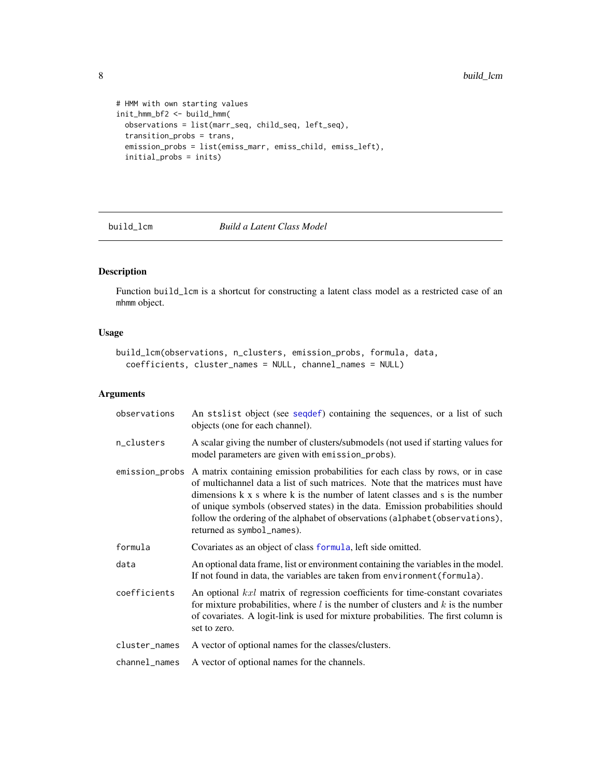```
# HMM with own starting values
init_hmm_bf2 <- build_hmm(
  observations = list(marr_seq, child_seq, left_seq),
  transition_probs = trans,
  emission_probs = list(emiss_marr, emiss_child, emiss_left),
  initial_probs = inits)
```
# <span id="page-7-1"></span>build\_lcm *Build a Latent Class Model*

# Description

Function build\_lcm is a shortcut for constructing a latent class model as a restricted case of an mhmm object.

# Usage

```
build_lcm(observations, n_clusters, emission_probs, formula, data,
  coefficients, cluster_names = NULL, channel_names = NULL)
```
# Arguments

| observations  | An stslist object (see sequef) containing the sequences, or a list of such<br>objects (one for each channel).                                                                                                                                                                                                                                                                                                                                                   |
|---------------|-----------------------------------------------------------------------------------------------------------------------------------------------------------------------------------------------------------------------------------------------------------------------------------------------------------------------------------------------------------------------------------------------------------------------------------------------------------------|
| n_clusters    | A scalar giving the number of clusters/submodels (not used if starting values for<br>model parameters are given with emission_probs).                                                                                                                                                                                                                                                                                                                           |
|               | emission_probs A matrix containing emission probabilities for each class by rows, or in case<br>of multichannel data a list of such matrices. Note that the matrices must have<br>dimensions k x s where k is the number of latent classes and s is the number<br>of unique symbols (observed states) in the data. Emission probabilities should<br>follow the ordering of the alphabet of observations (alphabet (observations),<br>returned as symbol_names). |
| formula       | Covariates as an object of class formula, left side omitted.                                                                                                                                                                                                                                                                                                                                                                                                    |
| data          | An optional data frame, list or environment containing the variables in the model.<br>If not found in data, the variables are taken from environment (formula).                                                                                                                                                                                                                                                                                                 |
| coefficients  | An optional kxl matrix of regression coefficients for time-constant covariates<br>for mixture probabilities, where $l$ is the number of clusters and $k$ is the number<br>of covariates. A logit-link is used for mixture probabilities. The first column is<br>set to zero.                                                                                                                                                                                    |
| cluster_names | A vector of optional names for the classes/clusters.                                                                                                                                                                                                                                                                                                                                                                                                            |
| channel_names | A vector of optional names for the channels.                                                                                                                                                                                                                                                                                                                                                                                                                    |

<span id="page-7-0"></span>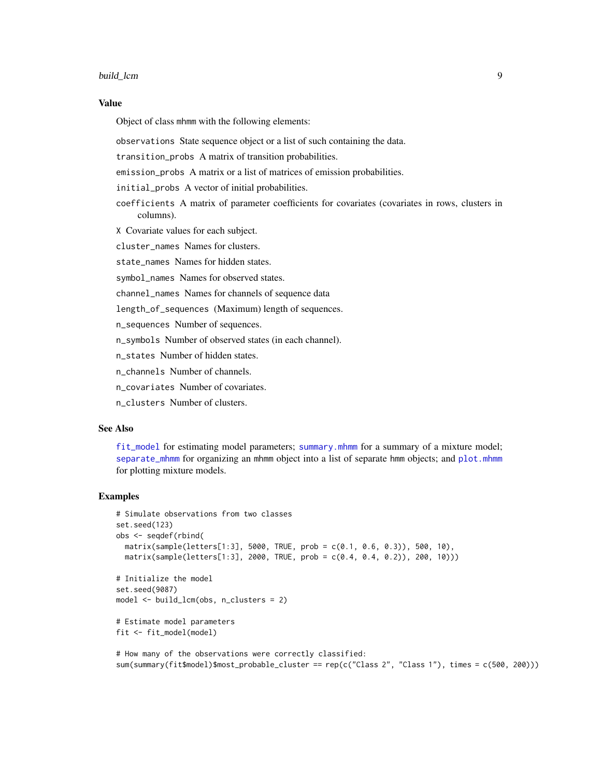#### build\_lcm 9

## Value

Object of class mhmm with the following elements:

observations State sequence object or a list of such containing the data.

transition\_probs A matrix of transition probabilities.

emission\_probs A matrix or a list of matrices of emission probabilities.

initial\_probs A vector of initial probabilities.

coefficients A matrix of parameter coefficients for covariates (covariates in rows, clusters in columns).

X Covariate values for each subject.

cluster names Names for clusters.

state names Names for hidden states.

symbol\_names Names for observed states.

channel\_names Names for channels of sequence data

length\_of\_sequences (Maximum) length of sequences.

n\_sequences Number of sequences.

n\_symbols Number of observed states (in each channel).

n\_states Number of hidden states.

n\_channels Number of channels.

n\_covariates Number of covariates.

n\_clusters Number of clusters.

# See Also

[fit\\_model](#page-19-1) for estimating model parameters; [summary.mhmm](#page-75-1) for a summary of a mixture model; [separate\\_mhmm](#page-59-1) for organizing an mhmm object into a list of separate hmm objects; and [plot.mhmm](#page-52-1) for plotting mixture models.

#### Examples

```
# Simulate observations from two classes
set.seed(123)
obs <- seqdef(rbind(
  matrix(sample(letters[1:3], 5000, TRUE, prob = c(0.1, 0.6, 0.3)), 500, 10),
  matrix(sample(letters[1:3], 2000, TRUE, prob = c(0.4, 0.4, 0.2)), 200, 10)))
# Initialize the model
set.seed(9087)
model <- build_lcm(obs, n_clusters = 2)
# Estimate model parameters
fit <- fit_model(model)
# How many of the observations were correctly classified:
```
sum(summary(fit\$model)\$most\_probable\_cluster == rep(c("Class 2", "Class 1"), times = c(500, 200)))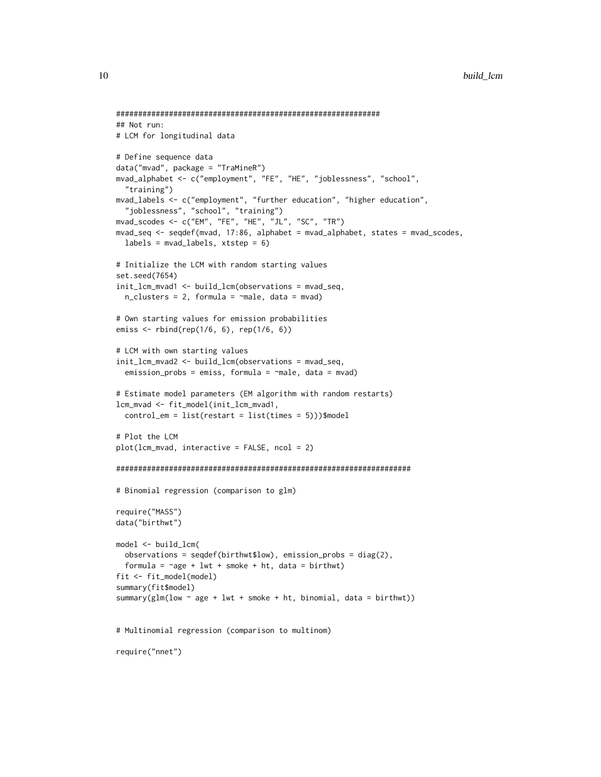```
############################################################
## Not run:
# LCM for longitudinal data
# Define sequence data
data("mvad", package = "TraMineR")
mvad_alphabet <- c("employment", "FE", "HE", "joblessness", "school",
  "training")
mvad_labels <- c("employment", "further education", "higher education",
  "joblessness", "school", "training")
mvad_scodes <- c("EM", "FE", "HE", "JL", "SC", "TR")
mvad_seq <- seqdef(mvad, 17:86, alphabet = mvad_alphabet, states = mvad_scodes,
  labels = \text{mvad}_labels, xtstep = 6)# Initialize the LCM with random starting values
set.seed(7654)
init_lcm_mvad1 <- build_lcm(observations = mvad_seq,
  n_{\text{clusters}} = 2, formula = \text{male}, data = mvad)
# Own starting values for emission probabilities
emiss <- rbind(rep(1/6, 6), rep(1/6, 6))
# LCM with own starting values
init_lcm_mvad2 <- build_lcm(observations = mvad_seq,
  emission_probs = emiss, formula = \negmale, data = mvad)
# Estimate model parameters (EM algorithm with random restarts)
lcm_mvad <- fit_model(init_lcm_mvad1,
  control_em = list(restart = list(times = 5)))$model
# Plot the LCM
plot(lcm_mvad, interactive = FALSE, ncol = 2)
###################################################################
# Binomial regression (comparison to glm)
require("MASS")
data("birthwt")
model <- build_lcm(
  observations = seqdef(birthwt$low), emission_probs = diag(2),
  formula = \simage + lwt + smoke + ht, data = birthwt)
fit <- fit_model(model)
summary(fit$model)
summary(glm(low \sim age + lwt + smoke + ht, binomial, data = birthwt))
# Multinomial regression (comparison to multinom)
require("nnet")
```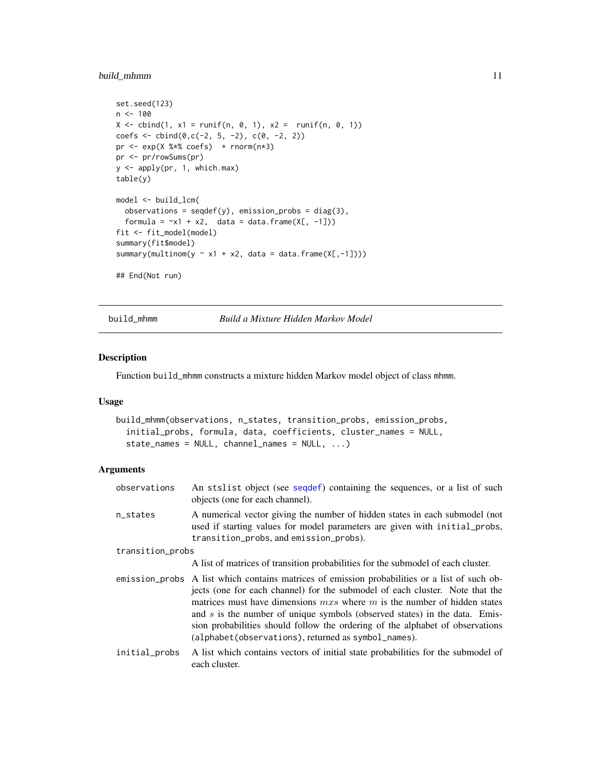# <span id="page-10-0"></span>build\_mhmm 11

```
set.seed(123)
n < -100X \le cbind(1, x1 = runif(n, 0, 1), x2 = runif(n, 0, 1))
coefs \le cbind(0,c(-2, 5, -2), c(0, -2, 2))
pr \leq -exp(X % x * cos f) + rnorm(n * 3)pr <- pr/rowSums(pr)
y <- apply(pr, 1, which.max)
table(y)
model <- build_lcm(
  observations = seqdef(y), emission_probs = diag(3),
  formula = -x1 + x2, data = data.frame(X[, -1]))
fit <- fit_model(model)
summary(fit$model)
summary(multinom(y \sim x1 + x2, data = data.frame(X[,-1])))
## End(Not run)
```
<span id="page-10-1"></span>build\_mhmm *Build a Mixture Hidden Markov Model*

# Description

Function build\_mhmm constructs a mixture hidden Markov model object of class mhmm.

## Usage

```
build_mhmm(observations, n_states, transition_probs, emission_probs,
  initial_probs, formula, data, coefficients, cluster_names = NULL,
  state_names = NULL, channel_names = NULL, ...)
```
# Arguments

| observations     | An stslist object (see sequef) containing the sequences, or a list of such<br>objects (one for each channel).                                                                                                                                                                                                                                                                                                                                                                       |  |
|------------------|-------------------------------------------------------------------------------------------------------------------------------------------------------------------------------------------------------------------------------------------------------------------------------------------------------------------------------------------------------------------------------------------------------------------------------------------------------------------------------------|--|
| n_states         | A numerical vector giving the number of hidden states in each submodel (not<br>used if starting values for model parameters are given with initial probs,<br>transition_probs, and emission_probs).                                                                                                                                                                                                                                                                                 |  |
| transition_probs |                                                                                                                                                                                                                                                                                                                                                                                                                                                                                     |  |
|                  | A list of matrices of transition probabilities for the submodel of each cluster.                                                                                                                                                                                                                                                                                                                                                                                                    |  |
|                  | emission_probs A list which contains matrices of emission probabilities or a list of such ob-<br>jects (one for each channel) for the submodel of each cluster. Note that the<br>matrices must have dimensions $mxs$ where m is the number of hidden states<br>and $s$ is the number of unique symbols (observed states) in the data. Emis-<br>sion probabilities should follow the ordering of the alphabet of observations<br>(alphabet(observations), returned as symbol_names). |  |
| initial_probs    | A list which contains vectors of initial state probabilities for the submodel of<br>each cluster.                                                                                                                                                                                                                                                                                                                                                                                   |  |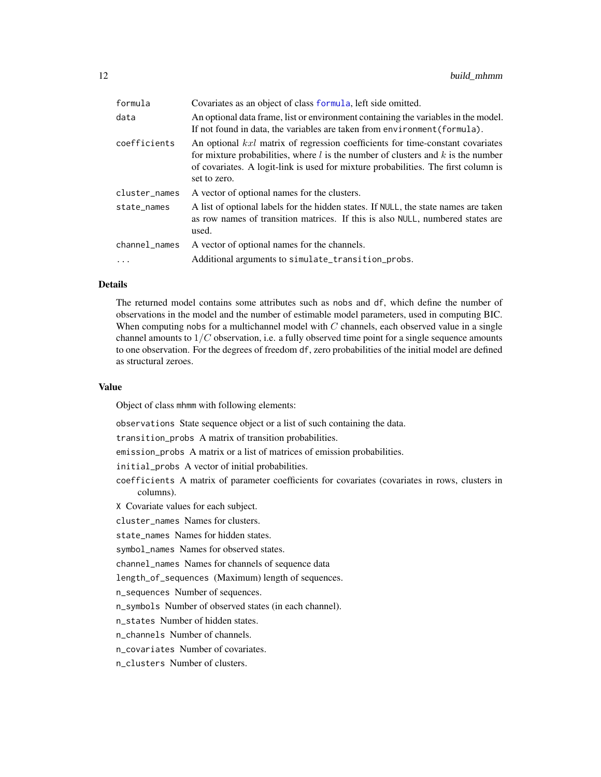| formula       | Covariates as an object of class formula, left side omitted.                                                                                                                                                                                                                 |
|---------------|------------------------------------------------------------------------------------------------------------------------------------------------------------------------------------------------------------------------------------------------------------------------------|
| data          | An optional data frame, list or environment containing the variables in the model.<br>If not found in data, the variables are taken from environment (formula).                                                                                                              |
| coefficients  | An optional kxl matrix of regression coefficients for time-constant covariates<br>for mixture probabilities, where $l$ is the number of clusters and $k$ is the number<br>of covariates. A logit-link is used for mixture probabilities. The first column is<br>set to zero. |
| cluster_names | A vector of optional names for the clusters.                                                                                                                                                                                                                                 |
| state_names   | A list of optional labels for the hidden states. If NULL, the state names are taken<br>as row names of transition matrices. If this is also NULL, numbered states are<br>used.                                                                                               |
| channel_names | A vector of optional names for the channels.                                                                                                                                                                                                                                 |
| $\ddotsc$     | Additional arguments to simulate_transition_probs.                                                                                                                                                                                                                           |
|               |                                                                                                                                                                                                                                                                              |

## Details

The returned model contains some attributes such as nobs and df, which define the number of observations in the model and the number of estimable model parameters, used in computing BIC. When computing nobs for a multichannel model with  $C$  channels, each observed value in a single channel amounts to  $1/C$  observation, i.e. a fully observed time point for a single sequence amounts to one observation. For the degrees of freedom df, zero probabilities of the initial model are defined as structural zeroes.

## Value

Object of class mhmm with following elements:

observations State sequence object or a list of such containing the data.

transition\_probs A matrix of transition probabilities.

emission\_probs A matrix or a list of matrices of emission probabilities.

initial\_probs A vector of initial probabilities.

- coefficients A matrix of parameter coefficients for covariates (covariates in rows, clusters in columns).
- X Covariate values for each subject.
- cluster\_names Names for clusters.

state\_names Names for hidden states.

symbol\_names Names for observed states.

channel\_names Names for channels of sequence data

length\_of\_sequences (Maximum) length of sequences.

n\_sequences Number of sequences.

n\_symbols Number of observed states (in each channel).

n\_states Number of hidden states.

n channels Number of channels.

n\_covariates Number of covariates.

n\_clusters Number of clusters.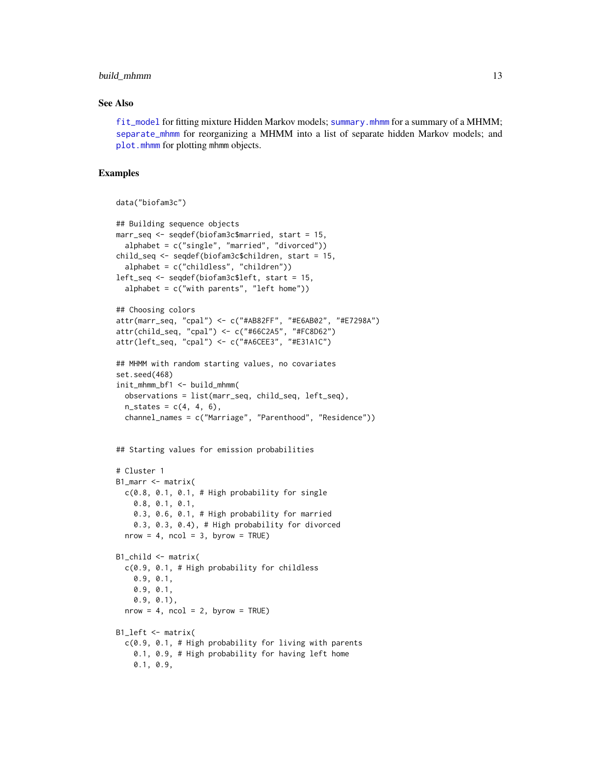# build\_mhmm 13

## See Also

[fit\\_model](#page-19-1) for fitting mixture Hidden Markov models; [summary.mhmm](#page-75-1) for a summary of a MHMM; [separate\\_mhmm](#page-59-1) for reorganizing a MHMM into a list of separate hidden Markov models; and [plot.mhmm](#page-52-1) for plotting mhmm objects.

# Examples

```
data("biofam3c")
```

```
## Building sequence objects
marr_seq <- seqdef(biofam3c$married, start = 15,
  alphabet = c("single", "married", "divorced"))
child_seq <- seqdef(biofam3c$children, start = 15,
  alphabet = c("childless", "children"))
left_seq <- seqdef(biofam3c$left, start = 15,
  alphabet = c("with parents", "left home"))
## Choosing colors
attr(marr_seq, "cpal") <- c("#AB82FF", "#E6AB02", "#E7298A")
attr(child_seq, "cpal") <- c("#66C2A5", "#FC8D62")
attr(left_seq, "cpal") <- c("#A6CEE3", "#E31A1C")
## MHMM with random starting values, no covariates
set.seed(468)
init_mhmm_bf1 <- build_mhmm(
  observations = list(marr_seq, child_seq, left_seq),
  n_{\text{states}} = c(4, 4, 6),channel_names = c("Marriage", "Parenthood", "Residence"))
## Starting values for emission probabilities
# Cluster 1
B1_marr <- matrix(
 c(0.8, 0.1, 0.1, # High probability for single
    0.8, 0.1, 0.1,
   0.3, 0.6, 0.1, # High probability for married
    0.3, 0.3, 0.4), # High probability for divorced
  nrow = 4, ncol = 3, byrow = TRUE)
B1_child <- matrix(
  c(0.9, 0.1, # High probability for childless
   0.9, 0.1,
   0.9, 0.1,
   0.9, 0.1),
  nrow = 4, ncol = 2, byrow = TRUE)
B1_left <- matrix(
  c(0.9, 0.1, # High probability for living with parents
    0.1, 0.9, # High probability for having left home
   0.1, 0.9,
```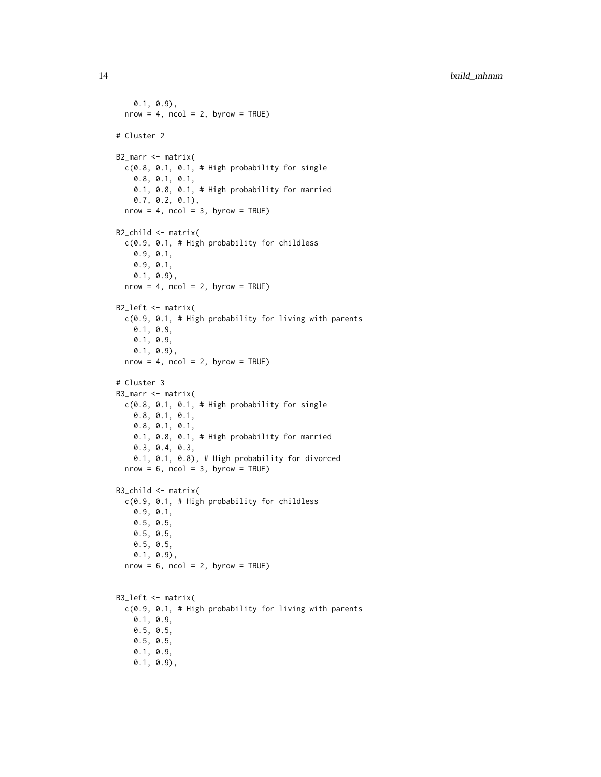```
0.1, 0.9),
  nrow = 4, ncol = 2, byrow = TRUE)
# Cluster 2
B2_marr <- matrix(
  c(0.8, 0.1, 0.1, # High probability for single0.8, 0.1, 0.1,
    0.1, 0.8, 0.1, # High probability for married
    0.7, 0.2, 0.1),
  nrow = 4, ncol = 3, byrow = TRUE)
B2_child <- matrix(
  c(0.9, 0.1, # High probability for childless
    0.9, 0.1,
    0.9, 0.1,
    0.1, 0.9),
  nrow = 4, ncol = 2, byrow = TRUE)
B2_left <- matrix(
  c(0.9, 0.1, # High probability for living with parents
    0.1, 0.9,
    0.1, 0.9,
    0.1, 0.9),
  nrow = 4, ncol = 2, byrow = TRUE)
# Cluster 3
B3_marr <- matrix(
  c(0.8, 0.1, 0.1, # High probability for single0.8, 0.1, 0.1,
    0.8, 0.1, 0.1,
    0.1, 0.8, 0.1, # High probability for married
    0.3, 0.4, 0.3,
    0.1, 0.1, 0.8), # High probability for divorced
  nrow = 6, ncol = 3, byrow = TRUE)
B3_child <- matrix(
  c(0.9, 0.1, # High probability for childless
    0.9, 0.1,
    0.5, 0.5,
    0.5, 0.5,
    0.5, 0.5,
    0.1, 0.9),
  nrow = 6, ncol = 2, byrow = TRUE)
B3_left <- matrix(
  c(0.9, 0.1, # High probability for living with parents
    0.1, 0.9,
    0.5, 0.5,
    0.5, 0.5,
    0.1, 0.9,
    0.1, 0.9),
```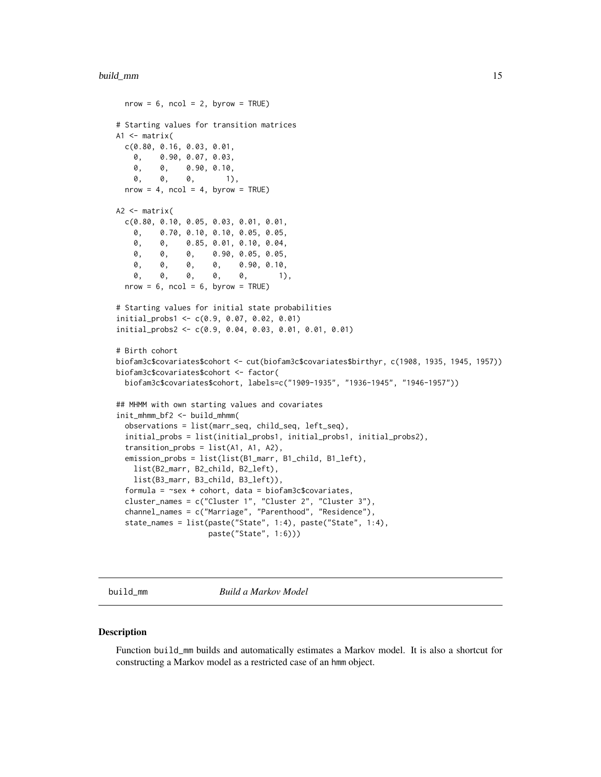#### <span id="page-14-0"></span>build\_mm 15

```
nrow = 6, ncol = 2, byrow = TRUE)
# Starting values for transition matrices
A1 \leq matrix(
 c(0.80, 0.16, 0.03, 0.01,
   0, 0.90, 0.07, 0.03,
   0, 0, 0.90, 0.10,
   0, 0, 0, 1),
 nrow = 4, ncol = 4, byrow = TRUE)
A2 <- matrix(
 c(0.80, 0.10, 0.05, 0.03, 0.01, 0.01,
    0, 0.70, 0.10, 0.10, 0.05, 0.05,
   0, 0, 0.85, 0.01, 0.10, 0.04,
   0, 0, 0, 0.90, 0.05, 0.05,
   0, 0, 0, 0, 0.90, 0.10,<br>0, 0, 0, 0, 0, 1)
    0, 0, 0, 0, 0, 1),
 nrow = 6, ncol = 6, byrow = TRUE)
# Starting values for initial state probabilities
initial_probs1 <- c(0.9, 0.07, 0.02, 0.01)
initial_probs2 <- c(0.9, 0.04, 0.03, 0.01, 0.01, 0.01)
# Birth cohort
biofam3c$covariates$cohort <- cut(biofam3c$covariates$birthyr, c(1908, 1935, 1945, 1957))
biofam3c$covariates$cohort <- factor(
 biofam3c$covariates$cohort, labels=c("1909-1935", "1936-1945", "1946-1957"))
## MHMM with own starting values and covariates
init_mhmm_bf2 <- build_mhmm(
 observations = list(marr_seq, child_seq, left_seq),
 initial_probs = list(initial_probs1, initial_probs1, initial_probs2),
 transition_probs = list(A1, A1, A2),
 emission_probs = list(list(B1_marr, B1_child, B1_left),
   list(B2_marr, B2_child, B2_left),
   list(B3_marr, B3_child, B3_left)),
 formula = \text{``sex + cohort, data = biofam3c$covariates},cluster_names = c("Cluster 1", "Cluster 2", "Cluster 3"),
  channel_names = c("Marriage", "Parenthood", "Residence"),
 state_names = list(paste("State", 1:4), paste("State", 1:4),
                    paste("State", 1:6)))
```
<span id="page-14-1"></span>

build\_mm *Build a Markov Model*

## Description

Function build\_mm builds and automatically estimates a Markov model. It is also a shortcut for constructing a Markov model as a restricted case of an hmm object.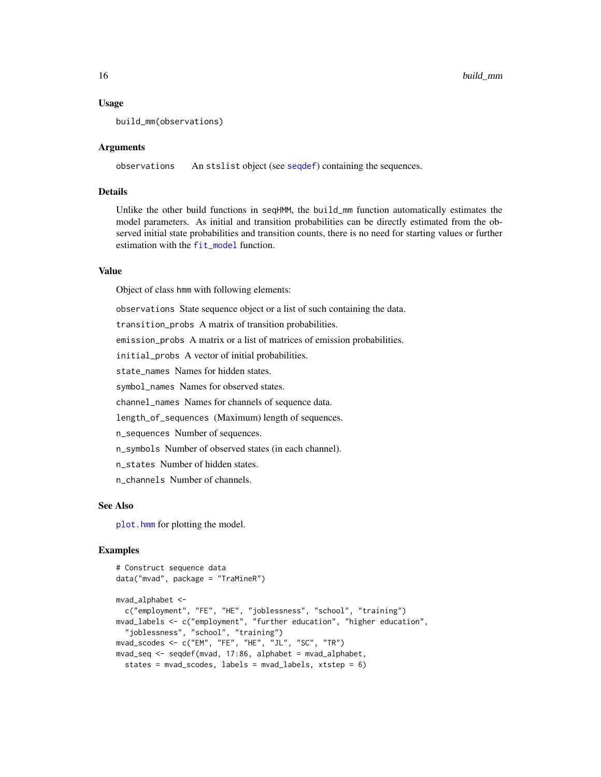### Usage

```
build_mm(observations)
```
## Arguments

observations An stslist object (see [seqdef](#page-60-1)) containing the sequences.

## Details

Unlike the other build functions in seqHMM, the build\_mm function automatically estimates the model parameters. As initial and transition probabilities can be directly estimated from the observed initial state probabilities and transition counts, there is no need for starting values or further estimation with the [fit\\_model](#page-19-1) function.

## Value

Object of class hmm with following elements:

observations State sequence object or a list of such containing the data.

transition\_probs A matrix of transition probabilities.

emission\_probs A matrix or a list of matrices of emission probabilities.

initial\_probs A vector of initial probabilities.

state\_names Names for hidden states.

symbol\_names Names for observed states.

channel\_names Names for channels of sequence data.

length\_of\_sequences (Maximum) length of sequences.

n\_sequences Number of sequences.

n\_symbols Number of observed states (in each channel).

n\_states Number of hidden states.

n\_channels Number of channels.

#### See Also

plot. hmm for plotting the model.

## Examples

```
# Construct sequence data
data("mvad", package = "TraMineR")
mvad_alphabet <-
  c("employment", "FE", "HE", "joblessness", "school", "training")
mvad_labels <- c("employment", "further education", "higher education",
  "joblessness", "school", "training")
mvad_scodes <- c("EM", "FE", "HE", "JL", "SC", "TR")
mvad_seq <- seqdef(mvad, 17:86, alphabet = mvad_alphabet,
  states = mvad_scodes, labels = mvad_labels, xtstep = 6)
```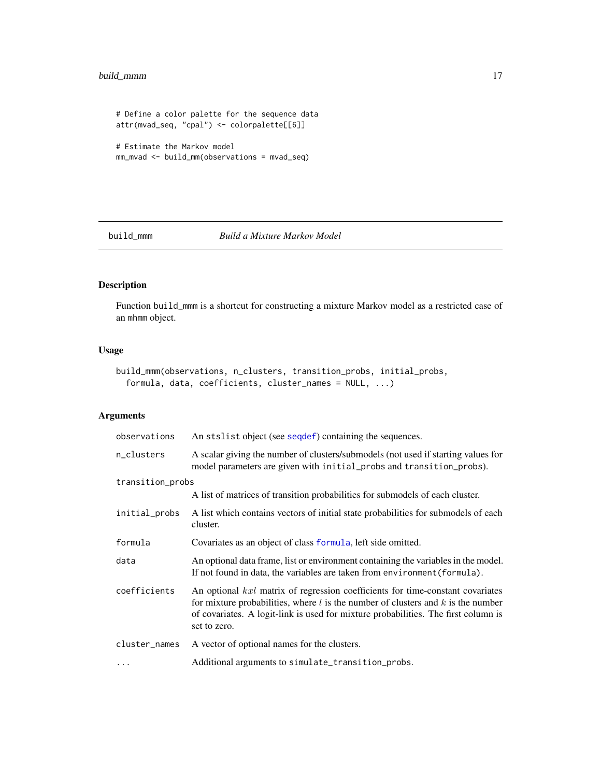# <span id="page-16-0"></span>build\_mmm 17

```
# Define a color palette for the sequence data
attr(mvad_seq, "cpal") <- colorpalette[[6]]
# Estimate the Markov model
```

```
mm_mvad <- build_mm(observations = mvad_seq)
```
## <span id="page-16-1"></span>build\_mmm *Build a Mixture Markov Model*

# Description

Function build\_mmm is a shortcut for constructing a mixture Markov model as a restricted case of an mhmm object.

# Usage

```
build_mmm(observations, n_clusters, transition_probs, initial_probs,
  formula, data, coefficients, cluster_names = NULL, ...)
```
# Arguments

| observations     | An stslist object (see sequef) containing the sequences.                                                                                                                                                                                                                     |
|------------------|------------------------------------------------------------------------------------------------------------------------------------------------------------------------------------------------------------------------------------------------------------------------------|
| n_clusters       | A scalar giving the number of clusters/submodels (not used if starting values for<br>model parameters are given with initial_probs and transition_probs).                                                                                                                    |
| transition_probs |                                                                                                                                                                                                                                                                              |
|                  | A list of matrices of transition probabilities for submodels of each cluster.                                                                                                                                                                                                |
| initial_probs    | A list which contains vectors of initial state probabilities for submodels of each<br>cluster.                                                                                                                                                                               |
| formula          | Covariates as an object of class formula, left side omitted.                                                                                                                                                                                                                 |
| data             | An optional data frame, list or environment containing the variables in the model.<br>If not found in data, the variables are taken from environment (formula).                                                                                                              |
| coefficients     | An optional kxl matrix of regression coefficients for time-constant covariates<br>for mixture probabilities, where $l$ is the number of clusters and $k$ is the number<br>of covariates. A logit-link is used for mixture probabilities. The first column is<br>set to zero. |
| cluster_names    | A vector of optional names for the clusters.                                                                                                                                                                                                                                 |
| $\cdots$         | Additional arguments to simulate_transition_probs.                                                                                                                                                                                                                           |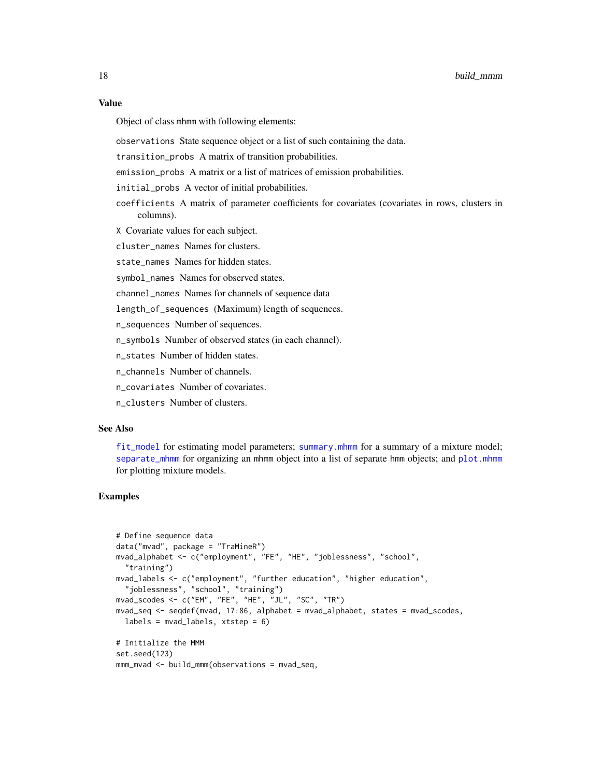# Value

Object of class mhmm with following elements:

observations State sequence object or a list of such containing the data.

transition\_probs A matrix of transition probabilities.

emission\_probs A matrix or a list of matrices of emission probabilities.

initial\_probs A vector of initial probabilities.

coefficients A matrix of parameter coefficients for covariates (covariates in rows, clusters in columns).

X Covariate values for each subject.

cluster names Names for clusters.

state names Names for hidden states.

symbol\_names Names for observed states.

channel\_names Names for channels of sequence data

length\_of\_sequences (Maximum) length of sequences.

n\_sequences Number of sequences.

n\_symbols Number of observed states (in each channel).

n\_states Number of hidden states.

n\_channels Number of channels.

n covariates Number of covariates.

n\_clusters Number of clusters.

# See Also

[fit\\_model](#page-19-1) for estimating model parameters; [summary.mhmm](#page-75-1) for a summary of a mixture model; [separate\\_mhmm](#page-59-1) for organizing an mhmm object into a list of separate hmm objects; and [plot.mhmm](#page-52-1) for plotting mixture models.

## Examples

```
# Define sequence data
data("mvad", package = "TraMineR")
mvad_alphabet <- c("employment", "FE", "HE", "joblessness", "school",
  "training")
mvad_labels <- c("employment", "further education", "higher education",
  "joblessness", "school", "training")
mvad_scodes <- c("EM", "FE", "HE", "JL", "SC", "TR")
mvad_seq <- seqdef(mvad, 17:86, alphabet = mvad_alphabet, states = mvad_scodes,
  labels = \text{mvad}_labels, xtstep = 6)# Initialize the MMM
set.seed(123)
mmm_mvad <- build_mmm(observations = mvad_seq,
```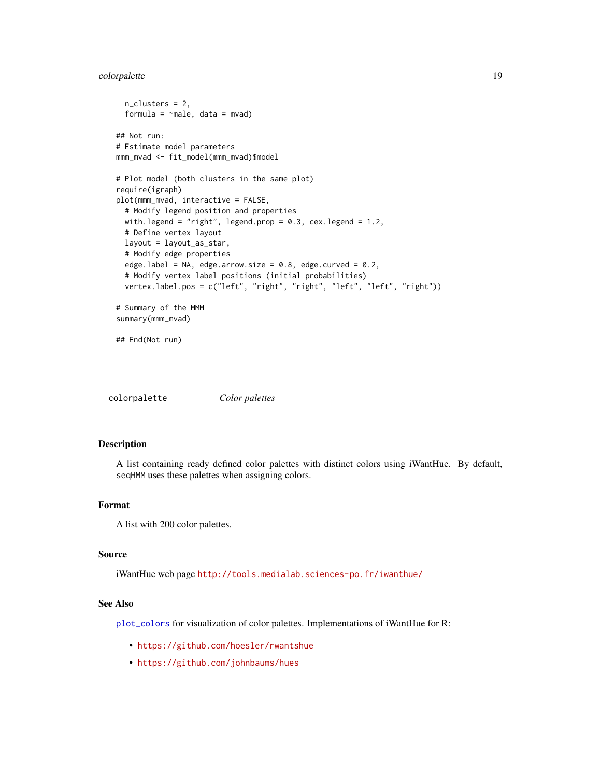# <span id="page-18-0"></span>colorpalette the set of the set of the set of the set of the set of the set of the set of the set of the set of the set of the set of the set of the set of the set of the set of the set of the set of the set of the set of

```
n_clusters = 2,
 formula = \negmale, data = mvad)
## Not run:
# Estimate model parameters
mmm_mvad <- fit_model(mmm_mvad)$model
# Plot model (both clusters in the same plot)
require(igraph)
plot(mmm_mvad, interactive = FALSE,
 # Modify legend position and properties
 with.legend = "right", legend.prop = 0.3, cex.legend = 1.2,
 # Define vertex layout
 layout = layout_as_star,
 # Modify edge properties
 edge.label = NA, edge.arrow.size = 0.8, edge.curved = 0.2,
 # Modify vertex label positions (initial probabilities)
 vertex.label.pos = c("left", "right", "right", "left", "left", "right"))
# Summary of the MMM
summary(mmm_mvad)
```
## End(Not run)

colorpalette *Color palettes*

#### Description

A list containing ready defined color palettes with distinct colors using iWantHue. By default, seqHMM uses these palettes when assigning colors.

#### Format

A list with 200 color palettes.

#### Source

iWantHue web page <http://tools.medialab.sciences-po.fr/iwanthue/>

## See Also

[plot\\_colors](#page-57-1) for visualization of color palettes. Implementations of iWantHue for R:

- <https://github.com/hoesler/rwantshue>
- <https://github.com/johnbaums/hues>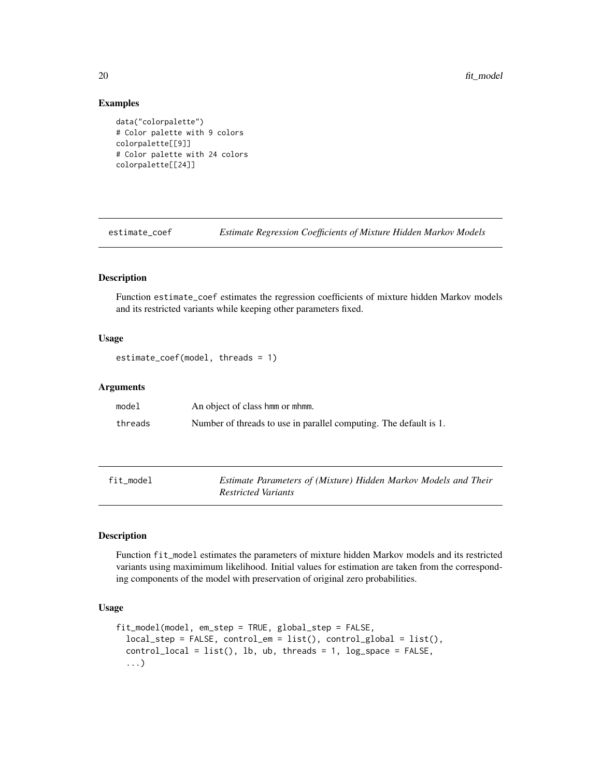20 fit\_model

## Examples

```
data("colorpalette")
# Color palette with 9 colors
colorpalette[[9]]
# Color palette with 24 colors
colorpalette[[24]]
```
estimate\_coef *Estimate Regression Coefficients of Mixture Hidden Markov Models*

# Description

Function estimate\_coef estimates the regression coefficients of mixture hidden Markov models and its restricted variants while keeping other parameters fixed.

## Usage

```
estimate_coef(model, threads = 1)
```
## **Arguments**

| model   | An object of class hmm or mhmm.                                   |
|---------|-------------------------------------------------------------------|
| threads | Number of threads to use in parallel computing. The default is 1. |

<span id="page-19-1"></span>

| `ıt_model |  |
|-----------|--|
|-----------|--|

Estimate Parameters of (Mixture) Hidden Markov Models and Their *Restricted Variants*

# Description

Function fit\_model estimates the parameters of mixture hidden Markov models and its restricted variants using maximimum likelihood. Initial values for estimation are taken from the corresponding components of the model with preservation of original zero probabilities.

# Usage

```
fit_model(model, em_step = TRUE, global_step = FALSE,
  local_step = FALSE, control_em = list(), control_global = list(),
  control\_local = list(), lb, ub, threads = 1, log\_space = FALSE,...)
```
<span id="page-19-0"></span>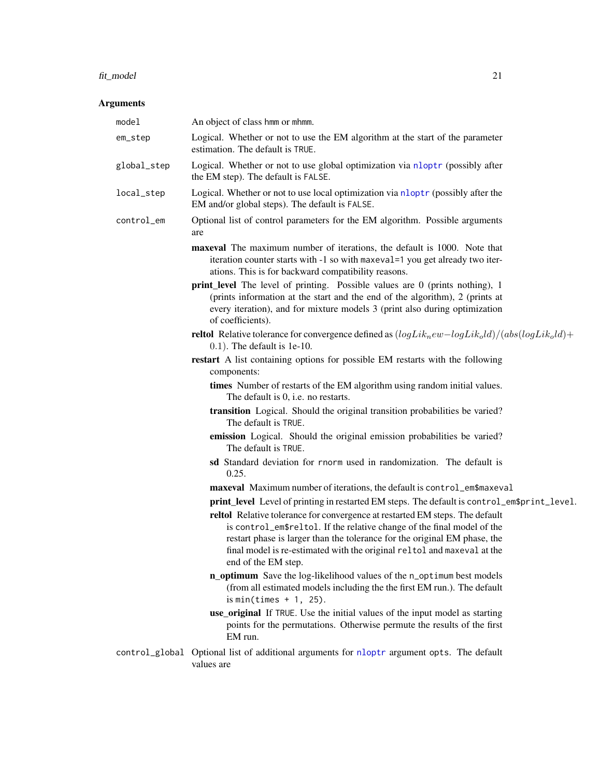#### fit\_model 21

# Arguments

| model       | An object of class hmm or mhmm.                                                                                                                                                                                                                                                                                                        |
|-------------|----------------------------------------------------------------------------------------------------------------------------------------------------------------------------------------------------------------------------------------------------------------------------------------------------------------------------------------|
| em_step     | Logical. Whether or not to use the EM algorithm at the start of the parameter<br>estimation. The default is TRUE.                                                                                                                                                                                                                      |
| global_step | Logical. Whether or not to use global optimization via nloptr (possibly after<br>the EM step). The default is FALSE.                                                                                                                                                                                                                   |
| local_step  | Logical. Whether or not to use local optimization via nloptr (possibly after the<br>EM and/or global steps). The default is FALSE.                                                                                                                                                                                                     |
| control_em  | Optional list of control parameters for the EM algorithm. Possible arguments<br>are                                                                                                                                                                                                                                                    |
|             | maxeval The maximum number of iterations, the default is 1000. Note that<br>iteration counter starts with -1 so with maxeval=1 you get already two iter-<br>ations. This is for backward compatibility reasons.                                                                                                                        |
|             | <b>print_level</b> The level of printing. Possible values are 0 (prints nothing), 1<br>(prints information at the start and the end of the algorithm), 2 (prints at<br>every iteration), and for mixture models 3 (print also during optimization<br>of coefficients).                                                                 |
|             | <b>reltol</b> Relative tolerance for convergence defined as $(logLik_new - logLik_old)/(abs(logLik_old) +$<br>$0.1$ ). The default is 1e-10.                                                                                                                                                                                           |
|             | restart A list containing options for possible EM restarts with the following<br>components:                                                                                                                                                                                                                                           |
|             | times Number of restarts of the EM algorithm using random initial values.<br>The default is 0, i.e. no restarts.                                                                                                                                                                                                                       |
|             | transition Logical. Should the original transition probabilities be varied?<br>The default is TRUE.                                                                                                                                                                                                                                    |
|             | emission Logical. Should the original emission probabilities be varied?<br>The default is TRUE.                                                                                                                                                                                                                                        |
|             | sd Standard deviation for rnorm used in randomization. The default is<br>0.25.                                                                                                                                                                                                                                                         |
|             | maxeval Maximum number of iterations, the default is control_em\$maxeval                                                                                                                                                                                                                                                               |
|             | print_level Level of printing in restarted EM steps. The default is control_em\$print_level.                                                                                                                                                                                                                                           |
|             | reltol Relative tolerance for convergence at restarted EM steps. The default<br>is control_em\$reltol. If the relative change of the final model of the<br>restart phase is larger than the tolerance for the original EM phase, the<br>final model is re-estimated with the original reltol and maxeval at the<br>end of the EM step. |
|             | n_optimum Save the log-likelihood values of the n_optimum best models<br>(from all estimated models including the the first EM run.). The default<br>is min(times $+1$ , 25).                                                                                                                                                          |
|             | use_original If TRUE. Use the initial values of the input model as starting<br>points for the permutations. Otherwise permute the results of the first<br>EM run.                                                                                                                                                                      |
|             | control_global Optional list of additional arguments for nloptr argument opts. The default<br>values are                                                                                                                                                                                                                               |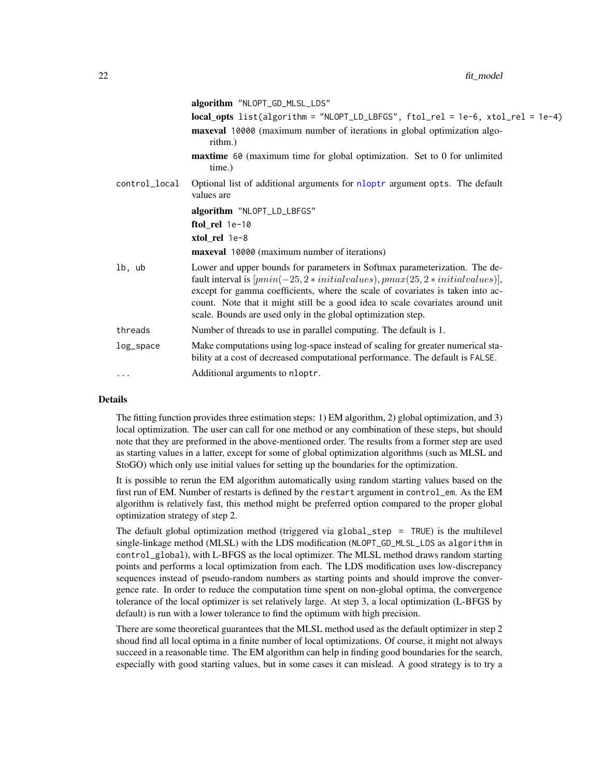|               | algorithm "NLOPT_GD_MLSL_LDS"                                                                                                                                                                                                                                                                                                                                                                    |
|---------------|--------------------------------------------------------------------------------------------------------------------------------------------------------------------------------------------------------------------------------------------------------------------------------------------------------------------------------------------------------------------------------------------------|
|               | local_opts list(algorithm = "NLOPT_LD_LBFGS", ftol_rel = 1e-6, xtol_rel = 1e-4)                                                                                                                                                                                                                                                                                                                  |
|               | maxeval 10000 (maximum number of iterations in global optimization algo-<br>rithm.)                                                                                                                                                                                                                                                                                                              |
|               | maxtime 60 (maximum time for global optimization. Set to 0 for unlimited<br>time.)                                                                                                                                                                                                                                                                                                               |
| control_local | Optional list of additional arguments for nloptr argument opts. The default<br>values are                                                                                                                                                                                                                                                                                                        |
|               | algorithm "NLOPT_LD_LBFGS"                                                                                                                                                                                                                                                                                                                                                                       |
|               | ftol_rel 1e-10                                                                                                                                                                                                                                                                                                                                                                                   |
|               | xtol_rel 1e-8                                                                                                                                                                                                                                                                                                                                                                                    |
|               | <b>maxeval</b> 10000 (maximum number of iterations)                                                                                                                                                                                                                                                                                                                                              |
| lb, ub        | Lower and upper bounds for parameters in Softmax parameterization. The de-<br>fault interval is $[pmin(-25, 2*initial values), pmax(25, 2*initial values)],$<br>except for gamma coefficients, where the scale of covariates is taken into ac-<br>count. Note that it might still be a good idea to scale covariates around unit<br>scale. Bounds are used only in the global optimization step. |
| threads       | Number of threads to use in parallel computing. The default is 1.                                                                                                                                                                                                                                                                                                                                |
| log_space     | Make computations using log-space instead of scaling for greater numerical sta-<br>bility at a cost of decreased computational performance. The default is FALSE.                                                                                                                                                                                                                                |
| .             | Additional arguments to nloptr.                                                                                                                                                                                                                                                                                                                                                                  |
|               |                                                                                                                                                                                                                                                                                                                                                                                                  |

# Details

The fitting function provides three estimation steps: 1) EM algorithm, 2) global optimization, and 3) local optimization. The user can call for one method or any combination of these steps, but should note that they are preformed in the above-mentioned order. The results from a former step are used as starting values in a latter, except for some of global optimization algorithms (such as MLSL and StoGO) which only use initial values for setting up the boundaries for the optimization.

It is possible to rerun the EM algorithm automatically using random starting values based on the first run of EM. Number of restarts is defined by the restart argument in control\_em. As the EM algorithm is relatively fast, this method might be preferred option compared to the proper global optimization strategy of step 2.

The default global optimization method (triggered via global\_step = TRUE) is the multilevel single-linkage method (MLSL) with the LDS modification (NLOPT\_GD\_MLSL\_LDS as algorithm in control\_global), with L-BFGS as the local optimizer. The MLSL method draws random starting points and performs a local optimization from each. The LDS modification uses low-discrepancy sequences instead of pseudo-random numbers as starting points and should improve the convergence rate. In order to reduce the computation time spent on non-global optima, the convergence tolerance of the local optimizer is set relatively large. At step 3, a local optimization (L-BFGS by default) is run with a lower tolerance to find the optimum with high precision.

There are some theoretical guarantees that the MLSL method used as the default optimizer in step 2 shoud find all local optima in a finite number of local optimizations. Of course, it might not always succeed in a reasonable time. The EM algorithm can help in finding good boundaries for the search, especially with good starting values, but in some cases it can mislead. A good strategy is to try a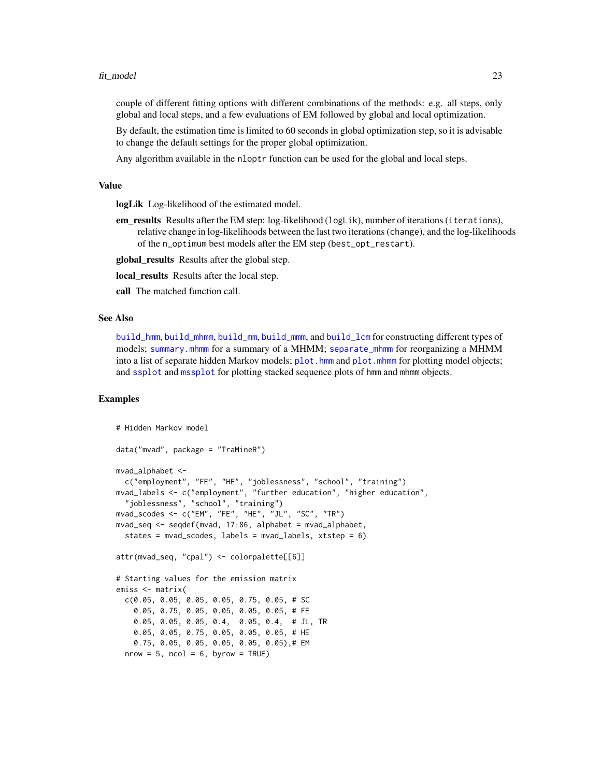#### fit\_model 23

couple of different fitting options with different combinations of the methods: e.g. all steps, only global and local steps, and a few evaluations of EM followed by global and local optimization.

By default, the estimation time is limited to 60 seconds in global optimization step, so it is advisable to change the default settings for the proper global optimization.

Any algorithm available in the nloptr function can be used for the global and local steps.

#### Value

logLik Log-likelihood of the estimated model.

em results Results after the EM step: log-likelihood (logLik), number of iterations (iterations), relative change in log-likelihoods between the last two iterations (change), and the log-likelihoods of the n\_optimum best models after the EM step (best\_opt\_restart).

global\_results Results after the global step.

local\_results Results after the local step.

call The matched function call.

# See Also

[build\\_hmm](#page-3-1), [build\\_mhmm](#page-10-1), [build\\_mm](#page-14-1), [build\\_mmm](#page-16-1), and [build\\_lcm](#page-7-1) for constructing different types of models; [summary.mhmm](#page-75-1) for a summary of a MHMM; [separate\\_mhmm](#page-59-1) for reorganizing a MHMM into a list of separate hidden Markov models; [plot.hmm](#page-48-1) and [plot.mhmm](#page-52-1) for plotting model objects; and [ssplot](#page-71-1) and [mssplot](#page-45-1) for plotting stacked sequence plots of hmm and mhmm objects.

## Examples

```
# Hidden Markov model
data("mvad", package = "TraMineR")
mvad_alphabet <-
  c("employment", "FE", "HE", "joblessness", "school", "training")
mvad_labels <- c("employment", "further education", "higher education",
  "joblessness", "school", "training")
mvad_scodes <- c("EM", "FE", "HE", "JL", "SC", "TR")
mvad_seq <- seqdef(mvad, 17:86, alphabet = mvad_alphabet,
 states = mvad_scodes, labels = mvad_labels, xtstep = 6)
attr(mvad_seq, "cpal") <- colorpalette[[6]]
# Starting values for the emission matrix
emiss <- matrix(
 c(0.05, 0.05, 0.05, 0.05, 0.75, 0.05, # SC
   0.05, 0.75, 0.05, 0.05, 0.05, 0.05, # FE
   0.05, 0.05, 0.05, 0.4, 0.05, 0.4, # JL, TR
   0.05, 0.05, 0.75, 0.05, 0.05, 0.05, # HE
   0.75, 0.05, 0.05, 0.05, 0.05, 0.05),# EM
 nrow = 5, ncol = 6, byrow = TRUE)
```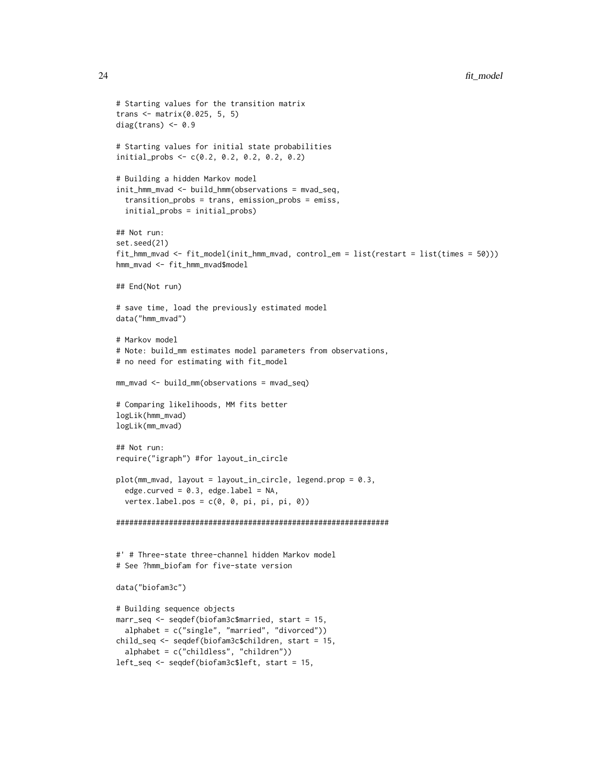```
# Starting values for the transition matrix
trans <- matrix(0.025, 5, 5)
diag(trans) <-0.9# Starting values for initial state probabilities
initial_probs <- c(0.2, 0.2, 0.2, 0.2, 0.2)
# Building a hidden Markov model
init_hmm_mvad <- build_hmm(observations = mvad_seq,
  transition_probs = trans, emission_probs = emiss,
  initial_probs = initial_probs)
## Not run:
set.seed(21)
fit_hmm_mvad <- fit_model(init_hmm_mvad, control_em = list(restart = list(times = 50)))
hmm_mvad <- fit_hmm_mvad$model
## End(Not run)
# save time, load the previously estimated model
data("hmm_mvad")
# Markov model
# Note: build_mm estimates model parameters from observations,
# no need for estimating with fit_model
mm_mvad <- build_mm(observations = mvad_seq)
# Comparing likelihoods, MM fits better
logLik(hmm_mvad)
logLik(mm_mvad)
## Not run:
require("igraph") #for layout_in_circle
plot(mm_mvad, layout = layout_in_circle, legend.prop = 0.3,
  edge.curved = 0.3, edge.label = NA,
  vertex.label.pos = c(0, 0, pi, pi, pi, 0))
##############################################################
#' # Three-state three-channel hidden Markov model
# See ?hmm_biofam for five-state version
data("biofam3c")
# Building sequence objects
marr_seq <- seqdef(biofam3c$married, start = 15,
  alphabet = c("single", "married", "divorced"))
child_seq <- seqdef(biofam3c$children, start = 15,
  alphabet = c("childless", "children"))
```

```
left_seq <- seqdef(biofam3c$left, start = 15,
```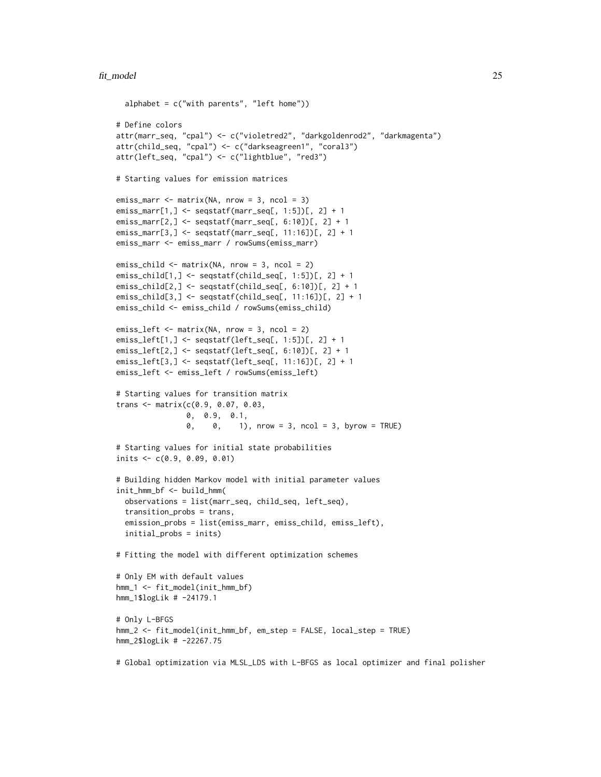#### fit\_model 25

```
alphabet = c("with parents", "left home")# Define colors
attr(marr_seq, "cpal") <- c("violetred2", "darkgoldenrod2", "darkmagenta")
attr(child_seq, "cpal") <- c("darkseagreen1", "coral3")
attr(left_seq, "cpal") <- c("lightblue", "red3")
# Starting values for emission matrices
emiss_marr <- matrix(NA, nrow = 3, ncol = 3)
emiss_marr[1,] <- seqstatf(marr_seq[, 1:5])[, 2] + 1
emiss_marr[2,] <- seqstatf(marr_seq[, 6:10])[, 2] + 1
emiss_marr[3,] <- seqstatf(marr_seq[, 11:16])[, 2] + 1
emiss_marr <- emiss_marr / rowSums(emiss_marr)
emiss_child <- matrix(NA, nrow = 3, ncol = 2)
emiss_child[1,] <- seqstatf(child_seq[, 1:5])[, 2] + 1
emiss_child[2,] <- seqstatf(child_seq[, 6:10])[, 2] + 1
emiss_child[3,] <- seqstatf(child_seq[, 11:16])[, 2] + 1
emiss_child <- emiss_child / rowSums(emiss_child)
emiss_left <- matrix(NA, nrow = 3, ncol = 2)
emiss_left[1,] <- seqstatf(left_seq[, 1:5])[, 2] + 1
emiss_left[2,] <- seqstatf(left_seq[, 6:10])[, 2] + 1
emiss_left[3,] <- seqstatf(left_seq[, 11:16])[, 2] + 1
emiss_left <- emiss_left / rowSums(emiss_left)
# Starting values for transition matrix
trans <- matrix(c(0.9, 0.07, 0.03,
                0, 0.9, 0.1,
                0, 0, 1), nrow = 3, ncol = 3, byrow = TRUE)
# Starting values for initial state probabilities
inits <- c(0.9, 0.09, 0.01)
# Building hidden Markov model with initial parameter values
init_hmm_bf <- build_hmm(
  observations = list(marr_seq, child_seq, left_seq),
  transition_probs = trans,
  emission_probs = list(emiss_marr, emiss_child, emiss_left),
  initial_probs = inits)
# Fitting the model with different optimization schemes
# Only EM with default values
hmm_1 <- fit_model(init_hmm_bf)
hmm_1$logLik # -24179.1
# Only L-BFGS
hmm_2 <- fit_model(init_hmm_bf, em_step = FALSE, local_step = TRUE)
hmm_2$logLik # -22267.75
# Global optimization via MLSL_LDS with L-BFGS as local optimizer and final polisher
```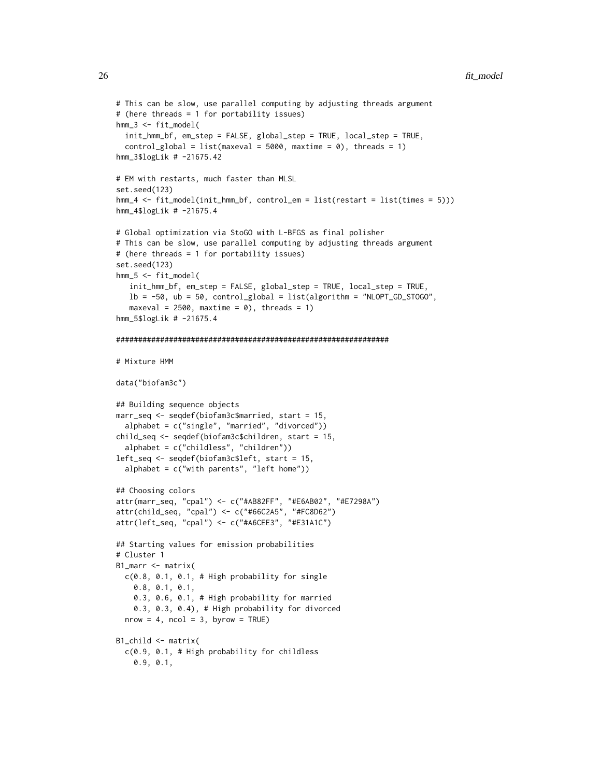```
# This can be slow, use parallel computing by adjusting threads argument
# (here threads = 1 for portability issues)
hmm_3 <- fit_model(
 init_hmm_bf, em_step = FALSE, global_step = TRUE, local_step = TRUE,
  control_global = list(maxeval = 5000, maxtime = 0), threads = 1)
hmm_3$logLik # -21675.42
# EM with restarts, much faster than MLSL
set.seed(123)
hmm_4 <- fit_model(init_hmm_bf, control_em = list(restart = list(times = 5)))
hmm_4$logLik # -21675.4
# Global optimization via StoGO with L-BFGS as final polisher
# This can be slow, use parallel computing by adjusting threads argument
# (here threads = 1 for portability issues)
set.seed(123)
hmm_5 <- fit_model(
   init_hmm_bf, em_step = FALSE, global_step = TRUE, local_step = TRUE,
   lb = -50, ub = 50, control_global = list(algorithm = "NLOPT_GD_STOGO",maxeval = 2500, maxtime = 0), threads = 1)
hmm_5$logLik # -21675.4
##############################################################
# Mixture HMM
data("biofam3c")
## Building sequence objects
marr_seq <- seqdef(biofam3c$married, start = 15,
  alphabet = c("single", "married", "divorced"))
child_seq <- seqdef(biofam3c$children, start = 15,
  alphabet = c("childless", "children"))
left_seq <- seqdef(biofam3c$left, start = 15,
  alphabet = c("with parents", "left home")## Choosing colors
attr(marr_seq, "cpal") <- c("#AB82FF", "#E6AB02", "#E7298A")
attr(child_seq, "cpal") <- c("#66C2A5", "#FC8D62")
attr(left_seq, "cpal") <- c("#A6CEE3", "#E31A1C")
## Starting values for emission probabilities
# Cluster 1
B1_marr <- matrix(
  c(0.8, 0.1, 0.1, # High probability for single
    0.8, 0.1, 0.1,
    0.3, 0.6, 0.1, # High probability for married
    0.3, 0.3, 0.4), # High probability for divorced
  nrow = 4, ncol = 3, byrow = TRUE)
B1_child <- matrix(
  c(0.9, 0.1, # High probability for childless
   0.9, 0.1,
```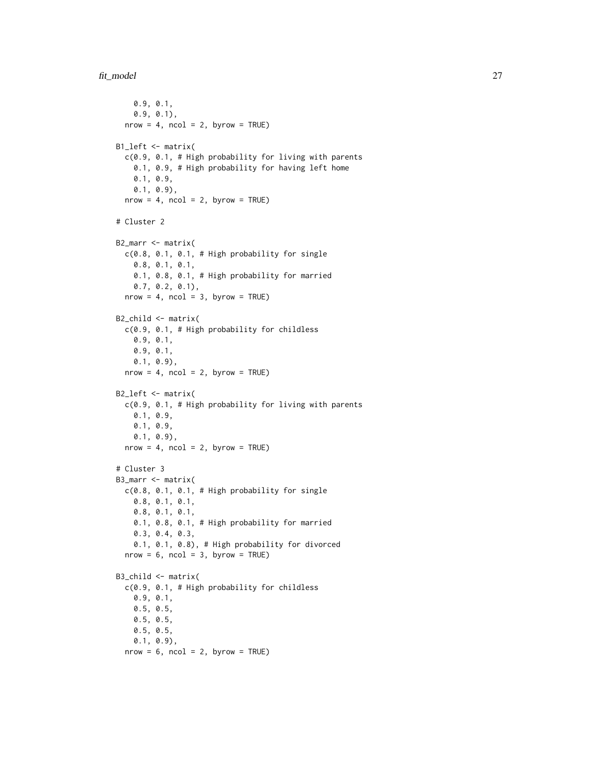```
0.9, 0.1,
   0.9, 0.1),
  nrow = 4, ncol = 2, byrow = TRUE)
B1_left <- matrix(
  c(0.9, 0.1, # High probability for living with parents
   0.1, 0.9, # High probability for having left home
   0.1, 0.9,
   0.1, 0.9),
  nrow = 4, ncol = 2, byrow = TRUE)
# Cluster 2
B2_marr <- matrix(
  c(0.8, 0.1, 0.1, # High probability for single0.8, 0.1, 0.1,
   0.1, 0.8, 0.1, # High probability for married
   0.7, 0.2, 0.1),
  nrow = 4, ncol = 3, byrow = TRUE)
B2_child <- matrix(
  c(0.9, 0.1, # High probability for childless
   0.9, 0.1,
   0.9, 0.1,
   0.1, 0.9),
  nrow = 4, ncol = 2, byrow = TRUE)
B2_left <- matrix(
  c(0.9, 0.1, # High probability for living with parents
   0.1, 0.9,
   0.1, 0.9,
   0.1, 0.9),
  nrow = 4, ncol = 2, byrow = TRUE)
# Cluster 3
B3_marr <- matrix(
  c(0.8, 0.1, 0.1, # High probability for single0.8, 0.1, 0.1,
   0.8, 0.1, 0.1,
   0.1, 0.8, 0.1, # High probability for married
   0.3, 0.4, 0.3,
   0.1, 0.1, 0.8), # High probability for divorced
  nrow = 6, ncol = 3, byrow = TRUE)
B3_child <- matrix(
  c(0.9, 0.1, # High probability for childless
   0.9, 0.1,
   0.5, 0.5,
   0.5, 0.5,
   0.5, 0.5,
   0.1, 0.9),
  nrow = 6, ncol = 2, byrow = TRUE)
```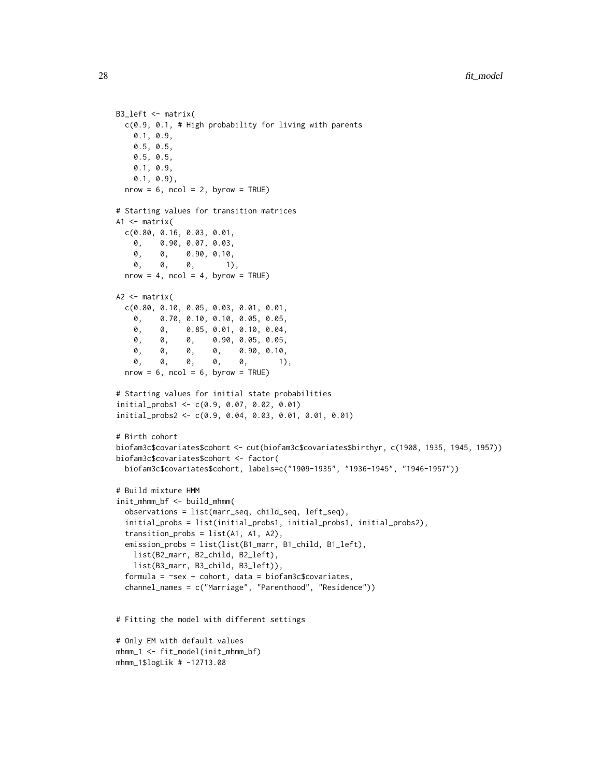```
B3_left <- matrix(
 c(0.9, 0.1, # High probability for living with parents
   0.1, 0.9,
   0.5, 0.5,
   0.5, 0.5,
   0.1, 0.9,
   0.1, 0.9),
 nrow = 6, ncol = 2, byrow = TRUE)
# Starting values for transition matrices
A1 \leq matrix(
 c(0.80, 0.16, 0.03, 0.01,
    0, 0.90, 0.07, 0.03,
   0, 0, 0.90, 0.10,<br>0, 0, 0, 1)
   0, 0, 0, 1),
 nrow = 4, ncol = 4, byrow = TRUE)
A2 \leftarrow matrix(
 c(0.80, 0.10, 0.05, 0.03, 0.01, 0.01,
   0, 0.70, 0.10, 0.10, 0.05, 0.05,
   0, 0, 0.85, 0.01, 0.10, 0.04,
   0, 0, 0, 0.90, 0.05, 0.05,
   0, 0, 0, 0, 0.90, 0.10,
   0, 0, 0, 0, 0, 1),
 nrow = 6, ncol = 6, byrow = TRUE)
# Starting values for initial state probabilities
initial_probs1 <- c(0.9, 0.07, 0.02, 0.01)
initial_probs2 <- c(0.9, 0.04, 0.03, 0.01, 0.01, 0.01)
# Birth cohort
biofam3c$covariates$cohort <- cut(biofam3c$covariates$birthyr, c(1908, 1935, 1945, 1957))
biofam3c$covariates$cohort <- factor(
 biofam3c$covariates$cohort, labels=c("1909-1935", "1936-1945", "1946-1957"))
# Build mixture HMM
init_mhmm_bf <- build_mhmm(
 observations = list(marr_seq, child_seq, left_seq),
 initial_probs = list(initial_probs1, initial_probs1, initial_probs2),
 transition_probs = list(A1, A1, A2),
 emission_probs = list(list(B1_marr, B1_child, B1_left),
   list(B2_marr, B2_child, B2_left),
   list(B3_marr, B3_child, B3_left)),
 formula = \text{``sex + cohort, data = biofam3c$covariates},channel_names = c("Marriage", "Parenthood", "Residence"))
# Fitting the model with different settings
# Only EM with default values
mhmm_1 <- fit_model(init_mhmm_bf)
mhmm_1$logLik # -12713.08
```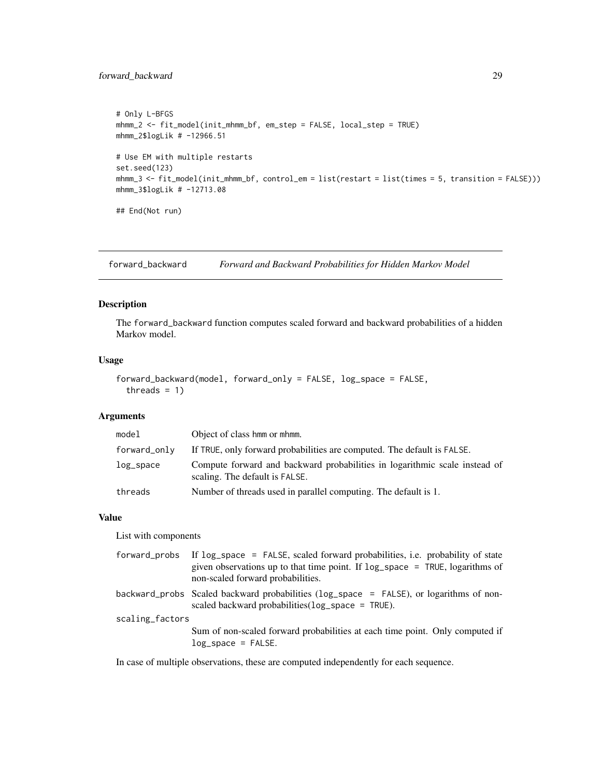# <span id="page-28-0"></span>forward\_backward 29

```
# Only L-BFGS
mhmm_2 <- fit_model(init_mhmm_bf, em_step = FALSE, local_step = TRUE)
mhmm_2$logLik # -12966.51
# Use EM with multiple restarts
set.seed(123)
mhmm_3 <- fit_model(init_mhmm_bf, control_em = list(restart = list(times = 5, transition = FALSE)))
mhmm_3$logLik # -12713.08
## End(Not run)
```
forward\_backward *Forward and Backward Probabilities for Hidden Markov Model*

# Description

The forward\_backward function computes scaled forward and backward probabilities of a hidden Markov model.

# Usage

```
forward_backward(model, forward_only = FALSE, log_space = FALSE,
  threads = 1)
```
## Arguments

| model        | Object of class hmm or mhmm.                                                                                 |
|--------------|--------------------------------------------------------------------------------------------------------------|
| forward_only | If TRUE, only forward probabilities are computed. The default is FALSE.                                      |
| $log$ _space | Compute forward and backward probabilities in logarithmic scale instead of<br>scaling. The default is FALSE. |
| threads      | Number of threads used in parallel computing. The default is 1.                                              |

# Value

List with components

| forward_probs   | If log_space = FALSE, scaled forward probabilities, i.e. probability of state<br>given observations up to that time point. If $log$ -space = TRUE, logarithms of<br>non-scaled forward probabilities. |  |
|-----------------|-------------------------------------------------------------------------------------------------------------------------------------------------------------------------------------------------------|--|
|                 | backward_probs Scaled backward probabilities (log_space = FALSE), or logarithms of non-<br>scaled backward probabilities $(\log_{10}$ space = TRUE).                                                  |  |
| scaling_factors |                                                                                                                                                                                                       |  |
|                 | Sum of non-scaled forward probabilities at each time point. Only computed if<br>$log$ _space = FALSE.                                                                                                 |  |

In case of multiple observations, these are computed independently for each sequence.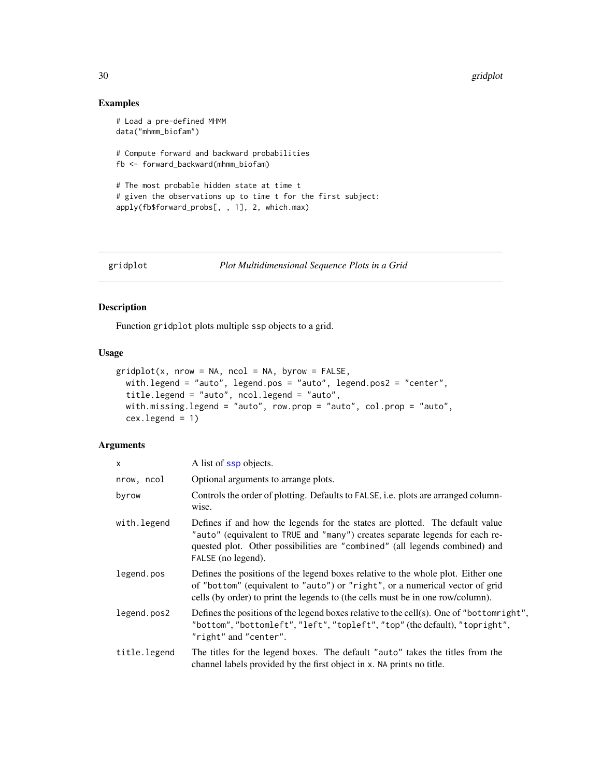# Examples

```
# Load a pre-defined MHMM
data("mhmm_biofam")
# Compute forward and backward probabilities
fb <- forward_backward(mhmm_biofam)
# The most probable hidden state at time t
# given the observations up to time t for the first subject:
apply(fb$forward_probs[, , 1], 2, which.max)
```

```
gridplot Plot Multidimensional Sequence Plots in a Grid
```
# Description

Function gridplot plots multiple ssp objects to a grid.

# Usage

```
gridplot(x, nrow = NA, ncol = NA, byrow = FALSE,with.legend = "auto", legend.pos = "auto", legend.pos2 = "center",
  title.legend = "auto", ncol.legend = "auto",
 with.missing.legend = "auto", row.prop = "auto", col.prop = "auto",
  cex. legend = 1)
```
# Arguments

| $\times$     | A list of ssp objects.                                                                                                                                                                                                                                            |
|--------------|-------------------------------------------------------------------------------------------------------------------------------------------------------------------------------------------------------------------------------------------------------------------|
| nrow, ncol   | Optional arguments to arrange plots.                                                                                                                                                                                                                              |
| byrow        | Controls the order of plotting. Defaults to FALSE, i.e. plots are arranged column-<br>wise.                                                                                                                                                                       |
| with. legend | Defines if and how the legends for the states are plotted. The default value<br>"auto" (equivalent to TRUE and "many") creates separate legends for each re-<br>quested plot. Other possibilities are "combined" (all legends combined) and<br>FALSE (no legend). |
| legend.pos   | Defines the positions of the legend boxes relative to the whole plot. Either one<br>of "bottom" (equivalent to "auto") or "right", or a numerical vector of grid<br>cells (by order) to print the legends to (the cells must be in one row/column).               |
| legend.pos2  | Defines the positions of the legend boxes relative to the cell(s). One of "bottomright",<br>"bottom", "bottomleft", "left", "topleft", "top" (the default), "topright",<br>"right" and "center".                                                                  |
| title.legend | The titles for the legend boxes. The default "auto" takes the titles from the<br>channel labels provided by the first object in x. NA prints no title.                                                                                                            |

<span id="page-29-0"></span>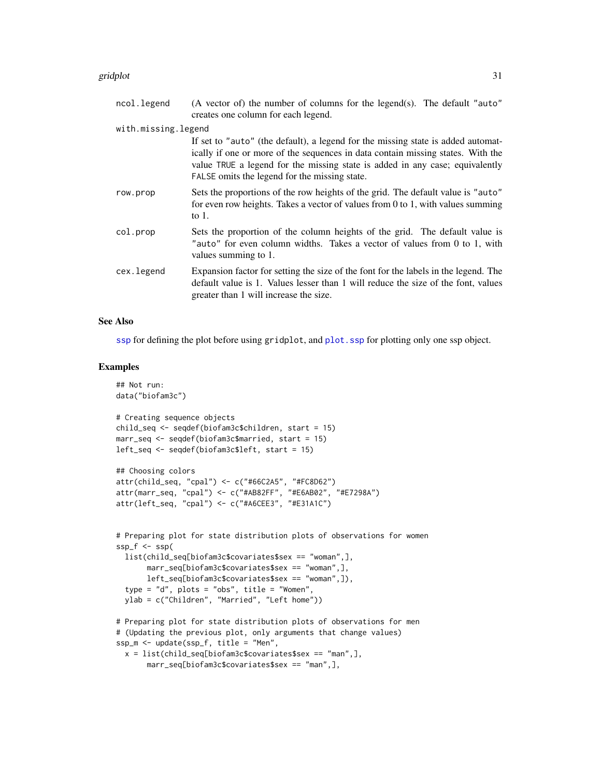#### gridplot 31

| ncol.legend         | (A vector of) the number of columns for the legend(s). The default "auto"<br>creates one column for each legend.                                                                                                                                                                                     |
|---------------------|------------------------------------------------------------------------------------------------------------------------------------------------------------------------------------------------------------------------------------------------------------------------------------------------------|
| with.missing.legend |                                                                                                                                                                                                                                                                                                      |
|                     | If set to "auto" (the default), a legend for the missing state is added automat-<br>ically if one or more of the sequences in data contain missing states. With the<br>value TRUE a legend for the missing state is added in any case; equivalently<br>FALSE omits the legend for the missing state. |
| row.prop            | Sets the proportions of the row heights of the grid. The default value is "auto"<br>for even row heights. Takes a vector of values from 0 to 1, with values summing<br>to $1$ .                                                                                                                      |
| col.prop            | Sets the proportion of the column heights of the grid. The default value is<br>"auto" for even column widths. Takes a vector of values from 0 to 1, with<br>values summing to 1.                                                                                                                     |
| cex.legend          | Expansion factor for setting the size of the font for the labels in the legend. The<br>default value is 1. Values lesser than 1 will reduce the size of the font, values<br>greater than 1 will increase the size.                                                                                   |

## See Also

[ssp](#page-67-1) for defining the plot before using gridplot, and [plot.ssp](#page-56-1) for plotting only one ssp object.

# Examples

```
## Not run:
data("biofam3c")
# Creating sequence objects
child_seq <- seqdef(biofam3c$children, start = 15)
marr_seq <- seqdef(biofam3c$married, start = 15)
left_seq <- seqdef(biofam3c$left, start = 15)
## Choosing colors
attr(child_seq, "cpal") <- c("#66C2A5", "#FC8D62")
attr(marr_seq, "cpal") <- c("#AB82FF", "#E6AB02", "#E7298A")
attr(left_seq, "cpal") <- c("#A6CEE3", "#E31A1C")
# Preparing plot for state distribution plots of observations for women
ssp_f \leftarrow ssp(list(child_seq[biofam3c$covariates$sex == "woman",],
       marr_seq[biofam3c$covariates$sex == "woman",],
       left_seq[biofam3c$covariates$sex == "woman",]),
  type = "d", plots = "obs", title = "Women",
  ylab = c("Children", "Married", "Left home"))
# Preparing plot for state distribution plots of observations for men
# (Updating the previous plot, only arguments that change values)
ssp_m <- update(ssp_f, title = "Men",
  x = list(child\_seq[biofam3c$covariates$sex == "man", ],
```

```
marr_seq[biofam3c$covariates$sex == "man",],
```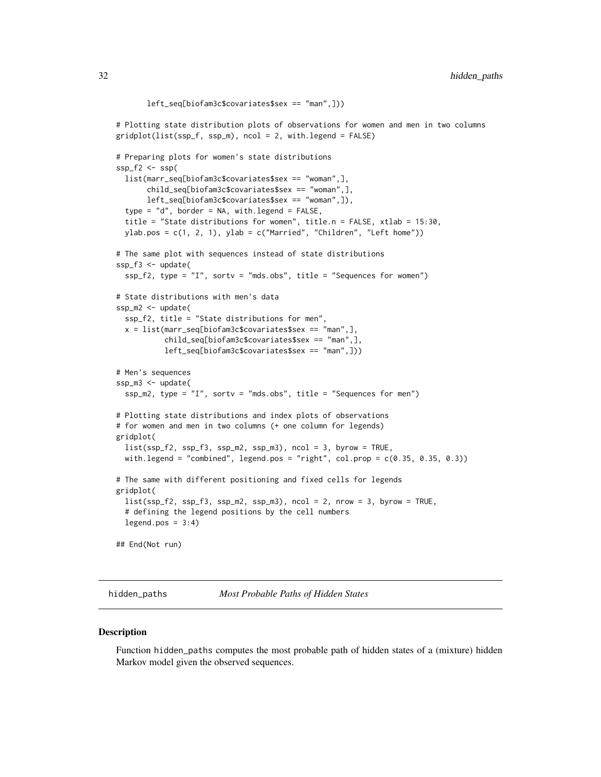```
left_seq[biofam3c$covariates$sex == "man",]))
# Plotting state distribution plots of observations for women and men in two columns
gridplot(list(ssp_f, ssp_m), ncol = 2, with.legend = FALSE)
# Preparing plots for women's state distributions
ssp_f2 \leftarrow ssp(list(marr_seq[biofam3c$covariates$sex == "woman",],
      child_seq[biofam3c$covariates$sex == "woman",],
      left_seq[biofam3c$covariates$sex == "woman",]),
 type = "d", border = NA, with.legend = FALSE,
 title = "State distributions for women", title.n = FALSE, xtlab = 15:30,
 ylab.pos = c(1, 2, 1), ylab = c("Married", "Children", "Left home")# The same plot with sequences instead of state distributions
ssp_f3 <- update(
 ssp_f2, type = "I", sortv = "mds.obs", title = "Sequences for women")
# State distributions with men's data
ssp_m2 <- update(
 ssp_f2, title = "State distributions for men",
 x = list(maxr\_seq[biofam3c$covariates$sex == "man",],child_seq[biofam3c$covariates$sex == "man",],
           left_seq[biofam3c$covariates$sex == "man",]))
# Men's sequences
ssp_m3 <- update(
 ssp_m2, type = "I", sortv = "mds.obs", title = "Sequences for men")
# Plotting state distributions and index plots of observations
# for women and men in two columns (+ one column for legends)
gridplot(
 list(ssp_f2, ssp_f3, ssp_m2, ssp_m3), ncol = 3, byrow = TRUE,
 with.legend = "combined", legend.pos = "right", col.prop = c(0.35, 0.35, 0.3))
# The same with different positioning and fixed cells for legends
gridplot(
 list(ssp_f2, ssp_f3, ssp_m2, ssp_m3), ncol = 2, nrow = 3, byrow = TRUE,
 # defining the legend positions by the cell numbers
 legend.pos = 3:4)## End(Not run)
```
hidden\_paths *Most Probable Paths of Hidden States*

## Description

Function hidden\_paths computes the most probable path of hidden states of a (mixture) hidden Markov model given the observed sequences.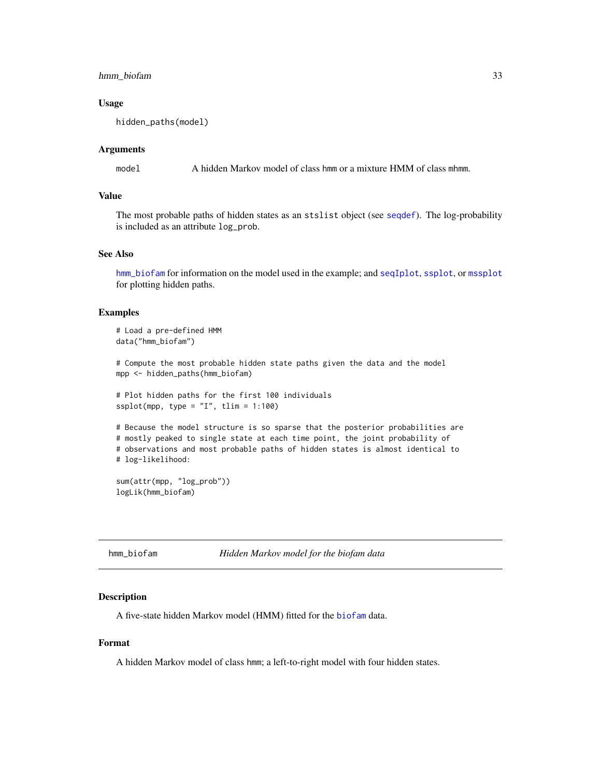# <span id="page-32-0"></span>hmm\_biofam 33

## Usage

```
hidden_paths(model)
```
## Arguments

model A hidden Markov model of class hmm or a mixture HMM of class mhmm.

# Value

The most probable paths of hidden states as an stslist object (see [seqdef](#page-60-1)). The log-probability is included as an attribute log\_prob.

# See Also

[hmm\\_biofam](#page-32-1) for information on the model used in the example; and [seqIplot](#page-0-0), [ssplot](#page-71-1), or [mssplot](#page-45-1) for plotting hidden paths.

### Examples

```
# Load a pre-defined HMM
data("hmm_biofam")
# Compute the most probable hidden state paths given the data and the model
mpp <- hidden_paths(hmm_biofam)
# Plot hidden paths for the first 100 individuals
ssplot(mpp, type = "I", tlim = 1:100)
# Because the model structure is so sparse that the posterior probabilities are
# mostly peaked to single state at each time point, the joint probability of
# observations and most probable paths of hidden states is almost identical to
# log-likelihood:
```

```
sum(attr(mpp, "log_prob"))
logLik(hmm_biofam)
```
<span id="page-32-1"></span>

#### Description

A five-state hidden Markov model (HMM) fitted for the [biofam](#page-0-0) data.

# Format

A hidden Markov model of class hmm; a left-to-right model with four hidden states.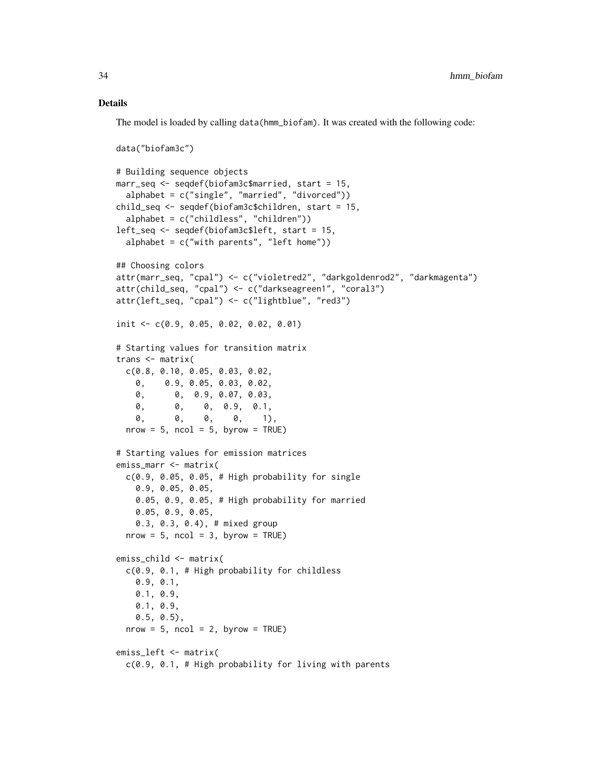### Details

The model is loaded by calling data(hmm\_biofam). It was created with the following code:

```
data("biofam3c")
# Building sequence objects
marr_seq <- seqdef(biofam3c$married, start = 15,
  alphabet = c("single", "married", "divorced"))
child_seq <- seqdef(biofam3c$children, start = 15,
  alphabet = c("childless", "children"))
left_seq <- seqdef(biofam3c$left, start = 15,
  alphabet = c("with parents", "left home")## Choosing colors
attr(marr_seq, "cpal") <- c("violetred2", "darkgoldenrod2", "darkmagenta")
attr(child_seq, "cpal") <- c("darkseagreen1", "coral3")
attr(left_seq, "cpal") <- c("lightblue", "red3")
init <- c(0.9, 0.05, 0.02, 0.02, 0.01)
# Starting values for transition matrix
trans <- matrix(
 c(0.8, 0.10, 0.05, 0.03, 0.02,
   0, 0.9, 0.05, 0.03, 0.02,
   0, 0, 0.9, 0.07, 0.03,
   0, 0, 0, 0.9, 0.1,
   0, 0, 0, 0, 1),
 nrow = 5, ncol = 5, byrow = TRUE)
# Starting values for emission matrices
emiss_marr <- matrix(
 c(0.9, 0.05, 0.05, # High probability for single
   0.9, 0.05, 0.05,
   0.05, 0.9, 0.05, # High probability for married
   0.05, 0.9, 0.05,
   0.3, 0.3, 0.4), # mixed group
 nrow = 5, ncol = 3, byrow = TRUE)
emiss_child <- matrix(
 c(0.9, 0.1, # High probability for childless
   0.9, 0.1,
   0.1, 0.9,
   0.1, 0.9,
   0.5, 0.5),
 nrow = 5, ncol = 2, byrow = TRUE)
emiss_left <- matrix(
 c(0.9, 0.1, # High probability for living with parents
```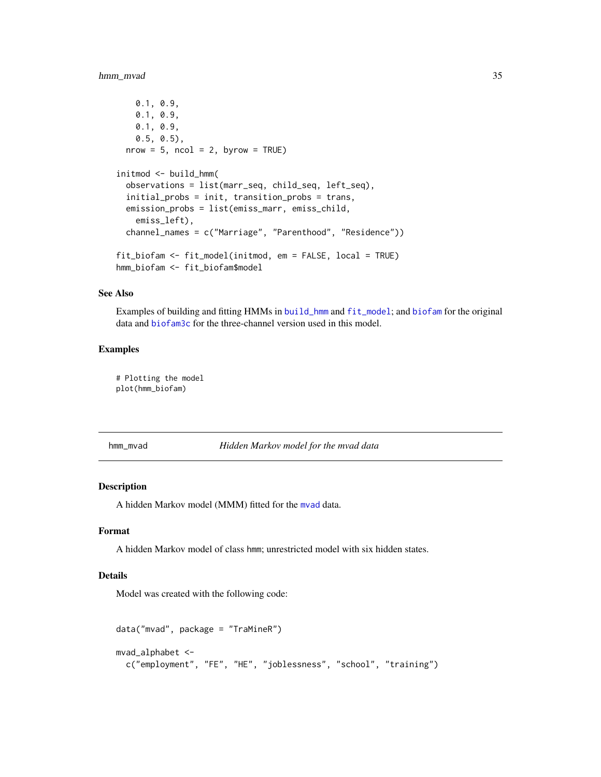# <span id="page-34-0"></span>hmm\_mvad 35

```
0.1, 0.9,
    0.1, 0.9,
    0.1, 0.9,
    0.5, 0.5),
  nrow = 5, ncol = 2, byrow = TRUE)
initmod <- build_hmm(
  observations = list(marr_seq, child_seq, left_seq),
  initial_probs = init, transition_probs = trans,
  emission_probs = list(emiss_marr, emiss_child,
    emiss_left),
  channel_names = c("Marriage", "Parenthood", "Residence"))
fit_biofam <- fit_model(initmod, em = FALSE, local = TRUE)
hmm_biofam <- fit_biofam$model
```
# See Also

Examples of building and fitting HMMs in [build\\_hmm](#page-3-1) and [fit\\_model](#page-19-1); and [biofam](#page-0-0) for the original data and [biofam3c](#page-2-1) for the three-channel version used in this model.

# Examples

# Plotting the model plot(hmm\_biofam)

hmm\_mvad *Hidden Markov model for the mvad data*

#### Description

A hidden Markov model (MMM) fitted for the [mvad](#page-0-0) data.

## Format

A hidden Markov model of class hmm; unrestricted model with six hidden states.

#### Details

Model was created with the following code:

```
data("mvad", package = "TraMineR")
mvad_alphabet <-
 c("employment", "FE", "HE", "joblessness", "school", "training")
```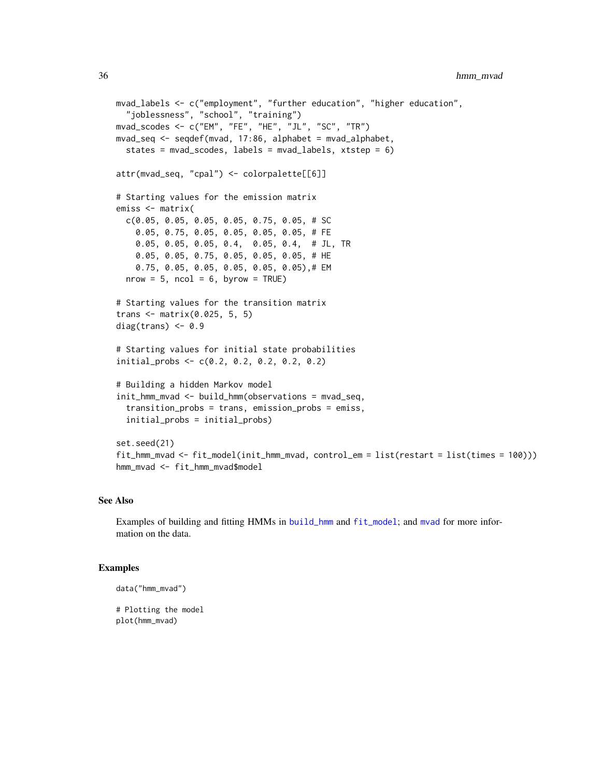```
mvad_labels <- c("employment", "further education", "higher education",
  "joblessness", "school", "training")
mvad_scodes <- c("EM", "FE", "HE", "JL", "SC", "TR")
mvad_seq <- seqdef(mvad, 17:86, alphabet = mvad_alphabet,
  states = mvad_scodes, labels = mvad_labels, xtstep = 6)
attr(mvad_seq, "cpal") <- colorpalette[[6]]
# Starting values for the emission matrix
emiss <- matrix(
 c(0.05, 0.05, 0.05, 0.05, 0.75, 0.05, # SC
   0.05, 0.75, 0.05, 0.05, 0.05, 0.05, # FE
   0.05, 0.05, 0.05, 0.4, 0.05, 0.4, # JL, TR
   0.05, 0.05, 0.75, 0.05, 0.05, 0.05, # HE
   0.75, 0.05, 0.05, 0.05, 0.05, 0.05),# EM
 nrow = 5, ncol = 6, byrow = TRUE)
# Starting values for the transition matrix
trans <- matrix(0.025, 5, 5)
diag(trans) <-0.9# Starting values for initial state probabilities
initial_probs <- c(0.2, 0.2, 0.2, 0.2, 0.2)
# Building a hidden Markov model
init_hmm_mvad <- build_hmm(observations = mvad_seq,
  transition_probs = trans, emission_probs = emiss,
  initial_probs = initial_probs)
set.seed(21)
fit_hmm_mvad <- fit_model(init_hmm_mvad, control_em = list(restart = list(times = 100)))
hmm_mvad <- fit_hmm_mvad$model
```
# See Also

Examples of building and fitting HMMs in [build\\_hmm](#page-3-1) and [fit\\_model](#page-19-1); and [mvad](#page-0-0) for more information on the data.

## Examples

```
data("hmm_mvad")
```
# Plotting the model plot(hmm\_mvad)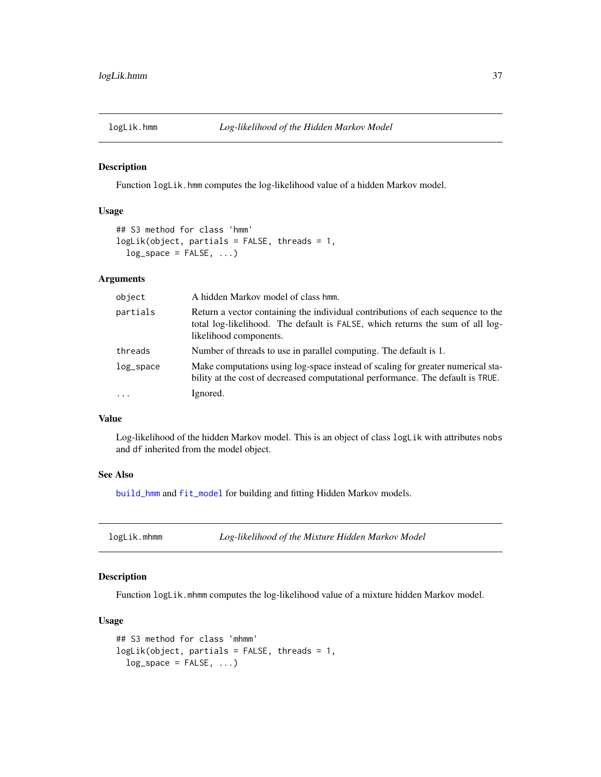Function logLik.hmm computes the log-likelihood value of a hidden Markov model.

# Usage

```
## S3 method for class 'hmm'
logLik(object, partials = FALSE, threads = 1,
  log_space = FALSE, \ldots)
```
# Arguments

| object    | A hidden Markov model of class hmm.                                                                                                                                                        |
|-----------|--------------------------------------------------------------------------------------------------------------------------------------------------------------------------------------------|
| partials  | Return a vector containing the individual contributions of each sequence to the<br>total log-likelihood. The default is FALSE, which returns the sum of all log-<br>likelihood components. |
| threads   | Number of threads to use in parallel computing. The default is 1.                                                                                                                          |
| log_space | Make computations using log-space instead of scaling for greater numerical sta-<br>bility at the cost of decreased computational performance. The default is TRUE.                         |
| $\cdot$   | Ignored.                                                                                                                                                                                   |

#### Value

Log-likelihood of the hidden Markov model. This is an object of class logLik with attributes nobs and df inherited from the model object.

# See Also

[build\\_hmm](#page-3-0) and [fit\\_model](#page-19-0) for building and fitting Hidden Markov models.

| logLik.mhmm | Log-likelihood of the Mixture Hidden Markov Model |  |
|-------------|---------------------------------------------------|--|
|-------------|---------------------------------------------------|--|

# Description

Function logLik.mhmm computes the log-likelihood value of a mixture hidden Markov model.

# Usage

```
## S3 method for class 'mhmm'
logLik(object, partials = FALSE, threads = 1,
  log_space = FALSE, \ldots)
```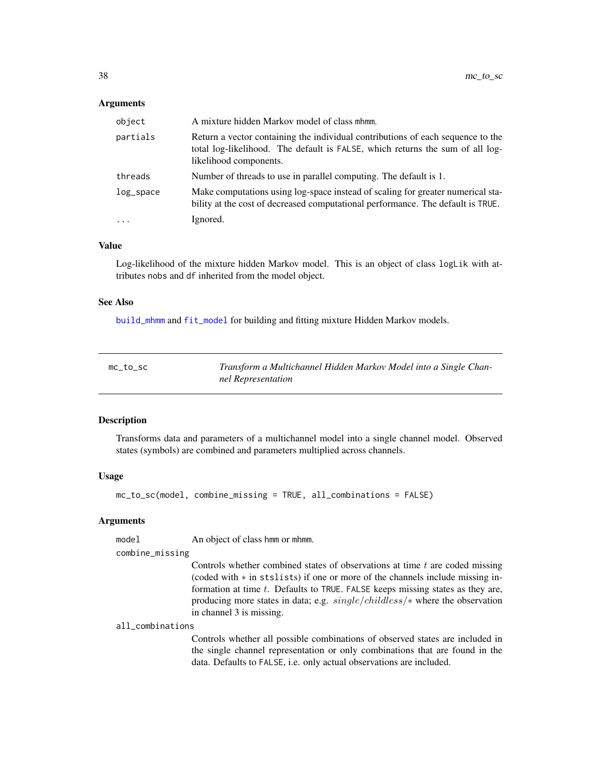# **Arguments**

| object       | A mixture hidden Markov model of class mhmm.                                                                                                                                               |
|--------------|--------------------------------------------------------------------------------------------------------------------------------------------------------------------------------------------|
| partials     | Return a vector containing the individual contributions of each sequence to the<br>total log-likelihood. The default is FALSE, which returns the sum of all log-<br>likelihood components. |
| threads      | Number of threads to use in parallel computing. The default is 1.                                                                                                                          |
| $log$ _space | Make computations using log-space instead of scaling for greater numerical sta-<br>bility at the cost of decreased computational performance. The default is TRUE.                         |
| $\ddots$     | Ignored.                                                                                                                                                                                   |

# Value

Log-likelihood of the mixture hidden Markov model. This is an object of class logLik with attributes nobs and df inherited from the model object.

#### See Also

[build\\_mhmm](#page-10-0) and [fit\\_model](#page-19-0) for building and fitting mixture Hidden Markov models.

<span id="page-37-0"></span>

| $mc\_to\_sc$ | Transform a Multichannel Hidden Markov Model into a Single Chan- |
|--------------|------------------------------------------------------------------|
|              | nel Representation                                               |

# Description

Transforms data and parameters of a multichannel model into a single channel model. Observed states (symbols) are combined and parameters multiplied across channels.

# Usage

```
mc_to_sc(model, combine_missing = TRUE, all_combinations = FALSE)
```
# Arguments

model An object of class hmm or mhmm.

#### combine\_missing

Controls whether combined states of observations at time  $t$  are coded missing (coded with ∗ in stslists) if one or more of the channels include missing information at time t. Defaults to TRUE. FALSE keeps missing states as they are, producing more states in data; e.g. single/childless/∗ where the observation in channel 3 is missing.

#### all\_combinations

Controls whether all possible combinations of observed states are included in the single channel representation or only combinations that are found in the data. Defaults to FALSE, i.e. only actual observations are included.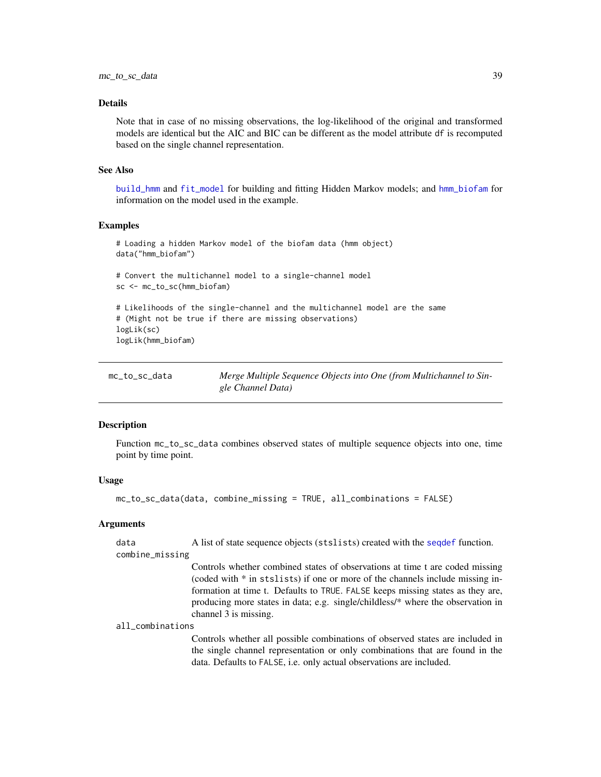#### Details

Note that in case of no missing observations, the log-likelihood of the original and transformed models are identical but the AIC and BIC can be different as the model attribute df is recomputed based on the single channel representation.

#### See Also

[build\\_hmm](#page-3-0) and [fit\\_model](#page-19-0) for building and fitting Hidden Markov models; and [hmm\\_biofam](#page-32-0) for information on the model used in the example.

# Examples

```
# Loading a hidden Markov model of the biofam data (hmm object)
data("hmm_biofam")
# Convert the multichannel model to a single-channel model
sc <- mc_to_sc(hmm_biofam)
# Likelihoods of the single-channel and the multichannel model are the same
# (Might not be true if there are missing observations)
logLik(sc)
logLik(hmm_biofam)
```
mc\_to\_sc\_data *Merge Multiple Sequence Objects into One (from Multichannel to Single Channel Data)*

#### Description

Function mc\_to\_sc\_data combines observed states of multiple sequence objects into one, time point by time point.

#### Usage

```
mc_to_sc_data(data, combine_missing = TRUE, all_combinations = FALSE)
```
#### Arguments

data A list of state sequence objects (stslists) created with the [seqdef](#page-60-0) function. combine\_missing

> Controls whether combined states of observations at time t are coded missing (coded with \* in stslists) if one or more of the channels include missing information at time t. Defaults to TRUE. FALSE keeps missing states as they are, producing more states in data; e.g. single/childless/\* where the observation in channel 3 is missing.

#### all\_combinations

Controls whether all possible combinations of observed states are included in the single channel representation or only combinations that are found in the data. Defaults to FALSE, i.e. only actual observations are included.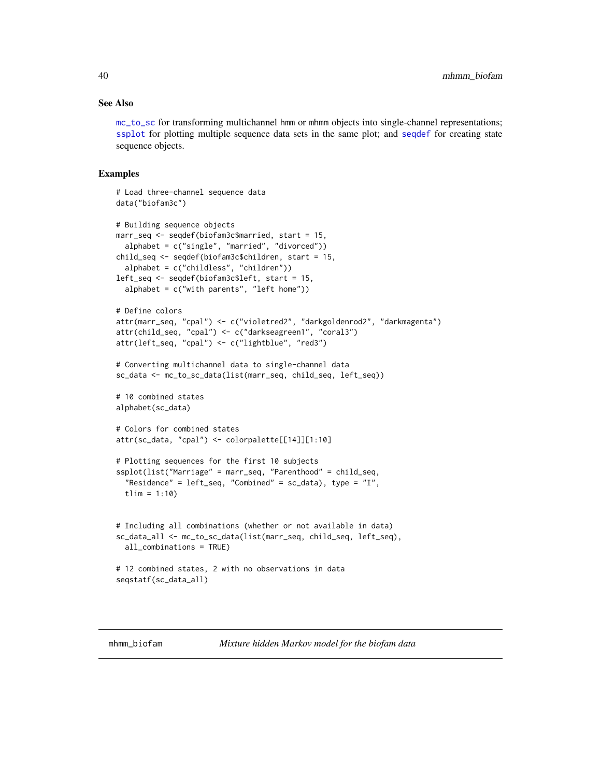#### See Also

[mc\\_to\\_sc](#page-37-0) for transforming multichannel hmm or mhmm objects into single-channel representations; [ssplot](#page-71-0) for plotting multiple sequence data sets in the same plot; and [seqdef](#page-60-0) for creating state sequence objects.

```
# Load three-channel sequence data
data("biofam3c")
# Building sequence objects
marr_seq <- seqdef(biofam3c$married, start = 15,
 alphabet = c("single", "married", "divorced"))
child_seq <- seqdef(biofam3c$children, start = 15,
 alphabet = c("childless", "children"))
left_seq <- seqdef(biofam3c$left, start = 15,
 alphabet = c("with parents", "left home")# Define colors
attr(marr_seq, "cpal") <- c("violetred2", "darkgoldenrod2", "darkmagenta")
attr(child_seq, "cpal") <- c("darkseagreen1", "coral3")
attr(left_seq, "cpal") <- c("lightblue", "red3")
# Converting multichannel data to single-channel data
sc_data <- mc_to_sc_data(list(marr_seq, child_seq, left_seq))
# 10 combined states
alphabet(sc_data)
# Colors for combined states
attr(sc_data, "cpal") <- colorpalette[[14]][1:10]
# Plotting sequences for the first 10 subjects
ssplot(list("Marriage" = marr_seq, "Parenthood" = child_seq,
  "Residence" = left\_seq, "Combined" = sc\_data), type = "I",
 tlim = 1:10# Including all combinations (whether or not available in data)
sc_data_all <- mc_to_sc_data(list(marr_seq, child_seq, left_seq),
 all_combinations = TRUE)
# 12 combined states, 2 with no observations in data
seqstatf(sc_data_all)
```
<span id="page-39-0"></span>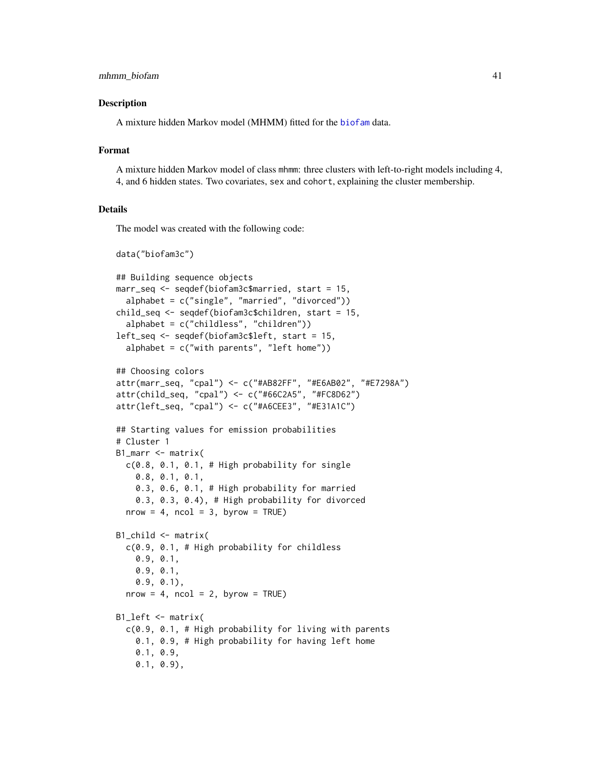A mixture hidden Markov model (MHMM) fitted for the [biofam](#page-0-0) data.

# Format

A mixture hidden Markov model of class mhmm: three clusters with left-to-right models including 4, 4, and 6 hidden states. Two covariates, sex and cohort, explaining the cluster membership.

#### Details

The model was created with the following code:

```
data("biofam3c")
## Building sequence objects
marr_seq <- seqdef(biofam3c$married, start = 15,
  alphabet = c("single", "married", "divorced"))
child_seq <- seqdef(biofam3c$children, start = 15,
  alphabet = c("childless", "children"))
left_seq <- seqdef(biofam3c$left, start = 15,
  alphabet = c("with parents", "left home"))## Choosing colors
attr(marr_seq, "cpal") <- c("#AB82FF", "#E6AB02", "#E7298A")
attr(child_seq, "cpal") <- c("#66C2A5", "#FC8D62")
attr(left_seq, "cpal") <- c("#A6CEE3", "#E31A1C")
## Starting values for emission probabilities
# Cluster 1
B1_marr <- matrix(
 c(0.8, 0.1, 0.1, # High probability for single0.8, 0.1, 0.1,
   0.3, 0.6, 0.1, # High probability for married
   0.3, 0.3, 0.4), # High probability for divorced
 nrow = 4, ncol = 3, byrow = TRUE)
B1_child <- matrix(
 c(0.9, 0.1, # High probability for childless
   0.9, 0.1,
   0.9, 0.1,
   0.9, 0.1),
 nrow = 4, ncol = 2, byrow = TRUE)
B1_left <- matrix(
  c(0.9, 0.1, # High probability for living with parents
   0.1, 0.9, # High probability for having left home
   0.1, 0.9,
   0.1, 0.9),
```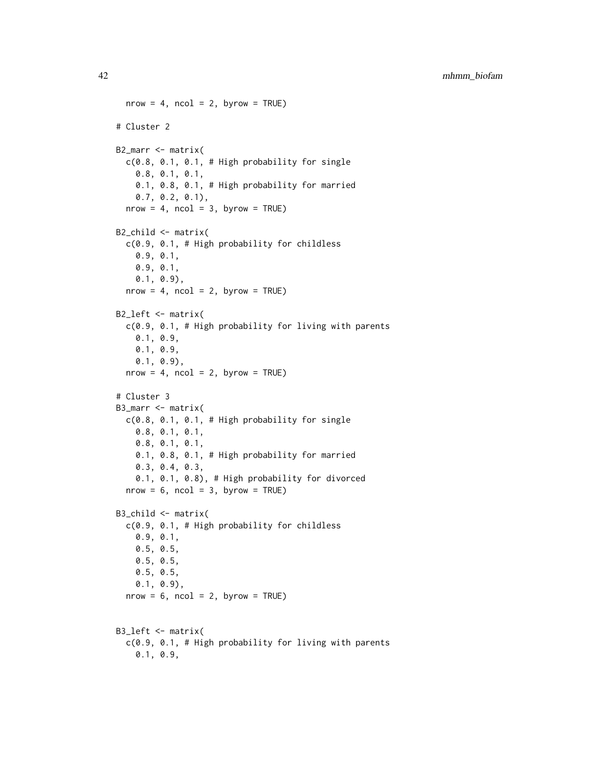```
nrow = 4, ncol = 2, byrow = TRUE)
# Cluster 2
B2_marr <- matrix(
 c(0.8, 0.1, 0.1, # High probability for single0.8, 0.1, 0.1,
   0.1, 0.8, 0.1, # High probability for married
   0.7, 0.2, 0.1),
 nrow = 4, ncol = 3, byrow = TRUE)
B2_child <- matrix(
 c(0.9, 0.1, # High probability for childless
   0.9, 0.1,
   0.9, 0.1,
   0.1, 0.9),
 nrow = 4, ncol = 2, byrow = TRUE)
B2_left <- matrix(
 c(0.9, 0.1, # High probability for living with parents
    0.1, 0.9,
   0.1, 0.9,
   0.1, 0.9),
 nrow = 4, ncol = 2, byrow = TRUE)
# Cluster 3
B3_marr <- matrix(
 c(0.8, 0.1, 0.1, # High probability for single
   0.8, 0.1, 0.1,
   0.8, 0.1, 0.1,
   0.1, 0.8, 0.1, # High probability for married
   0.3, 0.4, 0.3,
   0.1, 0.1, 0.8), # High probability for divorced
 nrow = 6, ncol = 3, byrow = TRUE)
B3_child <- matrix(
  c(0.9, 0.1, # High probability for childless
   0.9, 0.1,
   0.5, 0.5,
   0.5, 0.5,
   0.5, 0.5,
   0.1, 0.9),
  nrow = 6, ncol = 2, byrow = TRUE)
B3_left <- matrix(
 c(0.9, 0.1, # High probability for living with parents
   0.1, 0.9,
```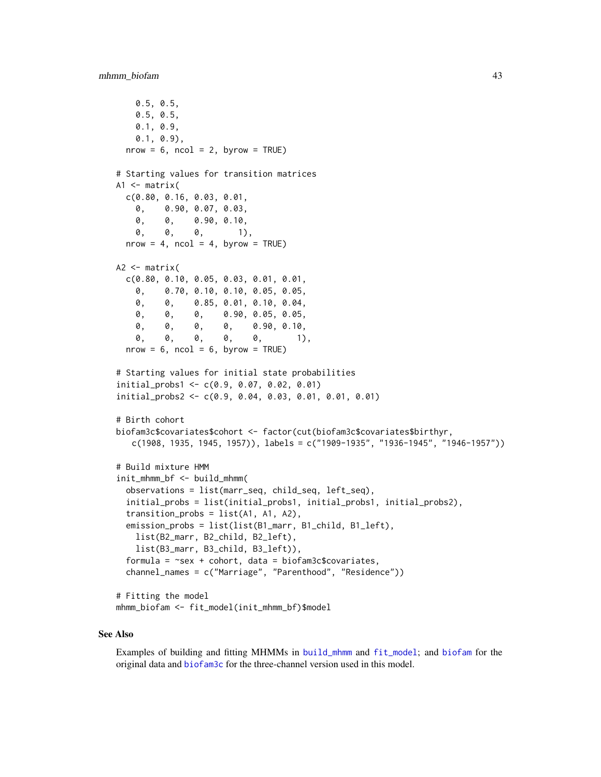```
0.5, 0.5,
   0.5, 0.5,
   0.1, 0.9,
   0.1, 0.9),
 nrow = 6, ncol = 2, byrow = TRUE)
# Starting values for transition matrices
A1 \leq matrix(
 c(0.80, 0.16, 0.03, 0.01,
   0, 0.90, 0.07, 0.03,
   0, 0, 0.90, 0.10,
   0, 0, 0, 1),
 nrow = 4, ncol = 4, byrow = TRUE)
A2 \leftarrow matrix(
 c(0.80, 0.10, 0.05, 0.03, 0.01, 0.01,
   0, 0.70, 0.10, 0.10, 0.05, 0.05,
   0, 0, 0.85, 0.01, 0.10, 0.04,
   0, 0, 0, 0.90, 0.05, 0.05,
   0, 0, 0, 0, 0.90, 0.10,
    0, 0, 0, 0, 0, 1),
 nrow = 6, ncol = 6, byrow = TRUE)
# Starting values for initial state probabilities
initial_probs1 <- c(0.9, 0.07, 0.02, 0.01)
initial_probs2 <- c(0.9, 0.04, 0.03, 0.01, 0.01, 0.01)
# Birth cohort
biofam3c$covariates$cohort <- factor(cut(biofam3c$covariates$birthyr,
   c(1908, 1935, 1945, 1957)), labels = c("1909-1935", "1936-1945", "1946-1957"))
# Build mixture HMM
init_mhmm_bf <- build_mhmm(
  observations = list(marr_seq, child_seq, left_seq),
  initial_probs = list(initial_probs1, initial_probs1, initial_probs2),
  transition\_probs = list(A1, A1, A2),
  emission_probs = list(list(B1_marr, B1_child, B1_left),
   list(B2_marr, B2_child, B2_left),
   list(B3_marr, B3_child, B3_left)),
  formula = \text{``sex + cohort, data = biofam3c$covariates},channel_names = c("Marriage", "Parenthood", "Residence"))
# Fitting the model
mhmm_biofam <- fit_model(init_mhmm_bf)$model
```
#### See Also

Examples of building and fitting MHMMs in [build\\_mhmm](#page-10-0) and [fit\\_model](#page-19-0); and [biofam](#page-0-0) for the original data and [biofam3c](#page-2-0) for the three-channel version used in this model.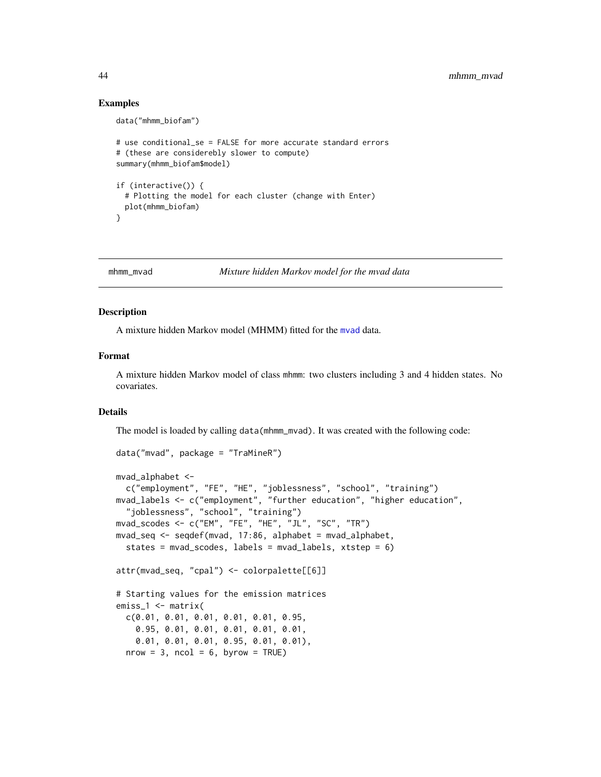# Examples

```
data("mhmm_biofam")
# use conditional_se = FALSE for more accurate standard errors
# (these are considerebly slower to compute)
summary(mhmm_biofam$model)
if (interactive()) {
 # Plotting the model for each cluster (change with Enter)
 plot(mhmm_biofam)
}
```
<span id="page-43-0"></span>

#### mhmm\_mvad *Mixture hidden Markov model for the mvad data*

#### Description

A mixture hidden Markov model (MHMM) fitted for the [mvad](#page-0-0) data.

# Format

A mixture hidden Markov model of class mhmm: two clusters including 3 and 4 hidden states. No covariates.

# Details

The model is loaded by calling data(mhmm\_mvad). It was created with the following code:

```
data("mvad", package = "TraMineR")
mvad_alphabet <-
 c("employment", "FE", "HE", "joblessness", "school", "training")
mvad_labels <- c("employment", "further education", "higher education",
  "joblessness", "school", "training")
mvad_scodes <- c("EM", "FE", "HE", "JL", "SC", "TR")
mvad_seq <- seqdef(mvad, 17:86, alphabet = mvad_alphabet,
  states = mvad_scodes, labels = mvad_labels, xtstep = 6)
attr(mvad_seq, "cpal") <- colorpalette[[6]]
# Starting values for the emission matrices
emiss_1 <- matrix(
 c(0.01, 0.01, 0.01, 0.01, 0.01, 0.95,
   0.95, 0.01, 0.01, 0.01, 0.01, 0.01,
   0.01, 0.01, 0.01, 0.95, 0.01, 0.01),
  nrow = 3, ncol = 6, byrow = TRUE)
```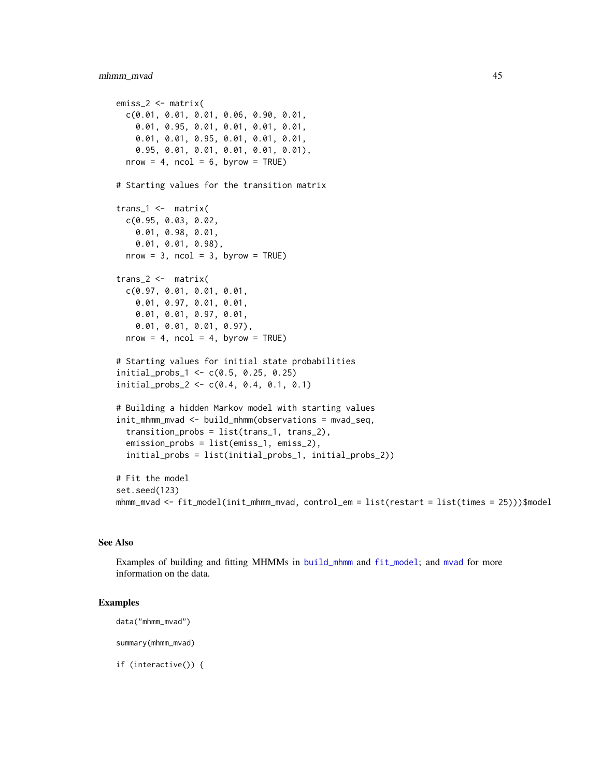# mhmm\_mvad 45

```
emiss_2 <- matrix(
 c(0.01, 0.01, 0.01, 0.06, 0.90, 0.01,
   0.01, 0.95, 0.01, 0.01, 0.01, 0.01,
   0.01, 0.01, 0.95, 0.01, 0.01, 0.01,
   0.95, 0.01, 0.01, 0.01, 0.01, 0.01),
 nrow = 4, ncol = 6, byrow = TRUE)
# Starting values for the transition matrix
trans_1 <- matrix(
 c(0.95, 0.03, 0.02,
   0.01, 0.98, 0.01,
   0.01, 0.01, 0.98),
 nrow = 3, ncol = 3, byrow = TRUE)
trans_2 <- matrix(
 c(0.97, 0.01, 0.01, 0.01,
   0.01, 0.97, 0.01, 0.01,
   0.01, 0.01, 0.97, 0.01,
   0.01, 0.01, 0.01, 0.97),
 nrow = 4, ncol = 4, byrow = TRUE)
# Starting values for initial state probabilities
initial_probs_1 <- c(0.5, 0.25, 0.25)
initial_probs_2 <- c(0.4, 0.4, 0.1, 0.1)
# Building a hidden Markov model with starting values
init_mhmm_mvad <- build_mhmm(observations = mvad_seq,
  transition_probs = list(trans_1, trans_2),
 emission_probs = list(emiss_1, emiss_2),
  initial_probs = list(initial_probs_1, initial_probs_2))
# Fit the model
set.seed(123)
mhmm_mvad <- fit_model(init_mhmm_mvad, control_em = list(restart = list(times = 25)))$model
```
# See Also

Examples of building and fitting MHMMs in [build\\_mhmm](#page-10-0) and [fit\\_model](#page-19-0); and [mvad](#page-0-0) for more information on the data.

# Examples

```
data("mhmm_mvad")
```
summary(mhmm\_mvad)

if (interactive()) {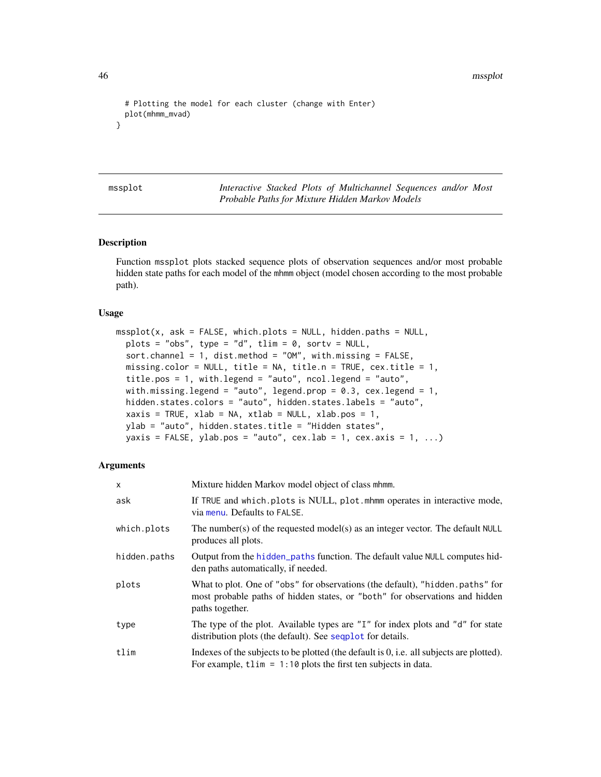46 mssplot

```
# Plotting the model for each cluster (change with Enter)
 plot(mhmm_mvad)
}
```
mssplot *Interactive Stacked Plots of Multichannel Sequences and/or Most Probable Paths for Mixture Hidden Markov Models*

# **Description**

Function mssplot plots stacked sequence plots of observation sequences and/or most probable hidden state paths for each model of the mhmm object (model chosen according to the most probable path).

#### Usage

```
msplot(x, ask = FALSE, which.plots = NULL, hidden.paths = NULL,plots = "obs", type = "d", tlim = 0, sortv = NULL,
  sort.channel = 1, dist.method = "OM", with.missing = FALSE,
 missing.color = NULL, title = NA, title.n = TRUE, cex.title = 1,
  title.pos = 1, with.legend = "auto", ncol.legend = "auto",
 with.missing.legend = "auto", legend.prop = 0.3, cex.legend = 1,
 hidden.states.colors = "auto", hidden.states.labels = "auto",
  xaxis = TRUE, xlab = NA, xtlab = NULL, xlab.pos = 1,ylab = "auto", hidden.states.title = "Hidden states",
 yaxis = FALSE, ylab.pos = "auto", cex.lab = 1, cex.axis = 1, ...)
```
# Arguments

| $\mathsf{x}$ | Mixture hidden Markov model object of class mhmm.                                                                                                                               |
|--------------|---------------------------------------------------------------------------------------------------------------------------------------------------------------------------------|
| ask          | If TRUE and which.plots is NULL, plot.mhmm operates in interactive mode,<br>via menu. Defaults to FALSE.                                                                        |
| which.plots  | The number(s) of the requested model(s) as an integer vector. The default NULL<br>produces all plots.                                                                           |
| hidden.paths | Output from the hidden_paths function. The default value NULL computes hid-<br>den paths automatically, if needed.                                                              |
| plots        | What to plot. One of "obs" for observations (the default), "hidden paths" for<br>most probable paths of hidden states, or "both" for observations and hidden<br>paths together. |
| type         | The type of the plot. Available types are "I" for index plots and "d" for state<br>distribution plots (the default). See sequel for details.                                    |
| tlim         | Indexes of the subjects to be plotted (the default is 0, i.e. all subjects are plotted).<br>For example, $t \lim = 1:10$ plots the first ten subjects in data.                  |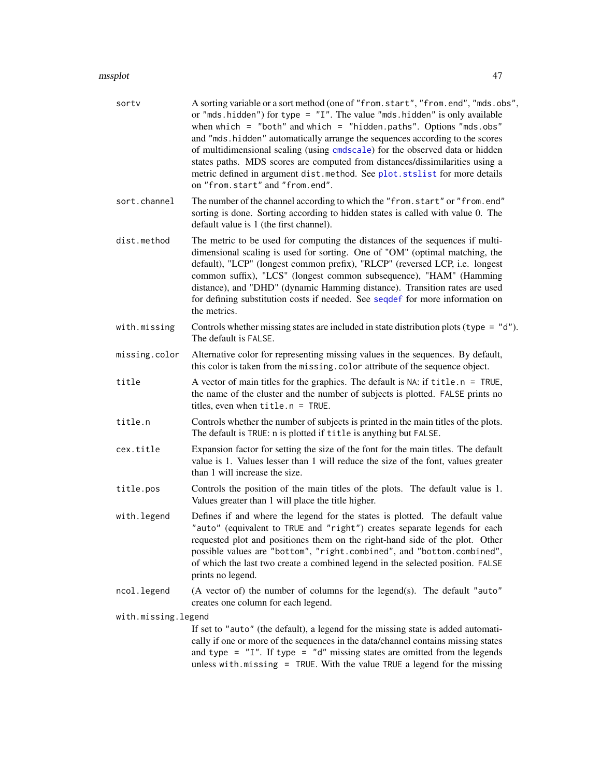| sortv               | A sorting variable or a sort method (one of "from.start", "from.end", "mds.obs",<br>or "mds.hidden") for type = $"I".$ The value "mds.hidden" is only available<br>when which = "both" and which = "hidden.paths". Options "mds.obs"<br>and "mds.hidden" automatically arrange the sequences according to the scores<br>of multidimensional scaling (using cmdscale) for the observed data or hidden<br>states paths. MDS scores are computed from distances/dissimilarities using a<br>metric defined in argument dist.method. See plot.stslist for more details<br>on "from.start" and "from.end". |
|---------------------|------------------------------------------------------------------------------------------------------------------------------------------------------------------------------------------------------------------------------------------------------------------------------------------------------------------------------------------------------------------------------------------------------------------------------------------------------------------------------------------------------------------------------------------------------------------------------------------------------|
| sort.channel        | The number of the channel according to which the "from.start" or "from.end"<br>sorting is done. Sorting according to hidden states is called with value 0. The<br>default value is 1 (the first channel).                                                                                                                                                                                                                                                                                                                                                                                            |
| dist.method         | The metric to be used for computing the distances of the sequences if multi-<br>dimensional scaling is used for sorting. One of "OM" (optimal matching, the<br>default), "LCP" (longest common prefix), "RLCP" (reversed LCP, i.e. longest<br>common suffix), "LCS" (longest common subsequence), "HAM" (Hamming<br>distance), and "DHD" (dynamic Hamming distance). Transition rates are used<br>for defining substitution costs if needed. See seqdef for more information on<br>the metrics.                                                                                                      |
| with.missing        | Controls whether missing states are included in state distribution plots (type = $"d"$ ).<br>The default is FALSE.                                                                                                                                                                                                                                                                                                                                                                                                                                                                                   |
| missing.color       | Alternative color for representing missing values in the sequences. By default,<br>this color is taken from the missing. color attribute of the sequence object.                                                                                                                                                                                                                                                                                                                                                                                                                                     |
| title               | A vector of main titles for the graphics. The default is $NA$ : if $title.n = TRUE$ ,<br>the name of the cluster and the number of subjects is plotted. FALSE prints no<br>titles, even when $title.n = TRUE$ .                                                                                                                                                                                                                                                                                                                                                                                      |
| title.n             | Controls whether the number of subjects is printed in the main titles of the plots.<br>The default is TRUE: n is plotted if title is anything but FALSE.                                                                                                                                                                                                                                                                                                                                                                                                                                             |
| cex.title           | Expansion factor for setting the size of the font for the main titles. The default<br>value is 1. Values lesser than 1 will reduce the size of the font, values greater<br>than 1 will increase the size.                                                                                                                                                                                                                                                                                                                                                                                            |
| title.pos           | Controls the position of the main titles of the plots. The default value is 1.<br>Values greater than 1 will place the title higher.                                                                                                                                                                                                                                                                                                                                                                                                                                                                 |
| with.legend         | Defines if and where the legend for the states is plotted. The default value<br>"auto" (equivalent to TRUE and "right") creates separate legends for each<br>requested plot and positiones them on the right-hand side of the plot. Other<br>possible values are "bottom", "right.combined", and "bottom.combined",<br>of which the last two create a combined legend in the selected position. FALSE<br>prints no legend.                                                                                                                                                                           |
| ncol.legend         | (A vector of) the number of columns for the legend(s). The default "auto"<br>creates one column for each legend.                                                                                                                                                                                                                                                                                                                                                                                                                                                                                     |
| with.missing.legend |                                                                                                                                                                                                                                                                                                                                                                                                                                                                                                                                                                                                      |
|                     | If set to "auto" (the default), a legend for the missing state is added automati-<br>cally if one or more of the sequences in the data/channel contains missing states<br>and type = $"I".$ If type = $"d"$ missing states are omitted from the legends<br>unless with $m$ issing = TRUE. With the value TRUE a legend for the missing                                                                                                                                                                                                                                                               |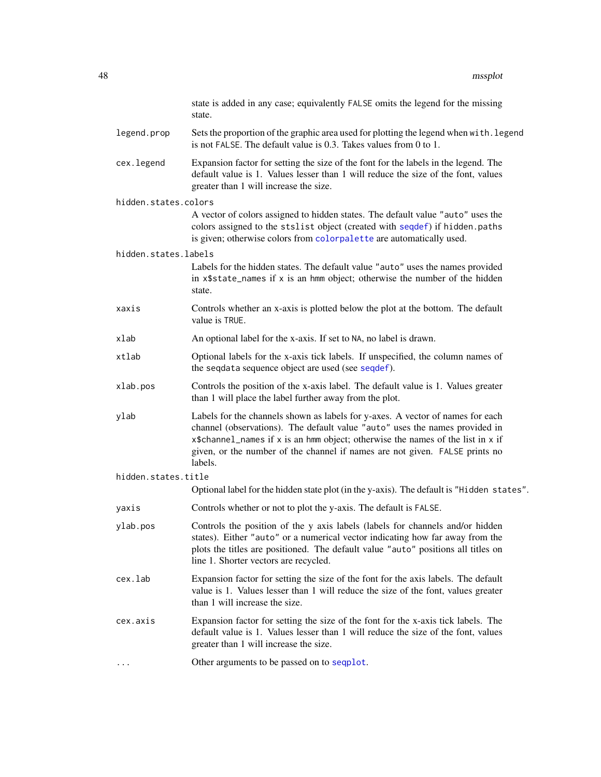|                      | state is added in any case; equivalently FALSE omits the legend for the missing<br>state.                                                                                                                                                                                                                                                  |
|----------------------|--------------------------------------------------------------------------------------------------------------------------------------------------------------------------------------------------------------------------------------------------------------------------------------------------------------------------------------------|
| legend.prop          | Sets the proportion of the graphic area used for plotting the legend when with. legend<br>is not FALSE. The default value is 0.3. Takes values from 0 to 1.                                                                                                                                                                                |
| cex.legend           | Expansion factor for setting the size of the font for the labels in the legend. The<br>default value is 1. Values lesser than 1 will reduce the size of the font, values<br>greater than 1 will increase the size.                                                                                                                         |
| hidden.states.colors |                                                                                                                                                                                                                                                                                                                                            |
|                      | A vector of colors assigned to hidden states. The default value "auto" uses the<br>colors assigned to the stslist object (created with seqdef) if hidden.paths<br>is given; otherwise colors from colorpalette are automatically used.                                                                                                     |
| hidden.states.labels |                                                                                                                                                                                                                                                                                                                                            |
|                      | Labels for the hidden states. The default value "auto" uses the names provided<br>in x\$state_names if x is an hmm object; otherwise the number of the hidden<br>state.                                                                                                                                                                    |
| xaxis                | Controls whether an x-axis is plotted below the plot at the bottom. The default<br>value is TRUE.                                                                                                                                                                                                                                          |
| xlab                 | An optional label for the x-axis. If set to NA, no label is drawn.                                                                                                                                                                                                                                                                         |
| xtlab                | Optional labels for the x-axis tick labels. If unspecified, the column names of<br>the seqdata sequence object are used (see seqdef).                                                                                                                                                                                                      |
| xlab.pos             | Controls the position of the x-axis label. The default value is 1. Values greater<br>than 1 will place the label further away from the plot.                                                                                                                                                                                               |
| ylab                 | Labels for the channels shown as labels for y-axes. A vector of names for each<br>channel (observations). The default value "auto" uses the names provided in<br>x\$channel_names if x is an hmm object; otherwise the names of the list in x if<br>given, or the number of the channel if names are not given. FALSE prints no<br>labels. |
| hidden.states.title  |                                                                                                                                                                                                                                                                                                                                            |
|                      | Optional label for the hidden state plot (in the y-axis). The default is "Hidden states".                                                                                                                                                                                                                                                  |
| yaxis                | Controls whether or not to plot the y-axis. The default is FALSE.                                                                                                                                                                                                                                                                          |
| ylab.pos             | Controls the position of the y axis labels (labels for channels and/or hidden<br>states). Either "auto" or a numerical vector indicating how far away from the<br>plots the titles are positioned. The default value "auto" positions all titles on<br>line 1. Shorter vectors are recycled.                                               |
| cex.lab              | Expansion factor for setting the size of the font for the axis labels. The default<br>value is 1. Values lesser than 1 will reduce the size of the font, values greater<br>than 1 will increase the size.                                                                                                                                  |
| cex.axis             | Expansion factor for setting the size of the font for the x-axis tick labels. The<br>default value is 1. Values lesser than 1 will reduce the size of the font, values<br>greater than 1 will increase the size.                                                                                                                           |
|                      | Other arguments to be passed on to seqplot.                                                                                                                                                                                                                                                                                                |
|                      |                                                                                                                                                                                                                                                                                                                                            |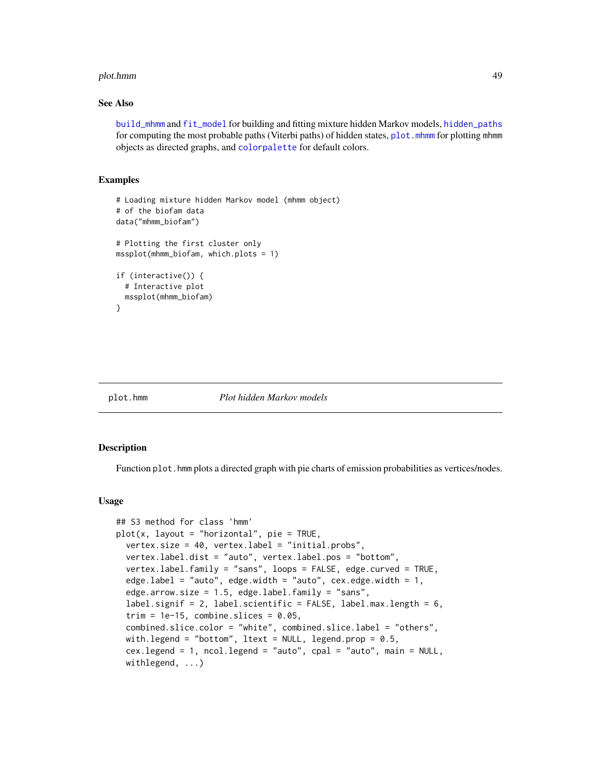#### plot.hmm 49

#### See Also

[build\\_mhmm](#page-10-0) and [fit\\_model](#page-19-0) for building and fitting mixture hidden Markov models, [hidden\\_paths](#page-31-0) for computing the most probable paths (Viterbi paths) of hidden states, plot. mhmm for plotting mhmm objects as directed graphs, and [colorpalette](#page-18-0) for default colors.

#### Examples

```
# Loading mixture hidden Markov model (mhmm object)
# of the biofam data
data("mhmm_biofam")
# Plotting the first cluster only
mssplot(mhmm_biofam, which.plots = 1)
if (interactive()) {
 # Interactive plot
 mssplot(mhmm_biofam)
}
```
#### plot.hmm *Plot hidden Markov models*

#### Description

Function plot. hmm plots a directed graph with pie charts of emission probabilities as vertices/nodes.

# Usage

```
## S3 method for class 'hmm'
plot(x, layout = "horizontal", pie = TRUE,
 vertex.size = 40, vertex.label = "initial.probs",
  vertex.label.dist = "auto", vertex.label.pos = "bottom",
  vertex.label.family = "sans", loops = FALSE, edge.curved = TRUE,
  edge.label = "auto", edge.width = "auto", cex.edge.width = 1,
  edge.arrow.size = 1.5, edge.label.family = "sans",
  label.signif = 2, label.scientific = FALSE, label.max.length = 6,
  trim = 1e-15, combine.slices = 0.05,
  combined.slice.color = "white", combined.slice.label = "others",
  with.legend = "bottom", ltext = NULL, legend.prop = 0.5,
  cex.legend = 1, ncol.legend = "auto", cpal = "auto", main = NULL,
  withlegend, ...)
```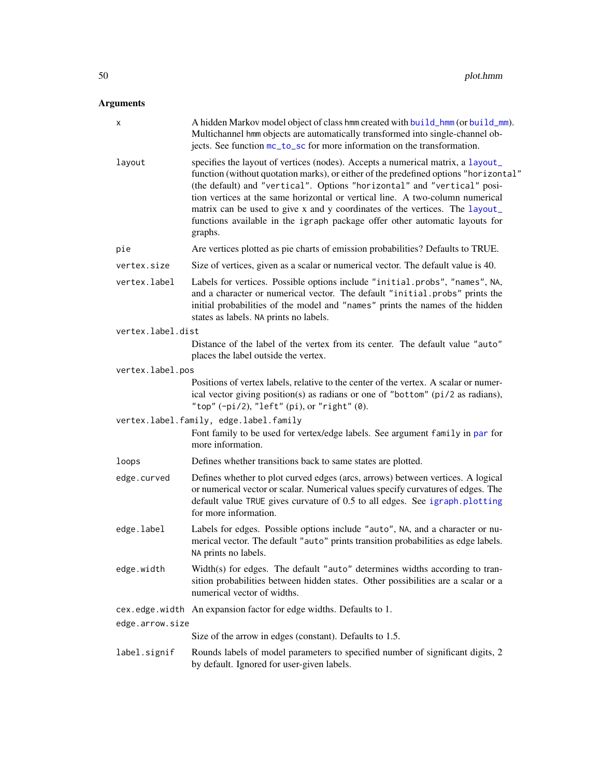# Arguments

| x                 | A hidden Markov model object of class hmm created with build_hmm (or build_mm).<br>Multichannel hmm objects are automatically transformed into single-channel ob-<br>jects. See function mc_to_sc for more information on the transformation.                                                                                                                                                                                                                                                                |
|-------------------|--------------------------------------------------------------------------------------------------------------------------------------------------------------------------------------------------------------------------------------------------------------------------------------------------------------------------------------------------------------------------------------------------------------------------------------------------------------------------------------------------------------|
| layout            | specifies the layout of vertices (nodes). Accepts a numerical matrix, a layout_<br>function (without quotation marks), or either of the predefined options "horizontal"<br>(the default) and "vertical". Options "horizontal" and "vertical" posi-<br>tion vertices at the same horizontal or vertical line. A two-column numerical<br>matrix can be used to give x and y coordinates of the vertices. The layout_<br>functions available in the igraph package offer other automatic layouts for<br>graphs. |
| pie               | Are vertices plotted as pie charts of emission probabilities? Defaults to TRUE.                                                                                                                                                                                                                                                                                                                                                                                                                              |
| vertex.size       | Size of vertices, given as a scalar or numerical vector. The default value is 40.                                                                                                                                                                                                                                                                                                                                                                                                                            |
| vertex.label      | Labels for vertices. Possible options include "initial.probs", "names", NA,<br>and a character or numerical vector. The default "initial.probs" prints the<br>initial probabilities of the model and "names" prints the names of the hidden<br>states as labels. NA prints no labels.                                                                                                                                                                                                                        |
| vertex.label.dist |                                                                                                                                                                                                                                                                                                                                                                                                                                                                                                              |
|                   | Distance of the label of the vertex from its center. The default value "auto"<br>places the label outside the vertex.                                                                                                                                                                                                                                                                                                                                                                                        |
| vertex.label.pos  |                                                                                                                                                                                                                                                                                                                                                                                                                                                                                                              |
|                   | Positions of vertex labels, relative to the center of the vertex. A scalar or numer-<br>ical vector giving position(s) as radians or one of "bottom" (pi/2 as radians),<br>"top" $(-pi/2)$ , "left" $(pi)$ , or "right" $(0)$ .                                                                                                                                                                                                                                                                              |
|                   | vertex.label.family, edge.label.family<br>Font family to be used for vertex/edge labels. See argument family in par for<br>more information.                                                                                                                                                                                                                                                                                                                                                                 |
| loops             | Defines whether transitions back to same states are plotted.                                                                                                                                                                                                                                                                                                                                                                                                                                                 |
| edge.curved       | Defines whether to plot curved edges (arcs, arrows) between vertices. A logical<br>or numerical vector or scalar. Numerical values specify curvatures of edges. The<br>default value TRUE gives curvature of 0.5 to all edges. See igraph.plotting<br>for more information.                                                                                                                                                                                                                                  |
| edge.label        | Labels for edges. Possible options include "auto", NA, and a character or nu-<br>merical vector. The default "auto" prints transition probabilities as edge labels.<br>NA prints no labels.                                                                                                                                                                                                                                                                                                                  |
| edge.width        | Width(s) for edges. The default "auto" determines widths according to tran-<br>sition probabilities between hidden states. Other possibilities are a scalar or a<br>numerical vector of widths.                                                                                                                                                                                                                                                                                                              |
|                   | cex.edge.width An expansion factor for edge widths. Defaults to 1.                                                                                                                                                                                                                                                                                                                                                                                                                                           |
| edge.arrow.size   |                                                                                                                                                                                                                                                                                                                                                                                                                                                                                                              |
|                   | Size of the arrow in edges (constant). Defaults to 1.5.                                                                                                                                                                                                                                                                                                                                                                                                                                                      |
| label.signif      | Rounds labels of model parameters to specified number of significant digits, 2<br>by default. Ignored for user-given labels.                                                                                                                                                                                                                                                                                                                                                                                 |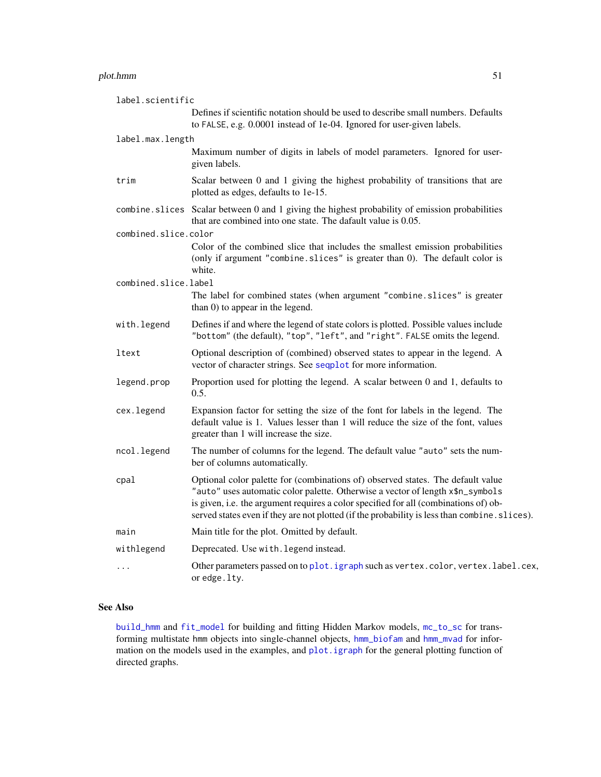#### plot.hmm 51

| label.scientific     |                                                                                                                                                                                                                                                                                                                                                            |
|----------------------|------------------------------------------------------------------------------------------------------------------------------------------------------------------------------------------------------------------------------------------------------------------------------------------------------------------------------------------------------------|
|                      | Defines if scientific notation should be used to describe small numbers. Defaults<br>to FALSE, e.g. 0.0001 instead of 1e-04. Ignored for user-given labels.                                                                                                                                                                                                |
| label.max.length     |                                                                                                                                                                                                                                                                                                                                                            |
|                      | Maximum number of digits in labels of model parameters. Ignored for user-<br>given labels.                                                                                                                                                                                                                                                                 |
| trim                 | Scalar between 0 and 1 giving the highest probability of transitions that are<br>plotted as edges, defaults to 1e-15.                                                                                                                                                                                                                                      |
| combine.slices       | Scalar between 0 and 1 giving the highest probability of emission probabilities<br>that are combined into one state. The dafault value is 0.05.                                                                                                                                                                                                            |
| combined.slice.color |                                                                                                                                                                                                                                                                                                                                                            |
|                      | Color of the combined slice that includes the smallest emission probabilities<br>(only if argument "combine.slices" is greater than 0). The default color is<br>white.                                                                                                                                                                                     |
| combined.slice.label |                                                                                                                                                                                                                                                                                                                                                            |
|                      | The label for combined states (when argument "combine.slices" is greater<br>than 0) to appear in the legend.                                                                                                                                                                                                                                               |
| with.legend          | Defines if and where the legend of state colors is plotted. Possible values include<br>"bottom" (the default), "top", "left", and "right". FALSE omits the legend.                                                                                                                                                                                         |
| ltext                | Optional description of (combined) observed states to appear in the legend. A<br>vector of character strings. See sequelot for more information.                                                                                                                                                                                                           |
| legend.prop          | Proportion used for plotting the legend. A scalar between 0 and 1, defaults to<br>0.5.                                                                                                                                                                                                                                                                     |
| cex.legend           | Expansion factor for setting the size of the font for labels in the legend. The<br>default value is 1. Values lesser than 1 will reduce the size of the font, values<br>greater than 1 will increase the size.                                                                                                                                             |
| ncol.legend          | The number of columns for the legend. The default value "auto" sets the num-<br>ber of columns automatically.                                                                                                                                                                                                                                              |
| cpal                 | Optional color palette for (combinations of) observed states. The default value<br>"auto" uses automatic color palette. Otherwise a vector of length x\$n_symbols<br>is given, i.e. the argument requires a color specified for all (combinations of) ob-<br>served states even if they are not plotted (if the probability is less than combine. slices). |
| main                 | Main title for the plot. Omitted by default.                                                                                                                                                                                                                                                                                                               |
| withlegend           | Deprecated. Use with. legend instead.                                                                                                                                                                                                                                                                                                                      |
| $\cdots$             | Other parameters passed on to plot. igraph such as vertex.color, vertex.label.cex,<br>or edge. lty.                                                                                                                                                                                                                                                        |

# See Also

[build\\_hmm](#page-3-0) and [fit\\_model](#page-19-0) for building and fitting Hidden Markov models, [mc\\_to\\_sc](#page-37-0) for transforming multistate hmm objects into single-channel objects, [hmm\\_biofam](#page-32-0) and [hmm\\_mvad](#page-34-0) for information on the models used in the examples, and [plot.igraph](#page-0-0) for the general plotting function of directed graphs.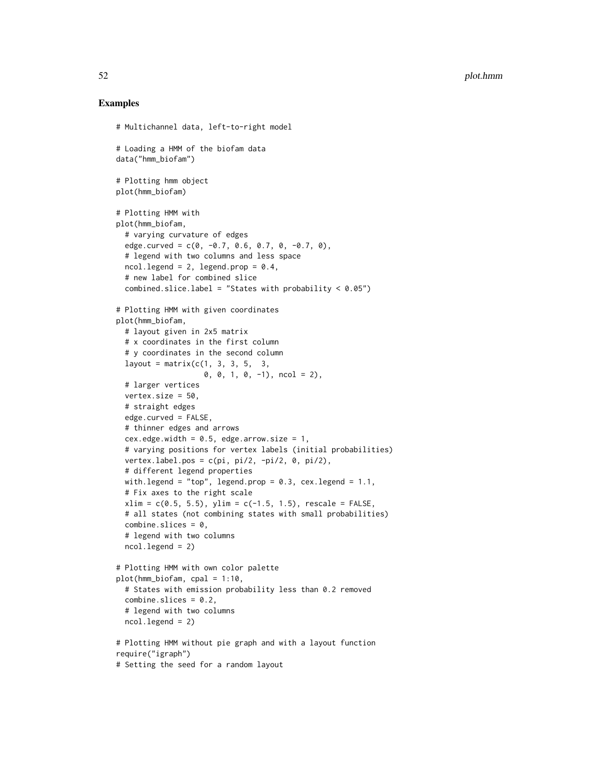```
# Multichannel data, left-to-right model
# Loading a HMM of the biofam data
data("hmm_biofam")
# Plotting hmm object
plot(hmm_biofam)
# Plotting HMM with
plot(hmm_biofam,
 # varying curvature of edges
 edge.curved = c(0, -0.7, 0.6, 0.7, 0, -0.7, 0),
 # legend with two columns and less space
 ncol. legend = 2, legend.prop = 0.4,
 # new label for combined slice
 combined.slice.label = "States with probability < 0.05")
# Plotting HMM with given coordinates
plot(hmm_biofam,
 # layout given in 2x5 matrix
 # x coordinates in the first column
 # y coordinates in the second column
 layout = matrix(c(1, 3, 3, 5, 3,0, 0, 1, 0, -1), ncol = 2),
 # larger vertices
 vertex.size = 50,
 # straight edges
 edge.curved = FALSE,
 # thinner edges and arrows
 cex.edge.width = 0.5, edge.arrow.size = 1,
 # varying positions for vertex labels (initial probabilities)
 vertex.label.pos = c(pi, pi/2, -pi/2, 0, pi/2),
 # different legend properties
 with.legend = "top", legend.prop = 0.3, cex.legend = 1.1,
 # Fix axes to the right scale
 xlim = c(0.5, 5.5), ylim = c(-1.5, 1.5), rescale = FALSE,# all states (not combining states with small probabilities)
 combine.slices = 0,
 # legend with two columns
 ncol.legend = 2)
# Plotting HMM with own color palette
plot(hmm_biofam, cpal = 1:10,
 # States with emission probability less than 0.2 removed
 combine.slices = 0.2,
 # legend with two columns
 ncol.legend = 2)
# Plotting HMM without pie graph and with a layout function
require("igraph")
# Setting the seed for a random layout
```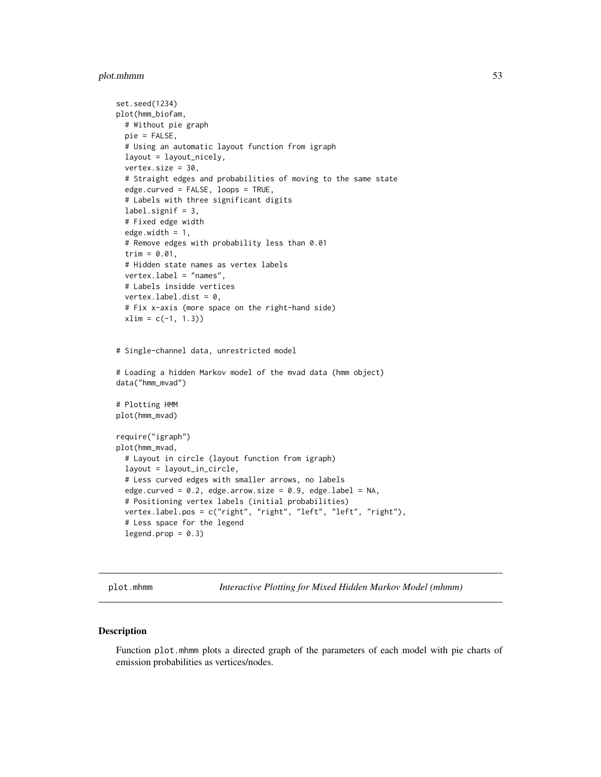# plot.mhmm 53

```
set.seed(1234)
plot(hmm_biofam,
 # Without pie graph
 pie = FALSE,
 # Using an automatic layout function from igraph
 layout = layout_nicely,
 vertex.size = 30,
 # Straight edges and probabilities of moving to the same state
 edge.curved = FALSE, loops = TRUE,
 # Labels with three significant digits
 label.signif = 3,
 # Fixed edge width
 edge.width = 1,
 # Remove edges with probability less than 0.01
 trim = 0.01,
 # Hidden state names as vertex labels
 vertex.label = "names",
 # Labels insidde vertices
 vertex.label.dist = 0,
 # Fix x-axis (more space on the right-hand side)
 xlim = c(-1, 1.3)# Single-channel data, unrestricted model
# Loading a hidden Markov model of the mvad data (hmm object)
data("hmm_mvad")
# Plotting HMM
plot(hmm_mvad)
require("igraph")
plot(hmm_mvad,
 # Layout in circle (layout function from igraph)
 layout = layout_in_circle,
 # Less curved edges with smaller arrows, no labels
 edge.curved = 0.2, edge.arrow.size = 0.9, edge.label = NA,
 # Positioning vertex labels (initial probabilities)
 vertex.label.pos = c("right", "right", "left", "left", "right"),
 # Less space for the legend
 legend.prop = 0.3)
```
<span id="page-52-0"></span>plot.mhmm *Interactive Plotting for Mixed Hidden Markov Model (mhmm)*

# Description

Function plot.mhmm plots a directed graph of the parameters of each model with pie charts of emission probabilities as vertices/nodes.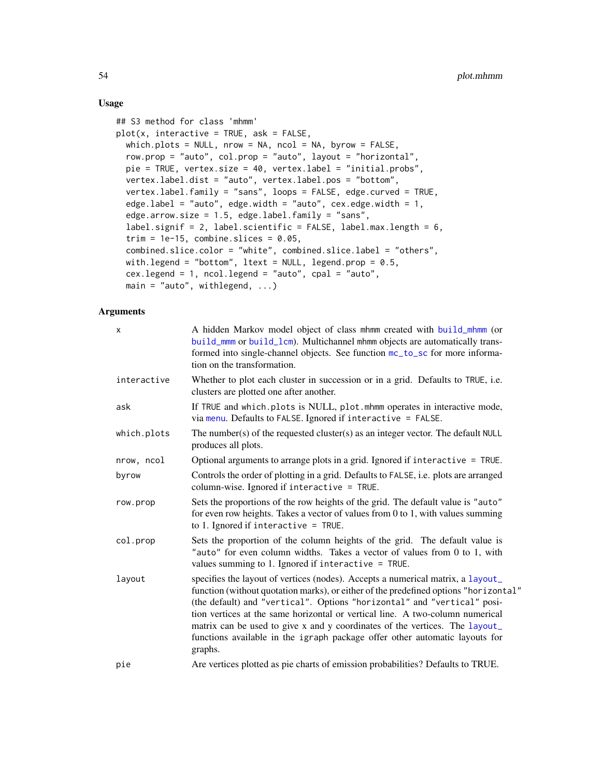# Usage

```
## S3 method for class 'mhmm'
plot(x, interactive = TRUE, ask = FALSE,which.plots = NULL, nrow = NA, ncol = NA, byrow = FALSE,
  row.prop = "auto", col.prop = "auto", layout = "horizontal",
 pie = TRUE, vertex.size = 40, vertex.label = "initial.probs",
  vertex.label.dist = "auto", vertex.label.pos = "bottom",
  vertex.label.family = "sans", loops = FALSE, edge.curved = TRUE,
  edge.label = "auto", edge.width = "auto", cex.edge.width = 1,
  edge.arrow.size = 1.5, edge.label.family = "sans",
  label.signif = 2, label.scientific = FALSE, label.max.length = 6,
  trim = 1e-15, combine.slices = 0.05,
  combined.slice.color = "white", combined.slice.label = "others",
 with.legend = "bottom", ltext = NULL, legend.prop = 0.5,
  cex.legend = 1, ncol.legend = "auto", cpal = "auto",
  main = "auto", withlegend, ...)
```
# Arguments

| X           | A hidden Markov model object of class mhmm created with build_mhmm (or<br>build_mmm or build_lcm). Multichannel mhmm objects are automatically trans-<br>formed into single-channel objects. See function mc_to_sc for more informa-<br>tion on the transformation.                                                                                                                                                                                                                                          |
|-------------|--------------------------------------------------------------------------------------------------------------------------------------------------------------------------------------------------------------------------------------------------------------------------------------------------------------------------------------------------------------------------------------------------------------------------------------------------------------------------------------------------------------|
| interactive | Whether to plot each cluster in succession or in a grid. Defaults to TRUE, i.e.<br>clusters are plotted one after another.                                                                                                                                                                                                                                                                                                                                                                                   |
| ask         | If TRUE and which.plots is NULL, plot.mhmm operates in interactive mode,<br>via menu. Defaults to FALSE. Ignored if interactive $=$ FALSE.                                                                                                                                                                                                                                                                                                                                                                   |
| which.plots | The number(s) of the requested cluster(s) as an integer vector. The default NULL<br>produces all plots.                                                                                                                                                                                                                                                                                                                                                                                                      |
| nrow, ncol  | Optional arguments to arrange plots in a grid. Ignored if interactive $=$ TRUE.                                                                                                                                                                                                                                                                                                                                                                                                                              |
| byrow       | Controls the order of plotting in a grid. Defaults to FALSE, i.e. plots are arranged<br>column-wise. Ignored if interactive = TRUE.                                                                                                                                                                                                                                                                                                                                                                          |
| row.prop    | Sets the proportions of the row heights of the grid. The default value is "auto"<br>for even row heights. Takes a vector of values from $0$ to $1$ , with values summing<br>to 1. Ignored if interactive = TRUE.                                                                                                                                                                                                                                                                                             |
| col.prop    | Sets the proportion of the column heights of the grid. The default value is<br>"auto" for even column widths. Takes a vector of values from 0 to 1, with<br>values summing to 1. Ignored if interactive $=$ TRUE.                                                                                                                                                                                                                                                                                            |
| layout      | specifies the layout of vertices (nodes). Accepts a numerical matrix, a layout_<br>function (without quotation marks), or either of the predefined options "horizontal"<br>(the default) and "vertical". Options "horizontal" and "vertical" posi-<br>tion vertices at the same horizontal or vertical line. A two-column numerical<br>matrix can be used to give x and y coordinates of the vertices. The layout_<br>functions available in the igraph package offer other automatic layouts for<br>graphs. |
| pie         | Are vertices plotted as pie charts of emission probabilities? Defaults to TRUE.                                                                                                                                                                                                                                                                                                                                                                                                                              |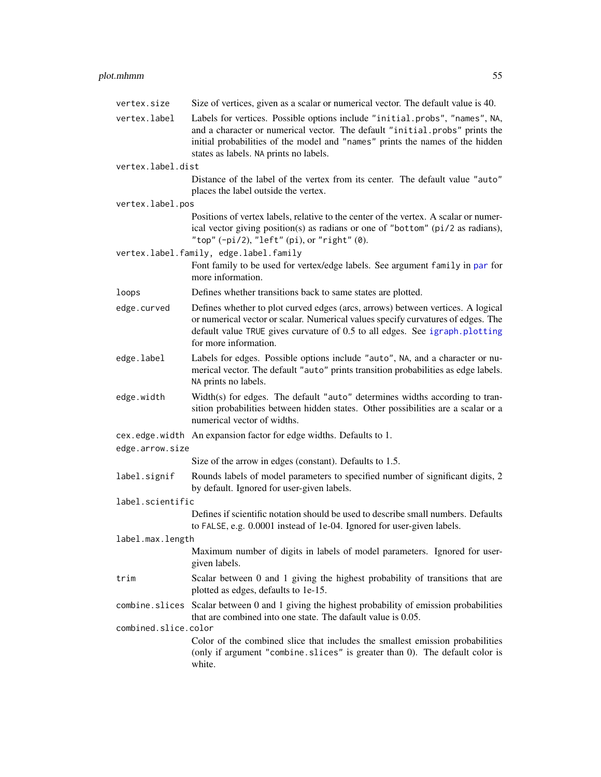# plot.mhmm 55

| vertex.size          | Size of vertices, given as a scalar or numerical vector. The default value is 40.                                                                                                                                                                                                     |
|----------------------|---------------------------------------------------------------------------------------------------------------------------------------------------------------------------------------------------------------------------------------------------------------------------------------|
| vertex.label         | Labels for vertices. Possible options include "initial.probs", "names", NA,<br>and a character or numerical vector. The default "initial.probs" prints the<br>initial probabilities of the model and "names" prints the names of the hidden<br>states as labels. NA prints no labels. |
| vertex.label.dist    |                                                                                                                                                                                                                                                                                       |
|                      | Distance of the label of the vertex from its center. The default value "auto"<br>places the label outside the vertex.                                                                                                                                                                 |
| vertex.label.pos     |                                                                                                                                                                                                                                                                                       |
|                      | Positions of vertex labels, relative to the center of the vertex. A scalar or numer-<br>ical vector giving position(s) as radians or one of "bottom" (pi/2 as radians),<br>"top" $(-pi/2)$ , "left" $(pi)$ , or "right" $(0)$ .                                                       |
|                      | vertex.label.family, edge.label.family                                                                                                                                                                                                                                                |
|                      | Font family to be used for vertex/edge labels. See argument family in par for<br>more information.                                                                                                                                                                                    |
| loops                | Defines whether transitions back to same states are plotted.                                                                                                                                                                                                                          |
| edge.curved          | Defines whether to plot curved edges (arcs, arrows) between vertices. A logical<br>or numerical vector or scalar. Numerical values specify curvatures of edges. The<br>default value TRUE gives curvature of 0.5 to all edges. See igraph.plotting<br>for more information.           |
| edge.label           | Labels for edges. Possible options include "auto", NA, and a character or nu-<br>merical vector. The default "auto" prints transition probabilities as edge labels.<br>NA prints no labels.                                                                                           |
| edge.width           | Width(s) for edges. The default "auto" determines widths according to tran-<br>sition probabilities between hidden states. Other possibilities are a scalar or a<br>numerical vector of widths.                                                                                       |
|                      | cex.edge.width An expansion factor for edge widths. Defaults to 1.                                                                                                                                                                                                                    |
| edge.arrow.size      |                                                                                                                                                                                                                                                                                       |
|                      | Size of the arrow in edges (constant). Defaults to 1.5.                                                                                                                                                                                                                               |
| label.signif         | Rounds labels of model parameters to specified number of significant digits, 2<br>by default. Ignored for user-given labels.                                                                                                                                                          |
| label.scientific     |                                                                                                                                                                                                                                                                                       |
|                      | Defines if scientific notation should be used to describe small numbers. Defaults<br>to FALSE, e.g. 0.0001 instead of 1e-04. Ignored for user-given labels.                                                                                                                           |
| label.max.length     |                                                                                                                                                                                                                                                                                       |
|                      | Maximum number of digits in labels of model parameters. Ignored for user-<br>given labels.                                                                                                                                                                                            |
| trim                 | Scalar between 0 and 1 giving the highest probability of transitions that are<br>plotted as edges, defaults to 1e-15.                                                                                                                                                                 |
| combine.slices       | Scalar between 0 and 1 giving the highest probability of emission probabilities<br>that are combined into one state. The dafault value is 0.05.                                                                                                                                       |
| combined.slice.color |                                                                                                                                                                                                                                                                                       |
|                      | Color of the combined slice that includes the smallest emission probabilities<br>(only if argument "combine.slices" is greater than 0). The default color is<br>white.                                                                                                                |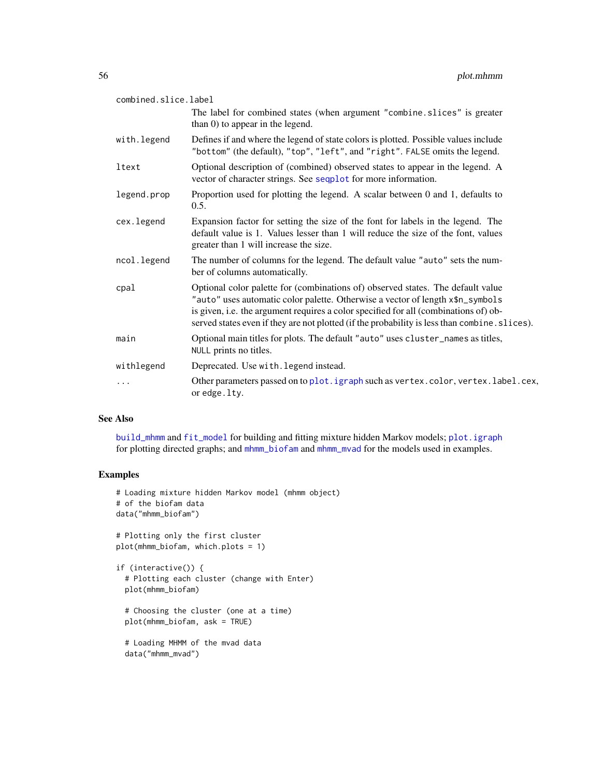| combined.slice.label |                                                                                                                                                                                                                                                                                                                                                            |
|----------------------|------------------------------------------------------------------------------------------------------------------------------------------------------------------------------------------------------------------------------------------------------------------------------------------------------------------------------------------------------------|
|                      | The label for combined states (when argument "combine.slices" is greater<br>than 0) to appear in the legend.                                                                                                                                                                                                                                               |
| with.legend          | Defines if and where the legend of state colors is plotted. Possible values include<br>"bottom" (the default), "top", "left", and "right". FALSE omits the legend.                                                                                                                                                                                         |
| ltext                | Optional description of (combined) observed states to appear in the legend. A<br>vector of character strings. See sequelot for more information.                                                                                                                                                                                                           |
| legend.prop          | Proportion used for plotting the legend. A scalar between 0 and 1, defaults to<br>0.5.                                                                                                                                                                                                                                                                     |
| cex.legend           | Expansion factor for setting the size of the font for labels in the legend. The<br>default value is 1. Values lesser than 1 will reduce the size of the font, values<br>greater than 1 will increase the size.                                                                                                                                             |
| ncol.legend          | The number of columns for the legend. The default value "auto" sets the num-<br>ber of columns automatically.                                                                                                                                                                                                                                              |
| cpal                 | Optional color palette for (combinations of) observed states. The default value<br>"auto" uses automatic color palette. Otherwise a vector of length x\$n_symbols<br>is given, i.e. the argument requires a color specified for all (combinations of) ob-<br>served states even if they are not plotted (if the probability is less than combine. slices). |
| main                 | Optional main titles for plots. The default "auto" uses cluster_names as titles,<br>NULL prints no titles.                                                                                                                                                                                                                                                 |
| withlegend           | Deprecated. Use with legend instead.                                                                                                                                                                                                                                                                                                                       |
| .                    | Other parameters passed on to plot. igraph such as vertex.color, vertex.label.cex,<br>or edge.lty.                                                                                                                                                                                                                                                         |

# See Also

[build\\_mhmm](#page-10-0) and [fit\\_model](#page-19-0) for building and fitting mixture hidden Markov models; [plot.igraph](#page-0-0) for plotting directed graphs; and [mhmm\\_biofam](#page-39-0) and [mhmm\\_mvad](#page-43-0) for the models used in examples.

```
# Loading mixture hidden Markov model (mhmm object)
# of the biofam data
data("mhmm_biofam")
# Plotting only the first cluster
plot(mhmm_biofam, which.plots = 1)
if (interactive()) {
  # Plotting each cluster (change with Enter)
  plot(mhmm_biofam)
  # Choosing the cluster (one at a time)
  plot(mhmm_biofam, ask = TRUE)
  # Loading MHMM of the mvad data
  data("mhmm_mvad")
```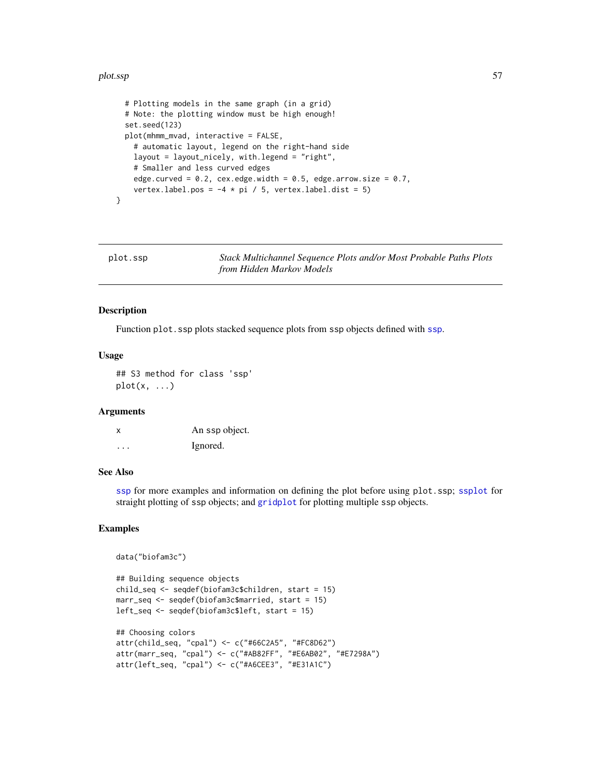#### plot.ssp 57

```
# Plotting models in the same graph (in a grid)
 # Note: the plotting window must be high enough!
 set.seed(123)
 plot(mhmm_mvad, interactive = FALSE,
   # automatic layout, legend on the right-hand side
   layout = layout_nicely, with.legend = "right",
   # Smaller and less curved edges
   edge.curved = 0.2, cex.edge.width = 0.5, edge.arrow.size = 0.7,
   vertex.label.pos = -4 * pi / 5, vertex.label.dist = 5)
}
```
<span id="page-56-0"></span>plot.ssp *Stack Multichannel Sequence Plots and/or Most Probable Paths Plots from Hidden Markov Models*

# Description

Function plot.ssp plots stacked sequence plots from ssp objects defined with [ssp](#page-67-0).

# Usage

## S3 method for class 'ssp'  $plot(x, \ldots)$ 

#### **Arguments**

| x | An ssp object. |
|---|----------------|
| . | Ignored.       |

#### See Also

[ssp](#page-67-0) for more examples and information on defining the plot before using plot.ssp; [ssplot](#page-71-0) for straight plotting of ssp objects; and [gridplot](#page-29-0) for plotting multiple ssp objects.

```
data("biofam3c")
```

```
## Building sequence objects
child_seq <- seqdef(biofam3c$children, start = 15)
marr_seq <- seqdef(biofam3c$married, start = 15)
left_seq <- seqdef(biofam3c$left, start = 15)
## Choosing colors
attr(child_seq, "cpal") <- c("#66C2A5", "#FC8D62")
attr(marr_seq, "cpal") <- c("#AB82FF", "#E6AB02", "#E7298A")
attr(left_seq, "cpal") <- c("#A6CEE3", "#E31A1C")
```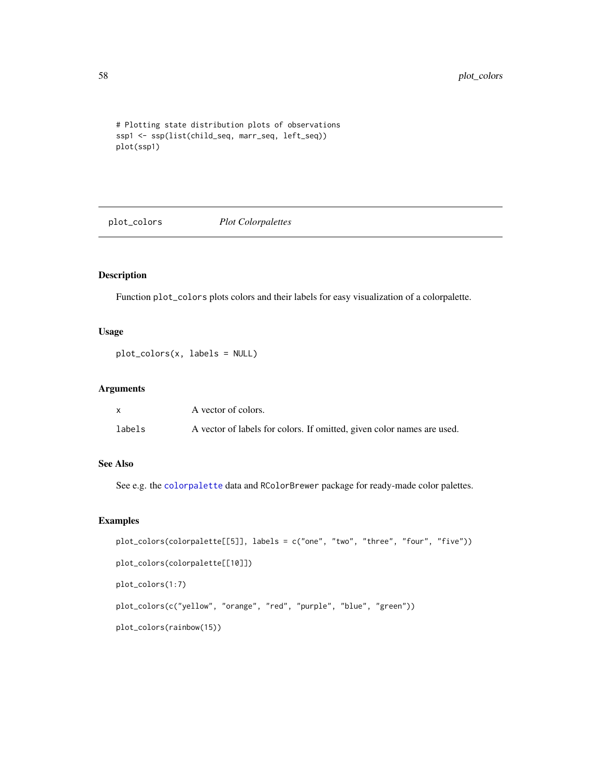```
# Plotting state distribution plots of observations
ssp1 <- ssp(list(child_seq, marr_seq, left_seq))
plot(ssp1)
```
plot\_colors *Plot Colorpalettes*

# Description

Function plot\_colors plots colors and their labels for easy visualization of a colorpalette.

# Usage

```
plot_colors(x, labels = NULL)
```
# Arguments

|        | A vector of colors.                                                    |
|--------|------------------------------------------------------------------------|
| labels | A vector of labels for colors. If omitted, given color names are used. |

# See Also

See e.g. the [colorpalette](#page-18-0) data and RColorBrewer package for ready-made color palettes.

```
plot_colors(colorpalette[[5]], labels = c("one", "two", "three", "four", "five"))
plot_colors(colorpalette[[10]])
plot_colors(1:7)
plot_colors(c("yellow", "orange", "red", "purple", "blue", "green"))
plot_colors(rainbow(15))
```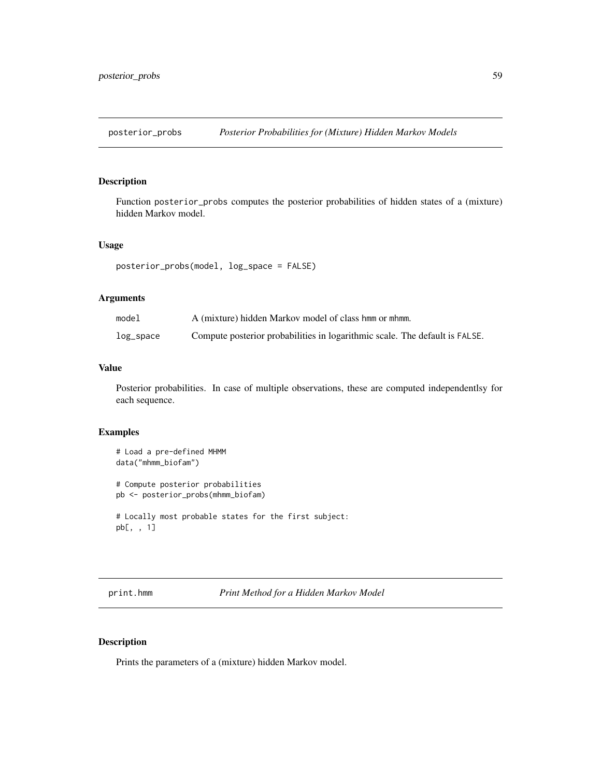Function posterior\_probs computes the posterior probabilities of hidden states of a (mixture) hidden Markov model.

#### Usage

```
posterior_probs(model, log_space = FALSE)
```
# Arguments

| model     | A (mixture) hidden Markov model of class hmm or mhmm.                       |
|-----------|-----------------------------------------------------------------------------|
| log_space | Compute posterior probabilities in logarithmic scale. The default is FALSE. |

# Value

Posterior probabilities. In case of multiple observations, these are computed independentlsy for each sequence.

# Examples

```
# Load a pre-defined MHMM
data("mhmm_biofam")
# Compute posterior probabilities
pb <- posterior_probs(mhmm_biofam)
# Locally most probable states for the first subject:
pb[, , 1]
```
print.hmm *Print Method for a Hidden Markov Model*

# Description

Prints the parameters of a (mixture) hidden Markov model.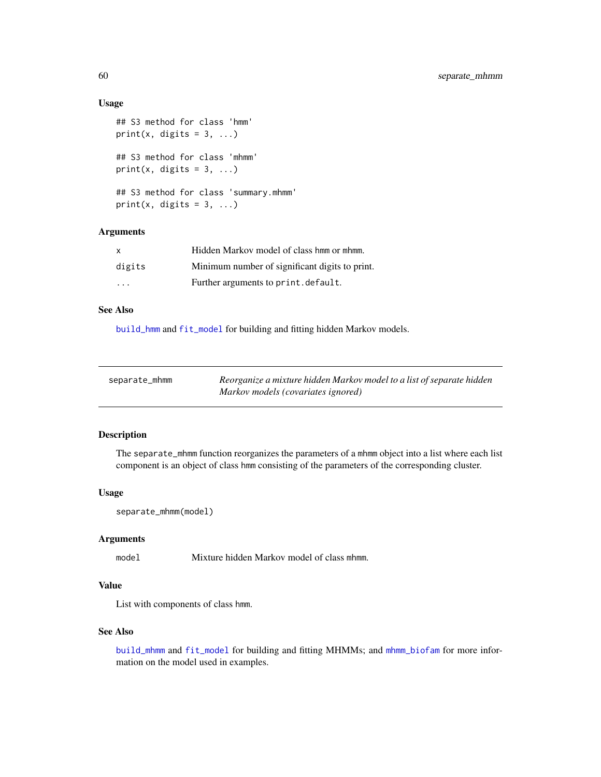# Usage

```
## S3 method for class 'hmm'
print(x, digits = 3, ...)
## S3 method for class 'mhmm'
print(x, digits = 3, ...)
## S3 method for class 'summary.mhmm'
print(x, \text{ digits} = 3, \ldots)
```
# Arguments

| $\mathsf{X}$ | Hidden Markov model of class hmm or mhmm.      |
|--------------|------------------------------------------------|
| digits       | Minimum number of significant digits to print. |
| .            | Further arguments to print.default.            |

# See Also

[build\\_hmm](#page-3-0) and [fit\\_model](#page-19-0) for building and fitting hidden Markov models.

| separate_mhmm | Reorganize a mixture hidden Markov model to a list of separate hidden |
|---------------|-----------------------------------------------------------------------|
|               | Markov models (covariates ignored)                                    |

# Description

The separate\_mhmm function reorganizes the parameters of a mhmm object into a list where each list component is an object of class hmm consisting of the parameters of the corresponding cluster.

#### Usage

```
separate_mhmm(model)
```
# Arguments

model Mixture hidden Markov model of class mhmm.

# Value

List with components of class hmm.

# See Also

[build\\_mhmm](#page-10-0) and [fit\\_model](#page-19-0) for building and fitting MHMMs; and [mhmm\\_biofam](#page-39-0) for more information on the model used in examples.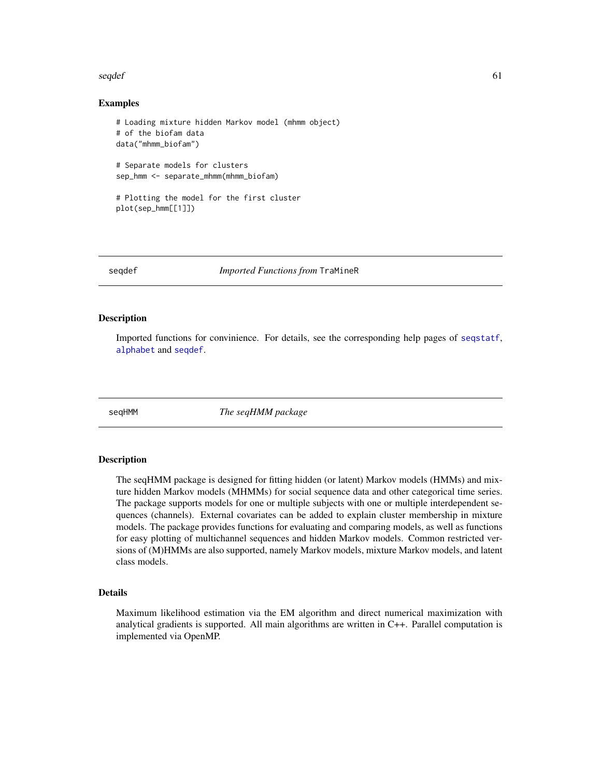#### seqdef 61

# Examples

```
# Loading mixture hidden Markov model (mhmm object)
# of the biofam data
data("mhmm_biofam")
# Separate models for clusters
sep_hmm <- separate_mhmm(mhmm_biofam)
# Plotting the model for the first cluster
plot(sep_hmm[[1]])
```
<span id="page-60-0"></span>

seqdef *Imported Functions from* TraMineR

# <span id="page-60-1"></span>Description

Imported functions for convinience. For details, see the corresponding help pages of [seqstatf](#page-60-1), [alphabet](#page-60-1) and [seqdef](#page-60-0).

seqHMM *The seqHMM package*

# **Description**

The seqHMM package is designed for fitting hidden (or latent) Markov models (HMMs) and mixture hidden Markov models (MHMMs) for social sequence data and other categorical time series. The package supports models for one or multiple subjects with one or multiple interdependent sequences (channels). External covariates can be added to explain cluster membership in mixture models. The package provides functions for evaluating and comparing models, as well as functions for easy plotting of multichannel sequences and hidden Markov models. Common restricted versions of (M)HMMs are also supported, namely Markov models, mixture Markov models, and latent class models.

#### Details

Maximum likelihood estimation via the EM algorithm and direct numerical maximization with analytical gradients is supported. All main algorithms are written in C++. Parallel computation is implemented via OpenMP.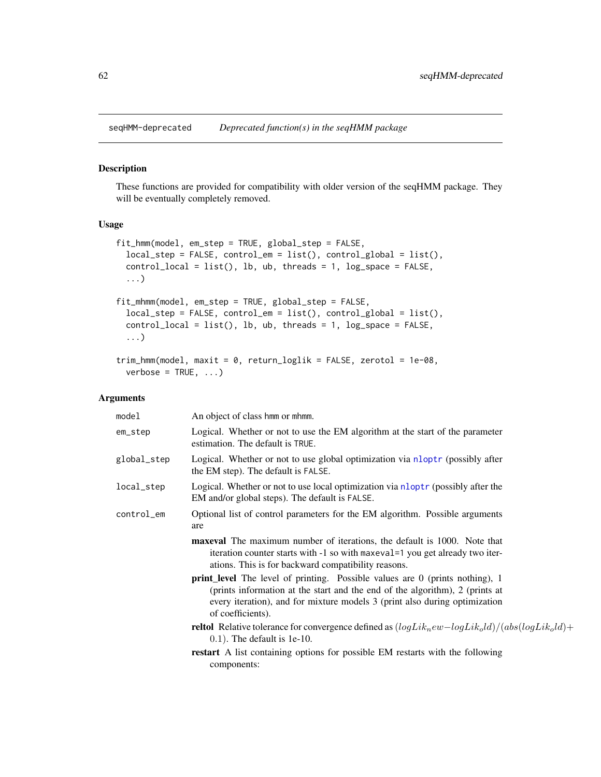These functions are provided for compatibility with older version of the seqHMM package. They will be eventually completely removed.

# Usage

```
fit_hmm(model, em_step = TRUE, global_step = FALSE,
  local\_step = FALSE, control\_em = list(), control\_global = list(),control\_local = list(), lb, ub, threads = 1, log\_space = FALSE,
  ...)
fit_mhmm(model, em_step = TRUE, global_step = FALSE,
  local_step = FALSE, control_em = list(), control_global = list(),
  control\_local = list(), lb, ub, threads = 1, log\_space = FALSE,...)
trim_hmm(model, maxit = 0, return_loglik = FALSE, zerotol = 1e-08,
  verbose = TRUE, ...)
```
# Arguments

| model       | An object of class hmm or mhmm.                                                                                                                                                                                                                                        |
|-------------|------------------------------------------------------------------------------------------------------------------------------------------------------------------------------------------------------------------------------------------------------------------------|
| em_step     | Logical. Whether or not to use the EM algorithm at the start of the parameter<br>estimation. The default is TRUE.                                                                                                                                                      |
| global_step | Logical. Whether or not to use global optimization via nloptr (possibly after<br>the EM step). The default is FALSE.                                                                                                                                                   |
| local_step  | Logical. Whether or not to use local optimization via nloptr (possibly after the<br>EM and/or global steps). The default is FALSE.                                                                                                                                     |
| control_em  | Optional list of control parameters for the EM algorithm. Possible arguments<br>are                                                                                                                                                                                    |
|             | <b>maxeval</b> The maximum number of iterations, the default is 1000. Note that<br>iteration counter starts with -1 so with maxeval=1 you get already two iter-<br>ations. This is for backward compatibility reasons.                                                 |
|             | <b>print_level</b> The level of printing. Possible values are 0 (prints nothing), 1<br>(prints information at the start and the end of the algorithm), 2 (prints at<br>every iteration), and for mixture models 3 (print also during optimization<br>of coefficients). |
|             | <b>reltol</b> Relative tolerance for convergence defined as $(logLik_new-logLik_0ld)/(abs(logLik_0ld)$ +<br>$(0.1)$ . The default is 1e-10.                                                                                                                            |
|             | restart A list containing options for possible EM restarts with the following<br>components:                                                                                                                                                                           |
|             |                                                                                                                                                                                                                                                                        |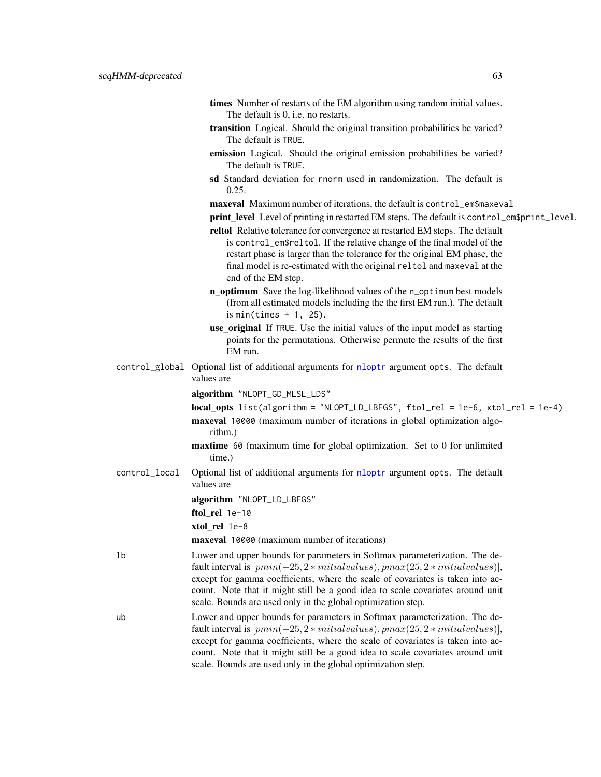- times Number of restarts of the EM algorithm using random initial values. The default is 0, i.e. no restarts.
- transition Logical. Should the original transition probabilities be varied? The default is TRUE.
- emission Logical. Should the original emission probabilities be varied? The default is TRUE.
- sd Standard deviation for rnorm used in randomization. The default is 0.25.
- maxeval Maximum number of iterations, the default is control\_em\$maxeval
- print\_level Level of printing in restarted EM steps. The default is control\_em\$print\_level.
- reltol Relative tolerance for convergence at restarted EM steps. The default is control\_em\$reltol. If the relative change of the final model of the restart phase is larger than the tolerance for the original EM phase, the final model is re-estimated with the original reltol and maxeval at the end of the EM step.
- n\_optimum Save the log-likelihood values of the n\_optimum best models (from all estimated models including the the first EM run.). The default is min(times  $+1$ , 25).
- use\_original If TRUE. Use the initial values of the input model as starting points for the permutations. Otherwise permute the results of the first EM run.
- control\_global Optional list of additional arguments for [nloptr](#page-0-0) argument opts. The default values are
	- algorithm "NLOPT\_GD\_MLSL\_LDS"

local\_opts list(algorithm = "NLOPT\_LD\_LBFGS", ftol\_rel = 1e-6, xtol\_rel = 1e-4)

- maxeval 10000 (maximum number of iterations in global optimization algorithm.)
- maxtime 60 (maximum time for global optimization. Set to 0 for unlimited time.)
- control\_local Optional list of additional arguments for [nloptr](#page-0-0) argument opts. The default values are

algorithm "NLOPT\_LD\_LBFGS"

ftol\_rel 1e-10

xtol\_rel 1e-8

maxeval 10000 (maximum number of iterations)

- lb Lower and upper bounds for parameters in Softmax parameterization. The default interval is  $[pmin(-25, 2*initial values), pmax(25, 2*initial values)],$ except for gamma coefficients, where the scale of covariates is taken into account. Note that it might still be a good idea to scale covariates around unit scale. Bounds are used only in the global optimization step.
- ub Lower and upper bounds for parameters in Softmax parameterization. The default interval is  $[pmin(-25, 2*initialvalues), pmax(25, 2*initialvalues)],$ except for gamma coefficients, where the scale of covariates is taken into account. Note that it might still be a good idea to scale covariates around unit scale. Bounds are used only in the global optimization step.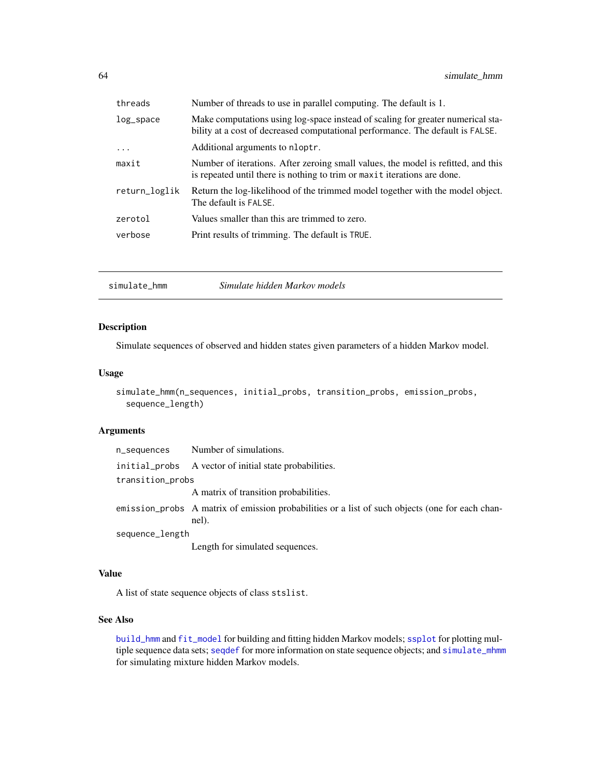| threads       | Number of threads to use in parallel computing. The default is 1.                                                                                                 |
|---------------|-------------------------------------------------------------------------------------------------------------------------------------------------------------------|
| $log$ _space  | Make computations using log-space instead of scaling for greater numerical sta-<br>bility at a cost of decreased computational performance. The default is FALSE. |
| $\ddots$      | Additional arguments to nloptr.                                                                                                                                   |
| maxit         | Number of iterations. After zeroing small values, the model is refitted, and this<br>is repeated until there is nothing to trim or maxit iterations are done.     |
| return_loglik | Return the log-likelihood of the trimmed model together with the model object.<br>The default is FALSE.                                                           |
| zerotol       | Values smaller than this are trimmed to zero.                                                                                                                     |
| verbose       | Print results of trimming. The default is TRUE.                                                                                                                   |
|               |                                                                                                                                                                   |

<span id="page-63-0"></span>

| simulate hmm | Simulate hidden Markov models |
|--------------|-------------------------------|
|--------------|-------------------------------|

Simulate sequences of observed and hidden states given parameters of a hidden Markov model.

# Usage

```
simulate_hmm(n_sequences, initial_probs, transition_probs, emission_probs,
  sequence_length)
```
# Arguments

| n_sequences      | Number of simulations.                                                                                   |
|------------------|----------------------------------------------------------------------------------------------------------|
|                  | initial_probs A vector of initial state probabilities.                                                   |
| transition_probs |                                                                                                          |
|                  | A matrix of transition probabilities.                                                                    |
|                  | emission_probs A matrix of emission probabilities or a list of such objects (one for each chan-<br>nel). |
| sequence_length  |                                                                                                          |
|                  | Length for simulated sequences.                                                                          |

# Value

A list of state sequence objects of class stslist.

# See Also

[build\\_hmm](#page-3-0) and [fit\\_model](#page-19-0) for building and fitting hidden Markov models; [ssplot](#page-71-0) for plotting multiple sequence data sets; [seqdef](#page-60-0) for more information on state sequence objects; and [simulate\\_mhmm](#page-65-0) for simulating mixture hidden Markov models.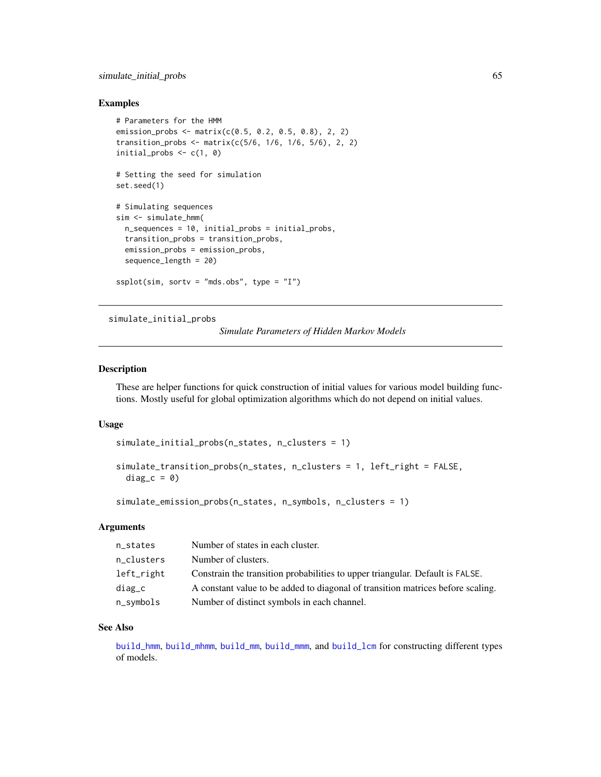# simulate\_initial\_probs 65

# Examples

```
# Parameters for the HMM
emission_probs <- matrix(c(0.5, 0.2, 0.5, 0.8), 2, 2)
transition_probs <- matrix(c(5/6, 1/6, 1/6, 5/6), 2, 2)
initial_probs \leq c(1, 0)
# Setting the seed for simulation
set.seed(1)
# Simulating sequences
sim <- simulate_hmm(
 n_sequences = 10, initial_probs = initial_probs,
  transition_probs = transition_probs,
  emission_probs = emission_probs,
  sequence_length = 20)
splot(sim, sortv = "mds.obs", type = "I")
```
# simulate\_initial\_probs

*Simulate Parameters of Hidden Markov Models*

# Description

These are helper functions for quick construction of initial values for various model building functions. Mostly useful for global optimization algorithms which do not depend on initial values.

#### Usage

```
simulate_initial_probs(n_states, n_clusters = 1)
```

```
simulate_transition_probs(n_states, n_clusters = 1, left_right = FALSE,
 diag_c = 0)
```

```
simulate_emission_probs(n_states, n_symbols, n_clusters = 1)
```
# **Arguments**

| n_states   | Number of states in each cluster.                                               |
|------------|---------------------------------------------------------------------------------|
| n_clusters | Number of clusters.                                                             |
| left_right | Constrain the transition probabilities to upper triangular. Default is FALSE.   |
| $diag_c$   | A constant value to be added to diagonal of transition matrices before scaling. |
| n_symbols  | Number of distinct symbols in each channel.                                     |

# See Also

[build\\_hmm](#page-3-0), [build\\_mhmm](#page-10-0), [build\\_mm](#page-14-0), [build\\_mmm](#page-16-0), and [build\\_lcm](#page-7-0) for constructing different types of models.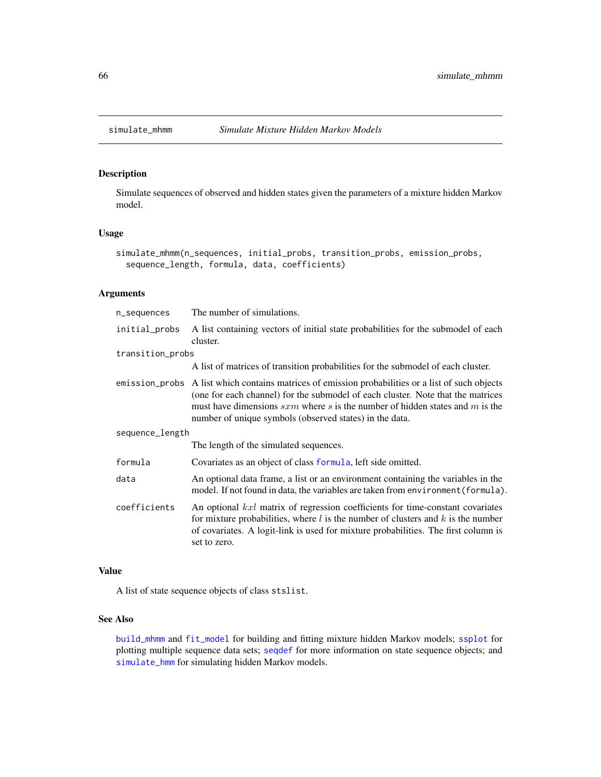<span id="page-65-0"></span>Simulate sequences of observed and hidden states given the parameters of a mixture hidden Markov model.

# Usage

```
simulate_mhmm(n_sequences, initial_probs, transition_probs, emission_probs,
  sequence_length, formula, data, coefficients)
```
# Arguments

| n_sequences      | The number of simulations.                                                                                                                                                                                                                                                                                                        |  |
|------------------|-----------------------------------------------------------------------------------------------------------------------------------------------------------------------------------------------------------------------------------------------------------------------------------------------------------------------------------|--|
| initial_probs    | A list containing vectors of initial state probabilities for the submodel of each<br>cluster.                                                                                                                                                                                                                                     |  |
| transition_probs |                                                                                                                                                                                                                                                                                                                                   |  |
|                  | A list of matrices of transition probabilities for the submodel of each cluster.                                                                                                                                                                                                                                                  |  |
|                  | emission_probs A list which contains matrices of emission probabilities or a list of such objects<br>(one for each channel) for the submodel of each cluster. Note that the matrices<br>must have dimensions $sxm$ where s is the number of hidden states and m is the<br>number of unique symbols (observed states) in the data. |  |
| sequence_length  |                                                                                                                                                                                                                                                                                                                                   |  |
|                  | The length of the simulated sequences.                                                                                                                                                                                                                                                                                            |  |
| formula          | Covariates as an object of class formula, left side omitted.                                                                                                                                                                                                                                                                      |  |
| data             | An optional data frame, a list or an environment containing the variables in the<br>model. If not found in data, the variables are taken from environment (formula).                                                                                                                                                              |  |
| coefficients     | An optional kxl matrix of regression coefficients for time-constant covariates<br>for mixture probabilities, where $l$ is the number of clusters and $k$ is the number<br>of covariates. A logit-link is used for mixture probabilities. The first column is<br>set to zero.                                                      |  |

# Value

A list of state sequence objects of class stslist.

# See Also

[build\\_mhmm](#page-10-0) and [fit\\_model](#page-19-0) for building and fitting mixture hidden Markov models; [ssplot](#page-71-0) for plotting multiple sequence data sets; [seqdef](#page-60-0) for more information on state sequence objects; and [simulate\\_hmm](#page-63-0) for simulating hidden Markov models.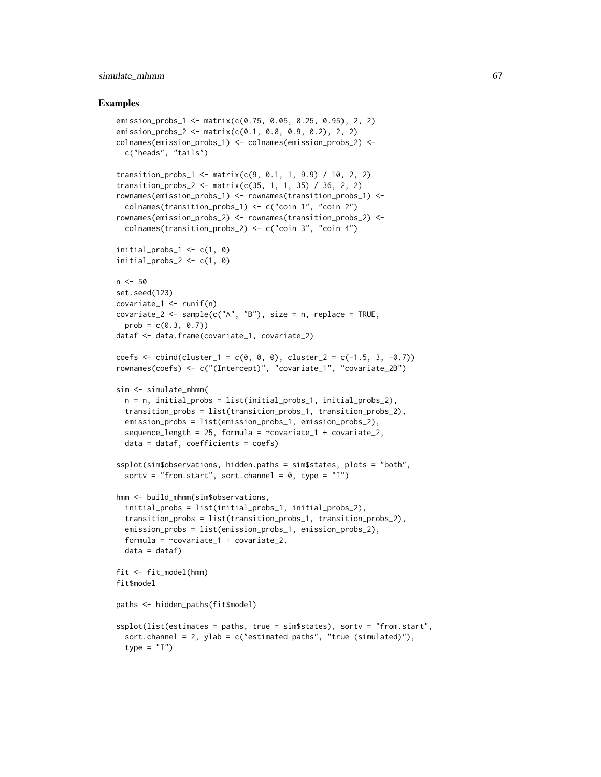# simulate\_mhmm 67

```
emission_probs_1 <- matrix(c(0.75, 0.05, 0.25, 0.95), 2, 2)
emission_probs_2 <- matrix(c(0.1, 0.8, 0.9, 0.2), 2, 2)
colnames(emission_probs_1) <- colnames(emission_probs_2) <-
  c("heads", "tails")
transition_probs_1 <- matrix(c(9, 0.1, 1, 9.9) / 10, 2, 2)
transition_probs_2 <- matrix(c(35, 1, 1, 35) / 36, 2, 2)
rownames(emission_probs_1) <- rownames(transition_probs_1) <-
  colnames(transition_probs_1) <- c("coin 1", "coin 2")
rownames(emission_probs_2) <- rownames(transition_probs_2) <-
  colnames(transition_probs_2) <- c("coin 3", "coin 4")
initial\_probs_1 \leftarrow c(1, 0)initial_probs_2 \leq \leq \in (1, 0)n < -50set.seed(123)
covariate_1 <- runif(n)
covariate_2 <- sample(c("A", "B"), size = n, replace = TRUE,
  prob = c(0.3, 0.7)dataf <- data.frame(covariate_1, covariate_2)
coeffs \leq \text{bind}(cluster_1 = c(0, 0, 0), cluster_2 = c(-1.5, 3, -0.7))rownames(coefs) <- c("(Intercept)", "covariate_1", "covariate_2B")
sim <- simulate_mhmm(
  n = n, initial_probs = list(initial_probs_1, initial_probs_2),
  transition_probs = list(transition_probs_1, transition_probs_2),
  emission_probs = list(emission_probs_1, emission_probs_2),
  sequence_length = 25, formula = \simcovariate_1 + covariate_2,
  data = dataf, coefficients = coefs)
ssplot(sim$observations, hidden.paths = sim$states, plots = "both",
  sortv = "from.start", sort.channel = 0, type = "I")
hmm <- build_mhmm(sim$observations,
  initial_probs = list(initial_probs_1, initial_probs_2),
  transition_probs = list(transition_probs_1, transition_probs_2),
  emission_probs = list(emission_probs_1, emission_probs_2),
  formula = \simcovariate_1 + covariate_2,
  data = dataffit <- fit_model(hmm)
fit$model
paths <- hidden_paths(fit$model)
ssplot(list(estimates = paths, true = sim$states), sortv = "from.start",
  sort.channel = 2, ylab = c("estimated paths", "true (simulated)"),type = "I")
```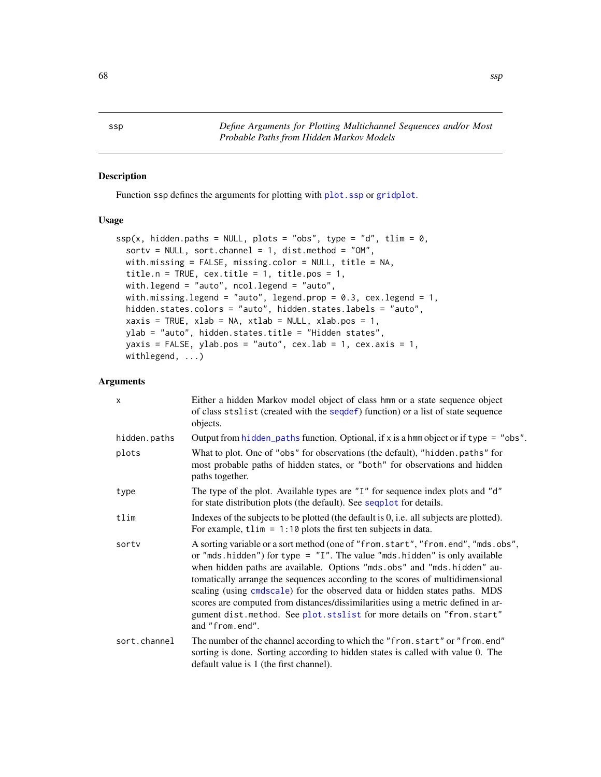Function ssp defines the arguments for plotting with [plot.ssp](#page-56-0) or [gridplot](#page-29-0).

# Usage

```
ssp(x, hidden.paths = NULL, plots = "obs", type = "d", tilm = 0,sortv = NULL, sort.channel = 1, dist.method = "OM",
 with.missing = FALSE, missing.color = NULL, title = NA,
  title.n = TRUE, cex.title = 1, title.pos = 1,
 with.legend = "auto", ncol.legend = "auto",
 with.missing.legend = "auto", legend.prop = 0.3, cex.legend = 1,
 hidden.states.colors = "auto", hidden.states.labels = "auto",
  xaxis = TRUE, xlab = NA, xtlab = NULL, xlab.pos = 1,ylab = "auto", hidden.states.title = "Hidden states",
 yaxis = FALSE, ylab.pos = "auto", cex.lab = 1, cex.axis = 1,
 withlegend, ...)
```
# Arguments

| $\mathsf{x}$ | Either a hidden Markov model object of class hmm or a state sequence object<br>of class stslist (created with the sequential function) or a list of state sequence<br>objects.                                                                                                                                                                                                                                                                                                                                                                                                              |
|--------------|---------------------------------------------------------------------------------------------------------------------------------------------------------------------------------------------------------------------------------------------------------------------------------------------------------------------------------------------------------------------------------------------------------------------------------------------------------------------------------------------------------------------------------------------------------------------------------------------|
| hidden.paths | Output from hidden_paths function. Optional, if x is a hmm object or if type = "obs".                                                                                                                                                                                                                                                                                                                                                                                                                                                                                                       |
| plots        | What to plot. One of "obs" for observations (the default), "hidden.paths" for<br>most probable paths of hidden states, or "both" for observations and hidden<br>paths together.                                                                                                                                                                                                                                                                                                                                                                                                             |
| type         | The type of the plot. Available types are "I" for sequence index plots and "d"<br>for state distribution plots (the default). See sequel for details.                                                                                                                                                                                                                                                                                                                                                                                                                                       |
| tlim         | Indexes of the subjects to be plotted (the default is 0, i.e. all subjects are plotted).<br>For example, $t \lim = 1:10$ plots the first ten subjects in data.                                                                                                                                                                                                                                                                                                                                                                                                                              |
| sortv        | A sorting variable or a sort method (one of "from.start", "from.end", "mds.obs",<br>or "mds. hidden") for type = $"I".$ The value "mds. hidden" is only available<br>when hidden paths are available. Options "mds.obs" and "mds.hidden" au-<br>tomatically arrange the sequences according to the scores of multidimensional<br>scaling (using cmdscale) for the observed data or hidden states paths. MDS<br>scores are computed from distances/dissimilarities using a metric defined in ar-<br>gument dist.method. See plot.stslist for more details on "from.start"<br>and "from.end". |
| sort.channel | The number of the channel according to which the "from.start" or "from.end"<br>sorting is done. Sorting according to hidden states is called with value 0. The<br>default value is 1 (the first channel).                                                                                                                                                                                                                                                                                                                                                                                   |

<span id="page-67-0"></span>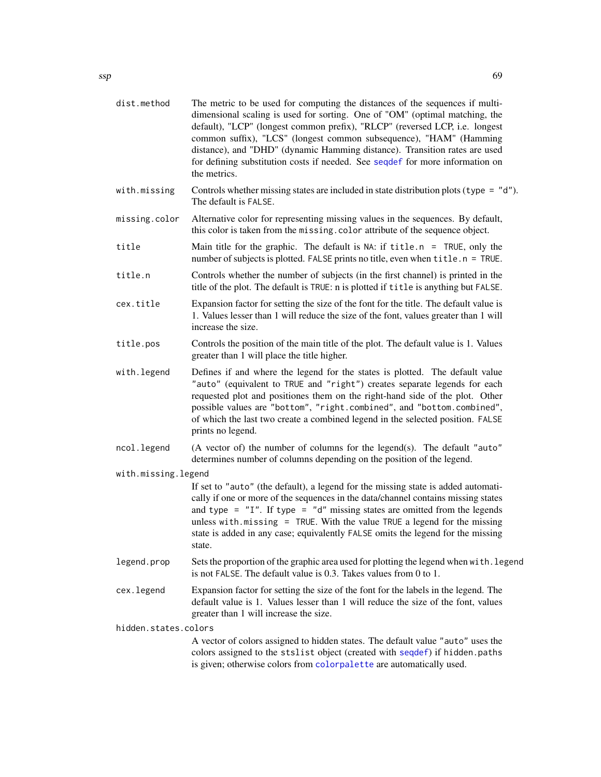| dist.method          | The metric to be used for computing the distances of the sequences if multi-<br>dimensional scaling is used for sorting. One of "OM" (optimal matching, the<br>default), "LCP" (longest common prefix), "RLCP" (reversed LCP, i.e. longest<br>common suffix), "LCS" (longest common subsequence), "HAM" (Hamming<br>distance), and "DHD" (dynamic Hamming distance). Transition rates are used<br>for defining substitution costs if needed. See seqdef for more information on<br>the metrics. |  |
|----------------------|-------------------------------------------------------------------------------------------------------------------------------------------------------------------------------------------------------------------------------------------------------------------------------------------------------------------------------------------------------------------------------------------------------------------------------------------------------------------------------------------------|--|
| with.missing         | Controls whether missing states are included in state distribution plots (type = $"d"$ ).<br>The default is FALSE.                                                                                                                                                                                                                                                                                                                                                                              |  |
| missing.color        | Alternative color for representing missing values in the sequences. By default,<br>this color is taken from the missing. color attribute of the sequence object.                                                                                                                                                                                                                                                                                                                                |  |
| title                | Main title for the graphic. The default is NA: if $title.n = TRUE, only the$<br>number of subjects is plotted. FALSE prints no title, even when title.n = TRUE.                                                                                                                                                                                                                                                                                                                                 |  |
| title.n              | Controls whether the number of subjects (in the first channel) is printed in the<br>title of the plot. The default is TRUE: n is plotted if title is anything but FALSE.                                                                                                                                                                                                                                                                                                                        |  |
| cex.title            | Expansion factor for setting the size of the font for the title. The default value is<br>1. Values lesser than 1 will reduce the size of the font, values greater than 1 will<br>increase the size.                                                                                                                                                                                                                                                                                             |  |
| title.pos            | Controls the position of the main title of the plot. The default value is 1. Values<br>greater than 1 will place the title higher.                                                                                                                                                                                                                                                                                                                                                              |  |
| with.legend          | Defines if and where the legend for the states is plotted. The default value<br>"auto" (equivalent to TRUE and "right") creates separate legends for each<br>requested plot and positiones them on the right-hand side of the plot. Other<br>possible values are "bottom", "right.combined", and "bottom.combined",<br>of which the last two create a combined legend in the selected position. FALSE<br>prints no legend.                                                                      |  |
| ncol.legend          | (A vector of) the number of columns for the legend(s). The default "auto"<br>determines number of columns depending on the position of the legend.                                                                                                                                                                                                                                                                                                                                              |  |
| with.missing.legend  | If set to "auto" (the default), a legend for the missing state is added automati-<br>cally if one or more of the sequences in the data/channel contains missing states<br>and type = $"I".$ If type = $"d"$ missing states are omitted from the legends<br>unless with $m$ issing = TRUE. With the value TRUE a legend for the missing<br>state is added in any case; equivalently FALSE omits the legend for the missing<br>state.                                                             |  |
| legend.prop          | Sets the proportion of the graphic area used for plotting the legend when with. legend<br>is not FALSE. The default value is 0.3. Takes values from 0 to 1.                                                                                                                                                                                                                                                                                                                                     |  |
| cex.legend           | Expansion factor for setting the size of the font for the labels in the legend. The<br>default value is 1. Values lesser than 1 will reduce the size of the font, values<br>greater than 1 will increase the size.                                                                                                                                                                                                                                                                              |  |
| hidden.states.colors |                                                                                                                                                                                                                                                                                                                                                                                                                                                                                                 |  |
|                      | A vector of colors assigned to hidden states. The default value "auto" uses the<br>colors assigned to the stslist object (created with seqdef) if hidden.paths<br>is given; otherwise colors from colorpalette are automatically used.                                                                                                                                                                                                                                                          |  |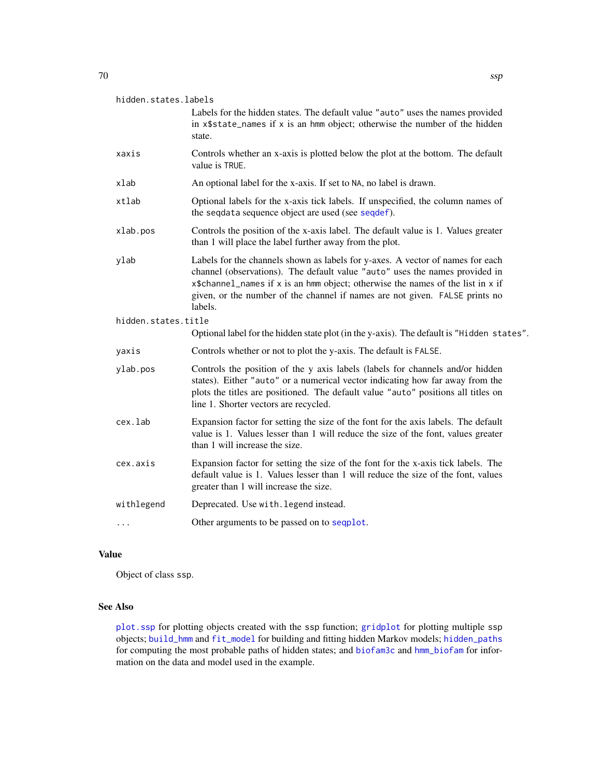| hidden.states.labels |  |
|----------------------|--|
|                      |  |

Labels for the hidden states. The default value "auto" uses the names provided in x\$state\_names if x is an hmm object; otherwise the number of the hidden state.

- xaxis Controls whether an x-axis is plotted below the plot at the bottom. The default value is TRUE.
- xlab An optional label for the x-axis. If set to NA, no label is drawn.
- xtlab Optional labels for the x-axis tick labels. If unspecified, the column names of the seqdata sequence object are used (see [seqdef](#page-60-0)).
- xlab.pos Controls the position of the x-axis label. The default value is 1. Values greater than 1 will place the label further away from the plot.
- ylab Labels for the channels shown as labels for y-axes. A vector of names for each channel (observations). The default value "auto" uses the names provided in x\$channel\_names if x is an hmm object; otherwise the names of the list in x if given, or the number of the channel if names are not given. FALSE prints no labels.

hidden.states.title

- Optional label for the hidden state plot (in the y-axis). The default is "Hidden states".
- yaxis Controls whether or not to plot the y-axis. The default is FALSE.
- ylab.pos Controls the position of the y axis labels (labels for channels and/or hidden states). Either "auto" or a numerical vector indicating how far away from the plots the titles are positioned. The default value "auto" positions all titles on line 1. Shorter vectors are recycled.
- cex.lab Expansion factor for setting the size of the font for the axis labels. The default value is 1. Values lesser than 1 will reduce the size of the font, values greater than 1 will increase the size.
- cex.axis Expansion factor for setting the size of the font for the x-axis tick labels. The default value is 1. Values lesser than 1 will reduce the size of the font, values greater than 1 will increase the size.

withlegend Deprecated. Use with.legend instead.

... Other arguments to be passed on to [seqplot](#page-0-0).

#### Value

Object of class ssp.

# See Also

[plot.ssp](#page-56-0) for plotting objects created with the ssp function; [gridplot](#page-29-0) for plotting multiple ssp objects; [build\\_hmm](#page-3-0) and [fit\\_model](#page-19-0) for building and fitting hidden Markov models; [hidden\\_paths](#page-31-0) for computing the most probable paths of hidden states; and [biofam3c](#page-2-0) and [hmm\\_biofam](#page-32-0) for information on the data and model used in the example.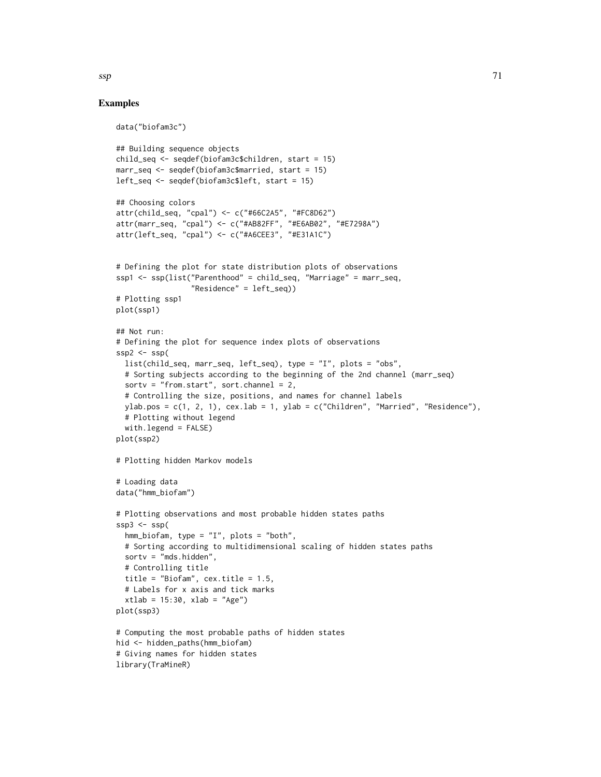# Examples

```
data("biofam3c")
## Building sequence objects
child_seq <- seqdef(biofam3c$children, start = 15)
marr_seq <- seqdef(biofam3c$married, start = 15)
left_seq <- seqdef(biofam3c$left, start = 15)
## Choosing colors
attr(child_seq, "cpal") <- c("#66C2A5", "#FC8D62")
attr(marr_seq, "cpal") <- c("#AB82FF", "#E6AB02", "#E7298A")
attr(left_seq, "cpal") <- c("#A6CEE3", "#E31A1C")
# Defining the plot for state distribution plots of observations
ssp1 <- ssp(list("Parenthood" = child_seq, "Marriage" = marr_seq,
                 "Residence" = left_seq))
# Plotting ssp1
plot(ssp1)
## Not run:
# Defining the plot for sequence index plots of observations
ssp2 < - ssp(list(child_seq, marr_seq, left_seq), type = "I", plots = "obs",
  # Sorting subjects according to the beginning of the 2nd channel (marr_seq)
  sortv = "from.start", sort.channel = 2,
  # Controlling the size, positions, and names for channel labels
  ylab.pos = c(1, 2, 1), cex.lab = 1, ylab = c("Children", "Married", "Residence"),# Plotting without legend
  with.legend = FALSE)
plot(ssp2)
# Plotting hidden Markov models
# Loading data
data("hmm_biofam")
# Plotting observations and most probable hidden states paths
ssp3 \leftarrow ssp(hmm_biofam, type = "I", plots = "both",
  # Sorting according to multidimensional scaling of hidden states paths
  sortv = "mds.hidden",
  # Controlling title
  title = "Biofam", cex.title = 1.5,
  # Labels for x axis and tick marks
  xtlab = 15:30, xlab = "Age")plot(ssp3)
# Computing the most probable paths of hidden states
hid <- hidden_paths(hmm_biofam)
# Giving names for hidden states
library(TraMineR)
```
 $\mathsf{ssp}$  71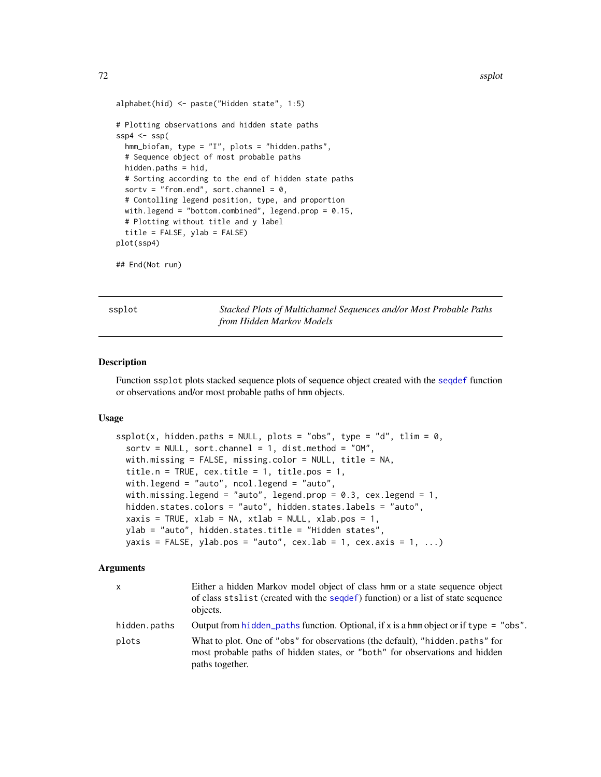```
alphabet(hid) <- paste("Hidden state", 1:5)
# Plotting observations and hidden state paths
ssp4 \leftarrow ssp(hmm_biofam, type = "I", plots = "hidden.paths",
 # Sequence object of most probable paths
 hidden.paths = hid,
 # Sorting according to the end of hidden state paths
 sortv = "from.end", sort.channel = 0,
 # Contolling legend position, type, and proportion
 with.legend = "bottom.combined", legend.prop = 0.15,
 # Plotting without title and y label
 title = FALSE, ylab = FALSE)
plot(ssp4)
## End(Not run)
```
<span id="page-71-0"></span>ssplot *Stacked Plots of Multichannel Sequences and/or Most Probable Paths from Hidden Markov Models*

#### Description

Function ssplot plots stacked sequence plots of sequence object created with the [seqdef](#page-60-0) function or observations and/or most probable paths of hmm objects.

#### Usage

```
splot(x, hidden.paths = NULL, plots = "obs", type = "d", time = 0,sortv = NULL, sort.channel = 1, dist.method = "OM",
 with.missing = FALSE, missing.color = NULL, title = NA,
  title.n = TRUE, cex.title = 1, title.pos = 1,
 with.legend = "auto", ncol.legend = "auto",
 with.missing.legend = "auto", legend.prop = 0.3, cex.legend = 1,
 hidden.states.colors = "auto", hidden.states.labels = "auto",
  xaxis = TRUE, xlab = NA, xtlab = NULL, xlab.pos = 1,ylab = "auto", hidden.states.title = "Hidden states",
 yaxis = FALSE, ylab.pos = "auto", cex.lab = 1, cex.axis = 1, ...)
```
# **Arguments**

| X            | Either a hidden Markov model object of class hmm or a state sequence object<br>of class stallist (created with the sequence) function) or a list of state sequence<br>objects.  |
|--------------|---------------------------------------------------------------------------------------------------------------------------------------------------------------------------------|
| hidden.paths | Output from hidden_paths function. Optional, if x is a hmm object or if type = "obs".                                                                                           |
| plots        | What to plot. One of "obs" for observations (the default), "hidden.paths" for<br>most probable paths of hidden states, or "both" for observations and hidden<br>paths together. |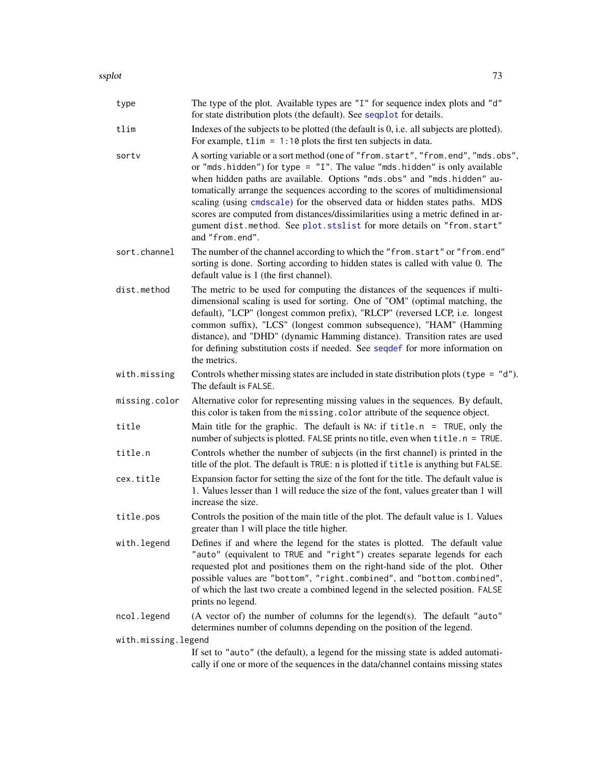<span id="page-72-0"></span>

| type                | The type of the plot. Available types are "I" for sequence index plots and "d"<br>for state distribution plots (the default). See sequilot for details.                                                                                                                                                                                                                                                                                                                                                                                                                                   |
|---------------------|-------------------------------------------------------------------------------------------------------------------------------------------------------------------------------------------------------------------------------------------------------------------------------------------------------------------------------------------------------------------------------------------------------------------------------------------------------------------------------------------------------------------------------------------------------------------------------------------|
| tlim                | Indexes of the subjects to be plotted (the default is 0, i.e. all subjects are plotted).<br>For example, $tlim = 1:10$ plots the first ten subjects in data.                                                                                                                                                                                                                                                                                                                                                                                                                              |
| sortv               | A sorting variable or a sort method (one of "from.start", "from.end", "mds.obs",<br>or "mds.hidden") for type = $"I".$ The value "mds.hidden" is only available<br>when hidden paths are available. Options "mds.obs" and "mds.hidden" au-<br>tomatically arrange the sequences according to the scores of multidimensional<br>scaling (using cmdscale) for the observed data or hidden states paths. MDS<br>scores are computed from distances/dissimilarities using a metric defined in ar-<br>gument dist.method. See plot.stslist for more details on "from.start"<br>and "from.end". |
| sort.channel        | The number of the channel according to which the "from.start" or "from.end"<br>sorting is done. Sorting according to hidden states is called with value 0. The<br>default value is 1 (the first channel).                                                                                                                                                                                                                                                                                                                                                                                 |
| dist.method         | The metric to be used for computing the distances of the sequences if multi-<br>dimensional scaling is used for sorting. One of "OM" (optimal matching, the<br>default), "LCP" (longest common prefix), "RLCP" (reversed LCP, i.e. longest<br>common suffix), "LCS" (longest common subsequence), "HAM" (Hamming<br>distance), and "DHD" (dynamic Hamming distance). Transition rates are used<br>for defining substitution costs if needed. See seqdef for more information on<br>the metrics.                                                                                           |
| with.missing        | Controls whether missing states are included in state distribution plots (type = $"d"$ ).<br>The default is FALSE.                                                                                                                                                                                                                                                                                                                                                                                                                                                                        |
| missing.color       | Alternative color for representing missing values in the sequences. By default,<br>this color is taken from the missing. color attribute of the sequence object.                                                                                                                                                                                                                                                                                                                                                                                                                          |
| title               | Main title for the graphic. The default is NA: if $title.n = TRUE$ , only the<br>number of subjects is plotted. FALSE prints no title, even when title.n = TRUE.                                                                                                                                                                                                                                                                                                                                                                                                                          |
| title.n             | Controls whether the number of subjects (in the first channel) is printed in the<br>title of the plot. The default is TRUE: n is plotted if title is anything but FALSE.                                                                                                                                                                                                                                                                                                                                                                                                                  |
| cex.title           | Expansion factor for setting the size of the font for the title. The default value is<br>1. Values lesser than 1 will reduce the size of the font, values greater than 1 will<br>increase the size.                                                                                                                                                                                                                                                                                                                                                                                       |
| title.pos           | Controls the position of the main title of the plot. The default value is 1. Values<br>greater than 1 will place the title higher.                                                                                                                                                                                                                                                                                                                                                                                                                                                        |
| with.legend         | Defines if and where the legend for the states is plotted. The default value<br>"auto" (equivalent to TRUE and "right") creates separate legends for each<br>requested plot and positiones them on the right-hand side of the plot. Other<br>possible values are "bottom", "right.combined", and "bottom.combined",<br>of which the last two create a combined legend in the selected position. FALSE<br>prints no legend.                                                                                                                                                                |
| ncol.legend         | (A vector of) the number of columns for the legend(s). The default "auto"<br>determines number of columns depending on the position of the legend.                                                                                                                                                                                                                                                                                                                                                                                                                                        |
| with.missing.legend |                                                                                                                                                                                                                                                                                                                                                                                                                                                                                                                                                                                           |
|                     | If set to "auto" (the default), a legend for the missing state is added automati-<br>cally if one or more of the sequences in the data/channel contains missing states                                                                                                                                                                                                                                                                                                                                                                                                                    |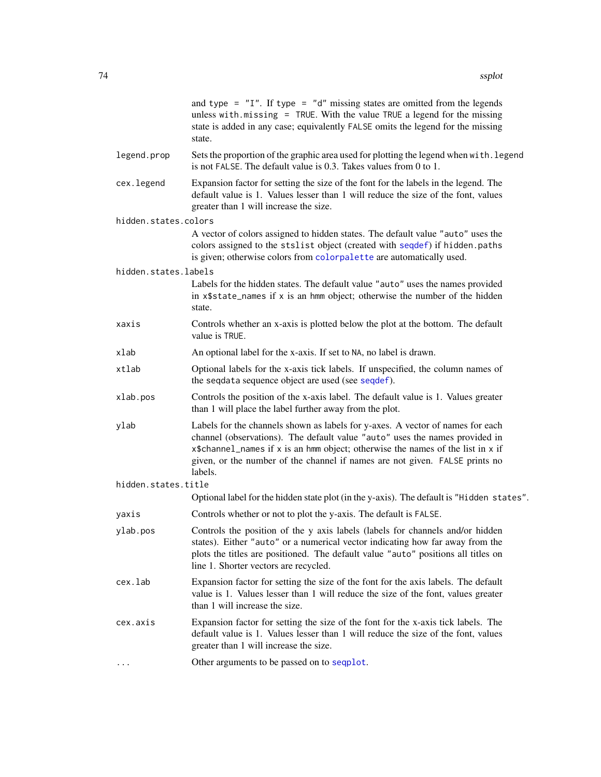<span id="page-73-0"></span>

|                      | and type = $"I"$ . If type = $"d"$ missing states are omitted from the legends<br>unless with $m$ issing = TRUE. With the value TRUE a legend for the missing<br>state is added in any case; equivalently FALSE omits the legend for the missing<br>state.                                                                                 |
|----------------------|--------------------------------------------------------------------------------------------------------------------------------------------------------------------------------------------------------------------------------------------------------------------------------------------------------------------------------------------|
| legend.prop          | Sets the proportion of the graphic area used for plotting the legend when with. legend<br>is not FALSE. The default value is 0.3. Takes values from 0 to 1.                                                                                                                                                                                |
| cex.legend           | Expansion factor for setting the size of the font for the labels in the legend. The<br>default value is 1. Values lesser than 1 will reduce the size of the font, values<br>greater than 1 will increase the size.                                                                                                                         |
| hidden.states.colors |                                                                                                                                                                                                                                                                                                                                            |
|                      | A vector of colors assigned to hidden states. The default value "auto" uses the<br>colors assigned to the stslist object (created with seqdef) if hidden.paths<br>is given; otherwise colors from colorpalette are automatically used.                                                                                                     |
| hidden.states.labels |                                                                                                                                                                                                                                                                                                                                            |
|                      | Labels for the hidden states. The default value "auto" uses the names provided<br>in x\$state_names if x is an hmm object; otherwise the number of the hidden<br>state.                                                                                                                                                                    |
| xaxis                | Controls whether an x-axis is plotted below the plot at the bottom. The default<br>value is TRUE.                                                                                                                                                                                                                                          |
| xlab                 | An optional label for the x-axis. If set to NA, no label is drawn.                                                                                                                                                                                                                                                                         |
| xtlab                | Optional labels for the x-axis tick labels. If unspecified, the column names of<br>the seqdata sequence object are used (see seqdef).                                                                                                                                                                                                      |
| xlab.pos             | Controls the position of the x-axis label. The default value is 1. Values greater<br>than 1 will place the label further away from the plot.                                                                                                                                                                                               |
| ylab                 | Labels for the channels shown as labels for y-axes. A vector of names for each<br>channel (observations). The default value "auto" uses the names provided in<br>x\$channel_names if x is an hmm object; otherwise the names of the list in x if<br>given, or the number of the channel if names are not given. FALSE prints no<br>labels. |
| hidden.states.title  |                                                                                                                                                                                                                                                                                                                                            |
|                      | Optional label for the hidden state plot (in the y-axis). The default is "Hidden states".                                                                                                                                                                                                                                                  |
| yaxis                | Controls whether or not to plot the y-axis. The default is FALSE.                                                                                                                                                                                                                                                                          |
| ylab.pos             | Controls the position of the y axis labels (labels for channels and/or hidden<br>states). Either "auto" or a numerical vector indicating how far away from the<br>plots the titles are positioned. The default value "auto" positions all titles on<br>line 1. Shorter vectors are recycled.                                               |
| cex.lab              | Expansion factor for setting the size of the font for the axis labels. The default<br>value is 1. Values lesser than 1 will reduce the size of the font, values greater<br>than 1 will increase the size.                                                                                                                                  |
| cex.axis             | Expansion factor for setting the size of the font for the x-axis tick labels. The<br>default value is 1. Values lesser than 1 will reduce the size of the font, values<br>greater than 1 will increase the size.                                                                                                                           |
| $\cdots$             | Other arguments to be passed on to seqplot.                                                                                                                                                                                                                                                                                                |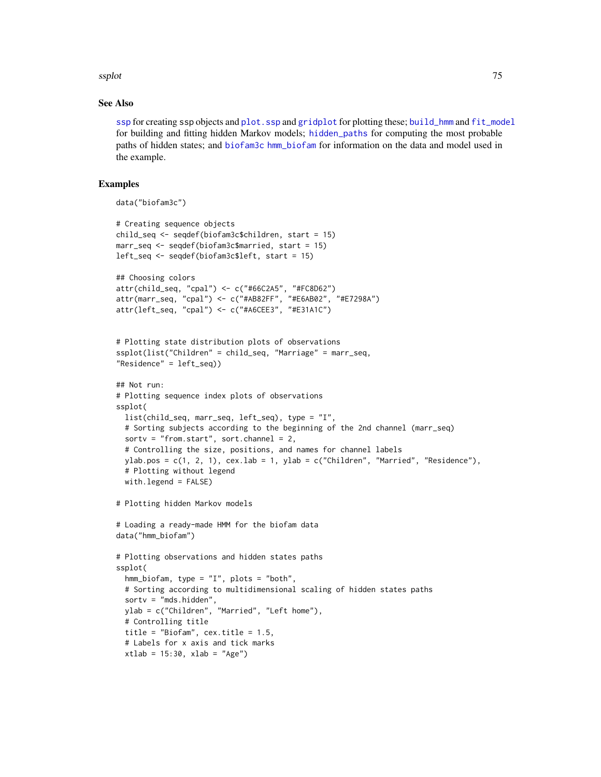#### <span id="page-74-0"></span>ssplot 75

## See Also

[ssp](#page-67-0) for creating ssp objects and [plot.ssp](#page-56-0) and [gridplot](#page-29-0) for plotting these; [build\\_hmm](#page-3-0) and [fit\\_model](#page-19-0) for building and fitting hidden Markov models; [hidden\\_paths](#page-31-0) for computing the most probable paths of hidden states; and [biofam3c](#page-2-0) [hmm\\_biofam](#page-32-0) for information on the data and model used in the example.

## Examples

```
data("biofam3c")
# Creating sequence objects
child_seq <- seqdef(biofam3c$children, start = 15)
marr_seq <- seqdef(biofam3c$married, start = 15)
left_seq <- seqdef(biofam3c$left, start = 15)
## Choosing colors
attr(child_seq, "cpal") <- c("#66C2A5", "#FC8D62")
attr(marr_seq, "cpal") <- c("#AB82FF", "#E6AB02", "#E7298A")
attr(left_seq, "cpal") <- c("#A6CEE3", "#E31A1C")
# Plotting state distribution plots of observations
ssplot(list("Children" = child_seq, "Marriage" = marr_seq,
"Residence" = left_seq))
## Not run:
# Plotting sequence index plots of observations
ssplot(
  list(child_seq, marr_seq, left_seq), type = "I",
  # Sorting subjects according to the beginning of the 2nd channel (marr_seq)
  sortv = "from.start", sort.channel = 2,
  # Controlling the size, positions, and names for channel labels
  ylab.pos = c(1, 2, 1), cex.lab = 1, ylab = c("Children", "Married", "Residence"),
  # Plotting without legend
  with.legend = FALSE)
# Plotting hidden Markov models
# Loading a ready-made HMM for the biofam data
data("hmm_biofam")
# Plotting observations and hidden states paths
ssplot(
  hmm_biofam, type = "I", plots = "both",
  # Sorting according to multidimensional scaling of hidden states paths
  sortv = "mds.hidden",
  ylab = c("Children", "Married", "Left home"),
  # Controlling title
  title = "Biofam", cex.title = 1.5,
  # Labels for x axis and tick marks
  xtlab = 15:30, xlab = "Age")
```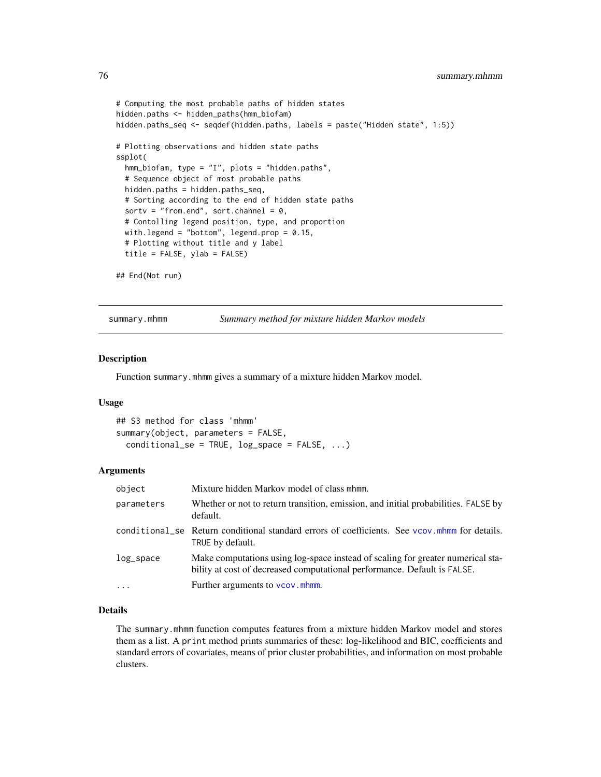```
# Computing the most probable paths of hidden states
hidden.paths <- hidden_paths(hmm_biofam)
hidden.paths_seq <- seqdef(hidden.paths, labels = paste("Hidden state", 1:5))
# Plotting observations and hidden state paths
ssplot(
  hmm_biofam, type = "I", plots = "hidden.paths",
  # Sequence object of most probable paths
  hidden.paths = hidden.paths_seq,
  # Sorting according to the end of hidden state paths
  sortv = "from.end", sort.channel = 0,
  # Contolling legend position, type, and proportion
  with.legend = "bottom", legend.prop = 0.15,
  # Plotting without title and y label
  title = FALSE, ylab = FALSE)
```

```
## End(Not run)
```
summary.mhmm *Summary method for mixture hidden Markov models*

#### Description

Function summary.mhmm gives a summary of a mixture hidden Markov model.

#### Usage

```
## S3 method for class 'mhmm'
summary(object, parameters = FALSE,
  conditional\_se = TRUE, log\_space = FALSE, ...)
```
## Arguments

| object       | Mixture hidden Markov model of class mhmm.                                                                                                                  |
|--------------|-------------------------------------------------------------------------------------------------------------------------------------------------------------|
| parameters   | Whether or not to return transition, emission, and initial probabilities. FALSE by<br>default.                                                              |
|              | conditional se Return conditional standard errors of coefficients. See vcov. mhmm for details.<br>TRUE by default.                                          |
| $log$ _space | Make computations using log-space instead of scaling for greater numerical sta-<br>bility at cost of decreased computational performance. Default is FALSE. |
| $\cdots$     | Further arguments to vcov.mhmm.                                                                                                                             |

## Details

The summary.mhmm function computes features from a mixture hidden Markov model and stores them as a list. A print method prints summaries of these: log-likelihood and BIC, coefficients and standard errors of covariates, means of prior cluster probabilities, and information on most probable clusters.

<span id="page-75-0"></span>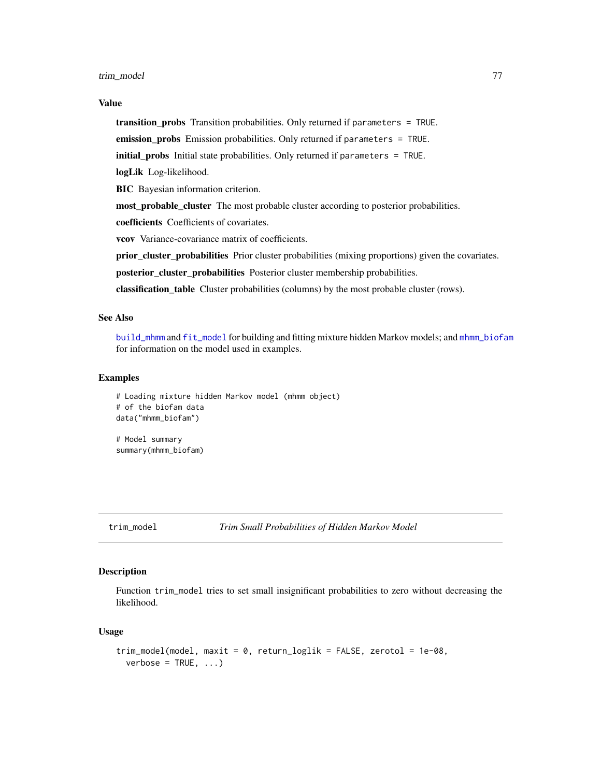#### <span id="page-76-0"></span>Value

transition\_probs Transition probabilities. Only returned if parameters = TRUE.

emission\_probs Emission probabilities. Only returned if parameters = TRUE.

initial\_probs Initial state probabilities. Only returned if parameters = TRUE.

logLik Log-likelihood.

BIC Bayesian information criterion.

most\_probable\_cluster The most probable cluster according to posterior probabilities.

coefficients Coefficients of covariates.

vcov Variance-covariance matrix of coefficients.

prior\_cluster\_probabilities Prior cluster probabilities (mixing proportions) given the covariates.

posterior\_cluster\_probabilities Posterior cluster membership probabilities.

classification\_table Cluster probabilities (columns) by the most probable cluster (rows).

# See Also

[build\\_mhmm](#page-10-0) and [fit\\_model](#page-19-0) for building and fitting mixture hidden Markov models; and [mhmm\\_biofam](#page-39-0) for information on the model used in examples.

# Examples

```
# Loading mixture hidden Markov model (mhmm object)
# of the biofam data
data("mhmm_biofam")
# Model summary
```
summary(mhmm\_biofam)

trim\_model *Trim Small Probabilities of Hidden Markov Model*

# **Description**

Function trim\_model tries to set small insignificant probabilities to zero without decreasing the likelihood.

#### Usage

```
trim_model(model, maxit = 0, return_loglik = FALSE, zerotol = 1e-08,
 verbose = TRUE, ...)
```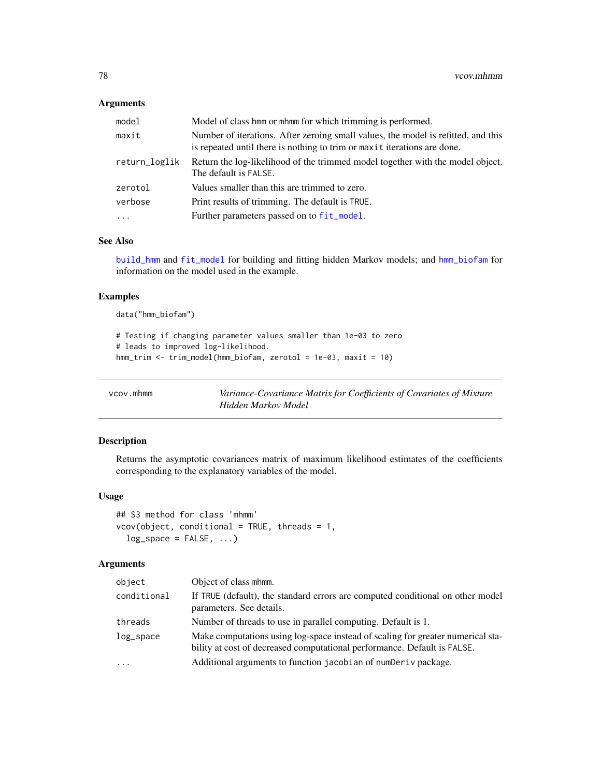# <span id="page-77-1"></span>Arguments

| model         | Model of class hmm or mhmm for which trimming is performed.                                                                                                   |
|---------------|---------------------------------------------------------------------------------------------------------------------------------------------------------------|
| maxit         | Number of iterations. After zeroing small values, the model is refitted, and this<br>is repeated until there is nothing to trim or maxit iterations are done. |
| return_loglik | Return the log-likelihood of the trimmed model together with the model object.<br>The default is FALSE.                                                       |
| zerotol       | Values smaller than this are trimmed to zero.                                                                                                                 |
| verbose       | Print results of trimming. The default is TRUE.                                                                                                               |
| $\cdots$      | Further parameters passed on to fit_model.                                                                                                                    |
|               |                                                                                                                                                               |

## See Also

[build\\_hmm](#page-3-0) and [fit\\_model](#page-19-0) for building and fitting hidden Markov models; and [hmm\\_biofam](#page-32-0) for information on the model used in the example.

# Examples

data("hmm\_biofam")

```
# Testing if changing parameter values smaller than 1e-03 to zero
# leads to improved log-likelihood.
hmm_trim <- trim_model(hmm_biofam, zerotol = 1e-03, maxit = 10)
```
<span id="page-77-0"></span>

| vcov.mhmm | Variance-Covariance Matrix for Coefficients of Covariates of Mixture |
|-----------|----------------------------------------------------------------------|
|           | Hidden Markov Model                                                  |

# Description

Returns the asymptotic covariances matrix of maximum likelihood estimates of the coefficients corresponding to the explanatory variables of the model.

## Usage

```
## S3 method for class 'mhmm'
vcov(object, conditional = TRUE, threads = 1,
  log_space = FALSE, ...)
```
## Arguments

| object      | Object of class mhmm.                                                                                                                                       |
|-------------|-------------------------------------------------------------------------------------------------------------------------------------------------------------|
| conditional | If TRUE (default), the standard errors are computed conditional on other model<br>parameters. See details.                                                  |
| threads     | Number of threads to use in parallel computing. Default is 1.                                                                                               |
| log_space   | Make computations using log-space instead of scaling for greater numerical sta-<br>bility at cost of decreased computational performance. Default is FALSE. |
| .           | Additional arguments to function jacobian of numDeriv package.                                                                                              |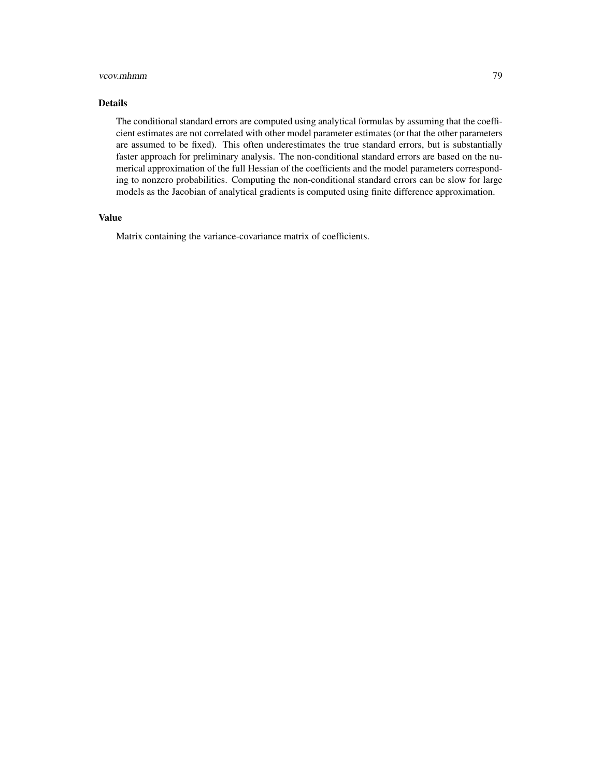#### vcov.mhmm 79

## Details

The conditional standard errors are computed using analytical formulas by assuming that the coefficient estimates are not correlated with other model parameter estimates (or that the other parameters are assumed to be fixed). This often underestimates the true standard errors, but is substantially faster approach for preliminary analysis. The non-conditional standard errors are based on the numerical approximation of the full Hessian of the coefficients and the model parameters corresponding to nonzero probabilities. Computing the non-conditional standard errors can be slow for large models as the Jacobian of analytical gradients is computed using finite difference approximation.

## Value

Matrix containing the variance-covariance matrix of coefficients.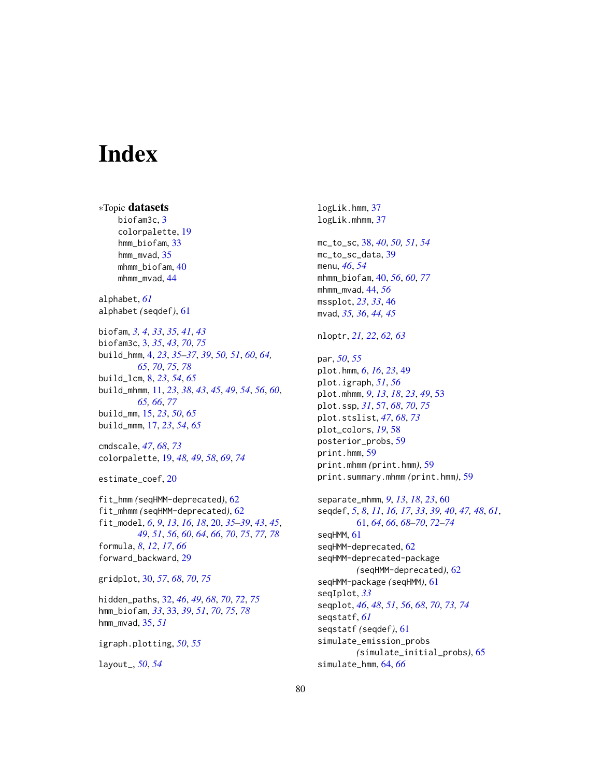# Index

∗Topic datasets biofam3c, [3](#page-2-1) colorpalette, [19](#page-18-1) hmm\_biofam, [33](#page-32-1) hmm\_mvad, [35](#page-34-0) mhmm biofam, [40](#page-39-1) mhmm\_mvad, [44](#page-43-0) alphabet, *[61](#page-60-1)* alphabet *(*seqdef*)*, [61](#page-60-1) biofam, *[3,](#page-2-1) [4](#page-3-1)*, *[33](#page-32-1)*, *[35](#page-34-0)*, *[41](#page-40-0)*, *[43](#page-42-0)* biofam3c, [3,](#page-2-1) *[35](#page-34-0)*, *[43](#page-42-0)*, *[70](#page-69-0)*, *[75](#page-74-0)* build\_hmm, [4,](#page-3-1) *[23](#page-22-0)*, *[35](#page-34-0)[–37](#page-36-0)*, *[39](#page-38-0)*, *[50,](#page-49-0) [51](#page-50-0)*, *[60](#page-59-0)*, *[64,](#page-63-0) [65](#page-64-0)*, *[70](#page-69-0)*, *[75](#page-74-0)*, *[78](#page-77-1)* build\_lcm, [8,](#page-7-0) *[23](#page-22-0)*, *[54](#page-53-0)*, *[65](#page-64-0)* build\_mhmm, [11,](#page-10-1) *[23](#page-22-0)*, *[38](#page-37-0)*, *[43](#page-42-0)*, *[45](#page-44-0)*, *[49](#page-48-0)*, *[54](#page-53-0)*, *[56](#page-55-0)*, *[60](#page-59-0)*, *[65,](#page-64-0) [66](#page-65-0)*, *[77](#page-76-0)* build\_mm, [15,](#page-14-0) *[23](#page-22-0)*, *[50](#page-49-0)*, *[65](#page-64-0)* build\_mmm, [17,](#page-16-0) *[23](#page-22-0)*, *[54](#page-53-0)*, *[65](#page-64-0)* cmdscale, *[47](#page-46-0)*, *[68](#page-67-1)*, *[73](#page-72-0)* colorpalette, [19,](#page-18-1) *[48,](#page-47-0) [49](#page-48-0)*, *[58](#page-57-0)*, *[69](#page-68-0)*, *[74](#page-73-0)* estimate\_coef, [20](#page-19-1) fit\_hmm *(*seqHMM-deprecated*)*, [62](#page-61-0) fit\_mhmm *(*seqHMM-deprecated*)*, [62](#page-61-0) fit\_model, *[6](#page-5-0)*, *[9](#page-8-0)*, *[13](#page-12-0)*, *[16](#page-15-0)*, *[18](#page-17-0)*, [20,](#page-19-1) *[35–](#page-34-0)[39](#page-38-0)*, *[43](#page-42-0)*, *[45](#page-44-0)*, *[49](#page-48-0)*, *[51](#page-50-0)*, *[56](#page-55-0)*, *[60](#page-59-0)*, *[64](#page-63-0)*, *[66](#page-65-0)*, *[70](#page-69-0)*, *[75](#page-74-0)*, *[77,](#page-76-0) [78](#page-77-1)* formula, *[8](#page-7-0)*, *[12](#page-11-0)*, *[17](#page-16-0)*, *[66](#page-65-0)* forward\_backward, [29](#page-28-0) gridplot, [30,](#page-29-1) *[57](#page-56-1)*, *[68](#page-67-1)*, *[70](#page-69-0)*, *[75](#page-74-0)* hidden\_paths, [32,](#page-31-1) *[46](#page-45-0)*, *[49](#page-48-0)*, *[68](#page-67-1)*, *[70](#page-69-0)*, *[72](#page-71-0)*, *[75](#page-74-0)* hmm\_biofam, *[33](#page-32-1)*, [33,](#page-32-1) *[39](#page-38-0)*, *[51](#page-50-0)*, *[70](#page-69-0)*, *[75](#page-74-0)*, *[78](#page-77-1)* hmm\_mvad, [35,](#page-34-0) *[51](#page-50-0)* igraph.plotting, *[50](#page-49-0)*, *[55](#page-54-0)*

layout\_, *[50](#page-49-0)*, *[54](#page-53-0)*

logLik.hmm, [37](#page-36-0) logLik.mhmm, [37](#page-36-0) mc\_to\_sc, [38,](#page-37-0) *[40](#page-39-1)*, *[50,](#page-49-0) [51](#page-50-0)*, *[54](#page-53-0)* mc\_to\_sc\_data, [39](#page-38-0) menu, *[46](#page-45-0)*, *[54](#page-53-0)* mhmm\_biofam, [40,](#page-39-1) *[56](#page-55-0)*, *[60](#page-59-0)*, *[77](#page-76-0)* mhmm\_mvad, [44,](#page-43-0) *[56](#page-55-0)* mssplot, *[23](#page-22-0)*, *[33](#page-32-1)*, [46](#page-45-0) mvad, *[35,](#page-34-0) [36](#page-35-0)*, *[44,](#page-43-0) [45](#page-44-0)* nloptr, *[21,](#page-20-0) [22](#page-21-0)*, *[62,](#page-61-0) [63](#page-62-0)* par, *[50](#page-49-0)*, *[55](#page-54-0)* plot.hmm, *[6](#page-5-0)*, *[16](#page-15-0)*, *[23](#page-22-0)*, [49](#page-48-0) plot.igraph, *[51](#page-50-0)*, *[56](#page-55-0)* plot.mhmm, *[9](#page-8-0)*, *[13](#page-12-0)*, *[18](#page-17-0)*, *[23](#page-22-0)*, *[49](#page-48-0)*, [53](#page-52-0) plot.ssp, *[31](#page-30-0)*, [57,](#page-56-1) *[68](#page-67-1)*, *[70](#page-69-0)*, *[75](#page-74-0)* plot.stslist, *[47](#page-46-0)*, *[68](#page-67-1)*, *[73](#page-72-0)* plot\_colors, *[19](#page-18-1)*, [58](#page-57-0) posterior\_probs, [59](#page-58-0) print.hmm, [59](#page-58-0) print.mhmm *(*print.hmm*)*, [59](#page-58-0) print.summary.mhmm *(*print.hmm*)*, [59](#page-58-0) separate\_mhmm, *[9](#page-8-0)*, *[13](#page-12-0)*, *[18](#page-17-0)*, *[23](#page-22-0)*, [60](#page-59-0) seqdef, *[5](#page-4-0)*, *[8](#page-7-0)*, *[11](#page-10-1)*, *[16,](#page-15-0) [17](#page-16-0)*, *[33](#page-32-1)*, *[39,](#page-38-0) [40](#page-39-1)*, *[47,](#page-46-0) [48](#page-47-0)*, *[61](#page-60-1)*, [61,](#page-60-1) *[64](#page-63-0)*, *[66](#page-65-0)*, *[68](#page-67-1)[–70](#page-69-0)*, *[72](#page-71-0)[–74](#page-73-0)* seqHMM, [61](#page-60-1) seqHMM-deprecated, [62](#page-61-0) seqHMM-deprecated-package *(*seqHMM-deprecated*)*, [62](#page-61-0)

seqHMM-package *(*seqHMM*)*, [61](#page-60-1) seqIplot, *[33](#page-32-1)* seqplot, *[46](#page-45-0)*, *[48](#page-47-0)*, *[51](#page-50-0)*, *[56](#page-55-0)*, *[68](#page-67-1)*, *[70](#page-69-0)*, *[73,](#page-72-0) [74](#page-73-0)* seqstatf, *[61](#page-60-1)* seqstatf *(*seqdef*)*, [61](#page-60-1) simulate\_emission\_probs *(*simulate\_initial\_probs*)*, [65](#page-64-0) simulate\_hmm, [64,](#page-63-0) *[66](#page-65-0)*